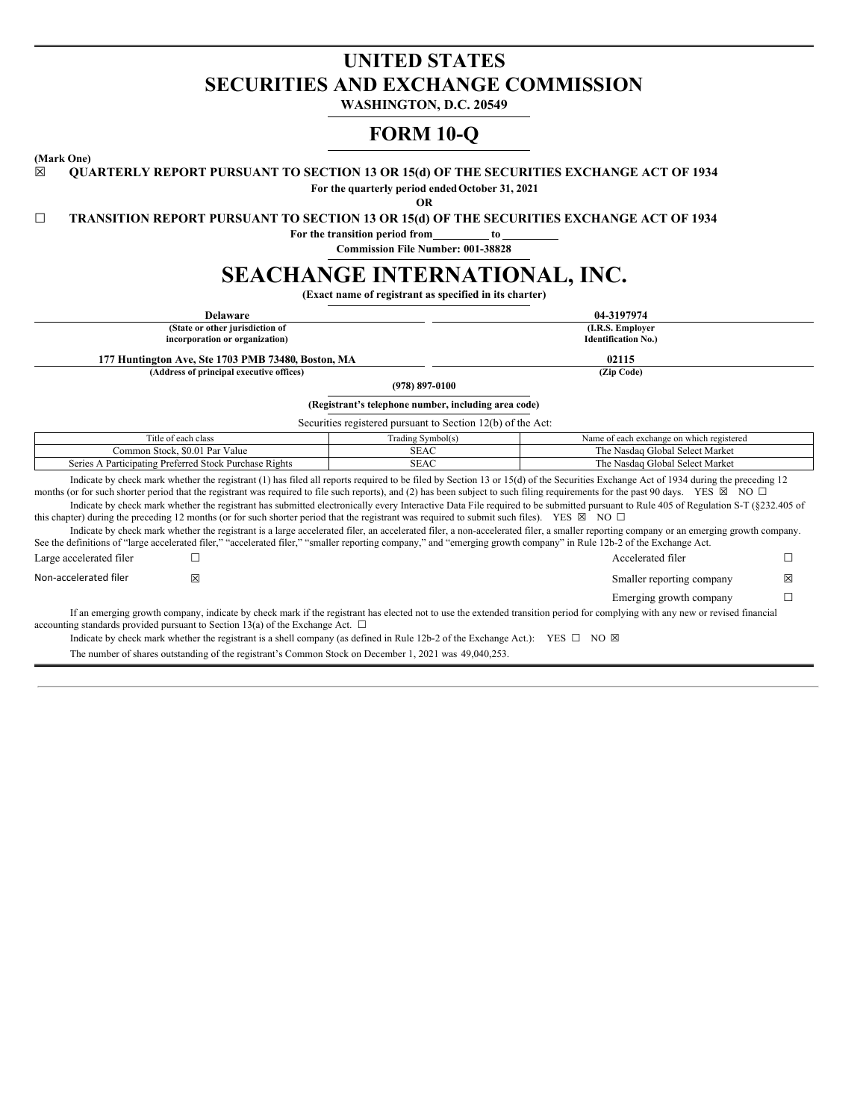# **UNITED STATES SECURITIES AND EXCHANGE COMMISSION**

**WASHINGTON, D.C. 20549**

# **FORM 10-Q**

**(Mark One)**

☒ **QUARTERLY REPORT PURSUANT TO SECTION 13 OR 15(d) OF THE SECURITIES EXCHANGE ACT OF 1934**

**For the quarterly period endedOctober 31, 2021**

**OR**

☐ **TRANSITION REPORT PURSUANT TO SECTION 13 OR 15(d) OF THE SECURITIES EXCHANGE ACT OF 1934**

**For the transition period from to**

**Commission File Number: 001-38828**

# **SEACHANGE INTERNATIONAL, INC.**

**(Exact name of registrant as specified in its charter)**

| <b>Delaware</b>                                                                                                                                                                                                                                                                                                                                                                                                                                                                                                                                                                                                                                                                                                                                                                                                                                                                                                                                                                                                                                                                                             |                                                             | 04-3197974                                |   |
|-------------------------------------------------------------------------------------------------------------------------------------------------------------------------------------------------------------------------------------------------------------------------------------------------------------------------------------------------------------------------------------------------------------------------------------------------------------------------------------------------------------------------------------------------------------------------------------------------------------------------------------------------------------------------------------------------------------------------------------------------------------------------------------------------------------------------------------------------------------------------------------------------------------------------------------------------------------------------------------------------------------------------------------------------------------------------------------------------------------|-------------------------------------------------------------|-------------------------------------------|---|
| (State or other jurisdiction of                                                                                                                                                                                                                                                                                                                                                                                                                                                                                                                                                                                                                                                                                                                                                                                                                                                                                                                                                                                                                                                                             | (I.R.S. Employer                                            |                                           |   |
| incorporation or organization)                                                                                                                                                                                                                                                                                                                                                                                                                                                                                                                                                                                                                                                                                                                                                                                                                                                                                                                                                                                                                                                                              |                                                             | <b>Identification No.)</b>                |   |
| 177 Huntington Ave, Ste 1703 PMB 73480, Boston, MA                                                                                                                                                                                                                                                                                                                                                                                                                                                                                                                                                                                                                                                                                                                                                                                                                                                                                                                                                                                                                                                          |                                                             | 02115                                     |   |
| (Address of principal executive offices)                                                                                                                                                                                                                                                                                                                                                                                                                                                                                                                                                                                                                                                                                                                                                                                                                                                                                                                                                                                                                                                                    |                                                             | (Zip Code)                                |   |
|                                                                                                                                                                                                                                                                                                                                                                                                                                                                                                                                                                                                                                                                                                                                                                                                                                                                                                                                                                                                                                                                                                             | $(978) 897 - 0100$                                          |                                           |   |
|                                                                                                                                                                                                                                                                                                                                                                                                                                                                                                                                                                                                                                                                                                                                                                                                                                                                                                                                                                                                                                                                                                             | (Registrant's telephone number, including area code)        |                                           |   |
|                                                                                                                                                                                                                                                                                                                                                                                                                                                                                                                                                                                                                                                                                                                                                                                                                                                                                                                                                                                                                                                                                                             | Securities registered pursuant to Section 12(b) of the Act: |                                           |   |
| Title of each class                                                                                                                                                                                                                                                                                                                                                                                                                                                                                                                                                                                                                                                                                                                                                                                                                                                                                                                                                                                                                                                                                         | Trading Symbol(s)                                           | Name of each exchange on which registered |   |
| Common Stock, \$0.01 Par Value                                                                                                                                                                                                                                                                                                                                                                                                                                                                                                                                                                                                                                                                                                                                                                                                                                                                                                                                                                                                                                                                              | <b>SEAC</b>                                                 | The Nasdaq Global Select Market           |   |
| Series A Participating Preferred Stock Purchase Rights                                                                                                                                                                                                                                                                                                                                                                                                                                                                                                                                                                                                                                                                                                                                                                                                                                                                                                                                                                                                                                                      | <b>SEAC</b>                                                 | The Nasdaq Global Select Market           |   |
| Indicate by check mark whether the registrant (1) has filed all reports required to be filed by Section 13 or 15(d) of the Securities Exchange Act of 1934 during the preceding 12<br>months (or for such shorter period that the registrant was required to file such reports), and (2) has been subject to such filing requirements for the past 90 days. YES $\boxtimes$ NO $\Box$<br>Indicate by check mark whether the registrant has submitted electronically every Interactive Data File required to be submitted pursuant to Rule 405 of Regulation S-T (§232.405 of<br>this chapter) during the preceding 12 months (or for such shorter period that the registrant was required to submit such files). YES $\boxtimes$ NO $\Box$<br>Indicate by check mark whether the registrant is a large accelerated filer, an accelerated filer, a non-accelerated filer, a smaller reporting company or an emerging growth company.<br>See the definitions of "large accelerated filer," "accelerated filer," "smaller reporting company," and "emerging growth company" in Rule 12b-2 of the Exchange Act. |                                                             |                                           |   |
| Large accelerated filer                                                                                                                                                                                                                                                                                                                                                                                                                                                                                                                                                                                                                                                                                                                                                                                                                                                                                                                                                                                                                                                                                     |                                                             | Accelerated filer                         | □ |
| $\boxtimes$<br>Non-accelerated filer                                                                                                                                                                                                                                                                                                                                                                                                                                                                                                                                                                                                                                                                                                                                                                                                                                                                                                                                                                                                                                                                        |                                                             | Smaller reporting company                 | ⊠ |
|                                                                                                                                                                                                                                                                                                                                                                                                                                                                                                                                                                                                                                                                                                                                                                                                                                                                                                                                                                                                                                                                                                             |                                                             | Emerging growth company                   | □ |
| If an emerging growth company, indicate by check mark if the registrant has elected not to use the extended transition period for complying with any new or revised financial<br>accounting standards provided pursuant to Section 13(a) of the Exchange Act. $\square$<br>Indicate by check mark whether the registrant is a shell company (as defined in Rule 12b-2 of the Exchange Act.): YES $\Box$ NO $\boxtimes$                                                                                                                                                                                                                                                                                                                                                                                                                                                                                                                                                                                                                                                                                      |                                                             |                                           |   |
| The number of shares outstanding of the registrant's Common Stock on December 1, 2021 was 49,040,253.                                                                                                                                                                                                                                                                                                                                                                                                                                                                                                                                                                                                                                                                                                                                                                                                                                                                                                                                                                                                       |                                                             |                                           |   |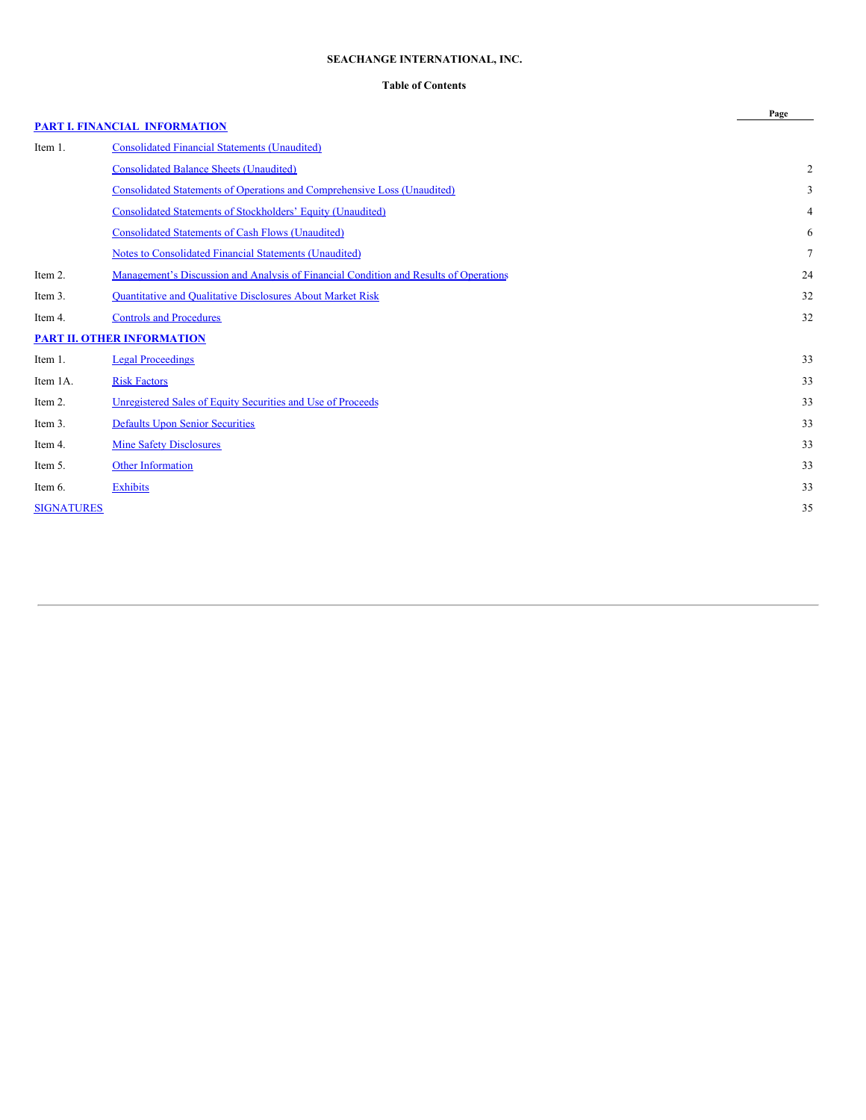### **SEACHANGE INTERNATIONAL, INC.**

### **Table of Contents**

|                   | <b>PART I. FINANCIAL INFORMATION</b>                                                  | Page           |
|-------------------|---------------------------------------------------------------------------------------|----------------|
| Item 1.           | <b>Consolidated Financial Statements (Unaudited)</b>                                  |                |
|                   | <b>Consolidated Balance Sheets (Unaudited)</b>                                        | $\overline{2}$ |
|                   |                                                                                       |                |
|                   | <b>Consolidated Statements of Operations and Comprehensive Loss (Unaudited)</b>       | 3              |
|                   | <b>Consolidated Statements of Stockholders' Equity (Unaudited)</b>                    | 4              |
|                   | <b>Consolidated Statements of Cash Flows (Unaudited)</b>                              | 6              |
|                   | Notes to Consolidated Financial Statements (Unaudited)                                | 7              |
| Item 2.           | Management's Discussion and Analysis of Financial Condition and Results of Operations | 24             |
| Item 3.           | <b>Ouantitative and Qualitative Disclosures About Market Risk</b>                     | 32             |
| Item 4.           | <b>Controls and Procedures</b>                                                        | 32             |
|                   | <b>PART II. OTHER INFORMATION</b>                                                     |                |
| Item 1.           | <b>Legal Proceedings</b>                                                              | 33             |
| Item 1A.          | <b>Risk Factors</b>                                                                   | 33             |
| Item 2.           | Unregistered Sales of Equity Securities and Use of Proceeds                           | 33             |
| Item 3.           | <b>Defaults Upon Senior Securities</b>                                                | 33             |
| Item 4.           | <b>Mine Safety Disclosures</b>                                                        | 33             |
| Item 5.           | <b>Other Information</b>                                                              | 33             |
| Item 6.           | <b>Exhibits</b>                                                                       | 33             |
| <b>SIGNATURES</b> |                                                                                       | 35             |
|                   |                                                                                       |                |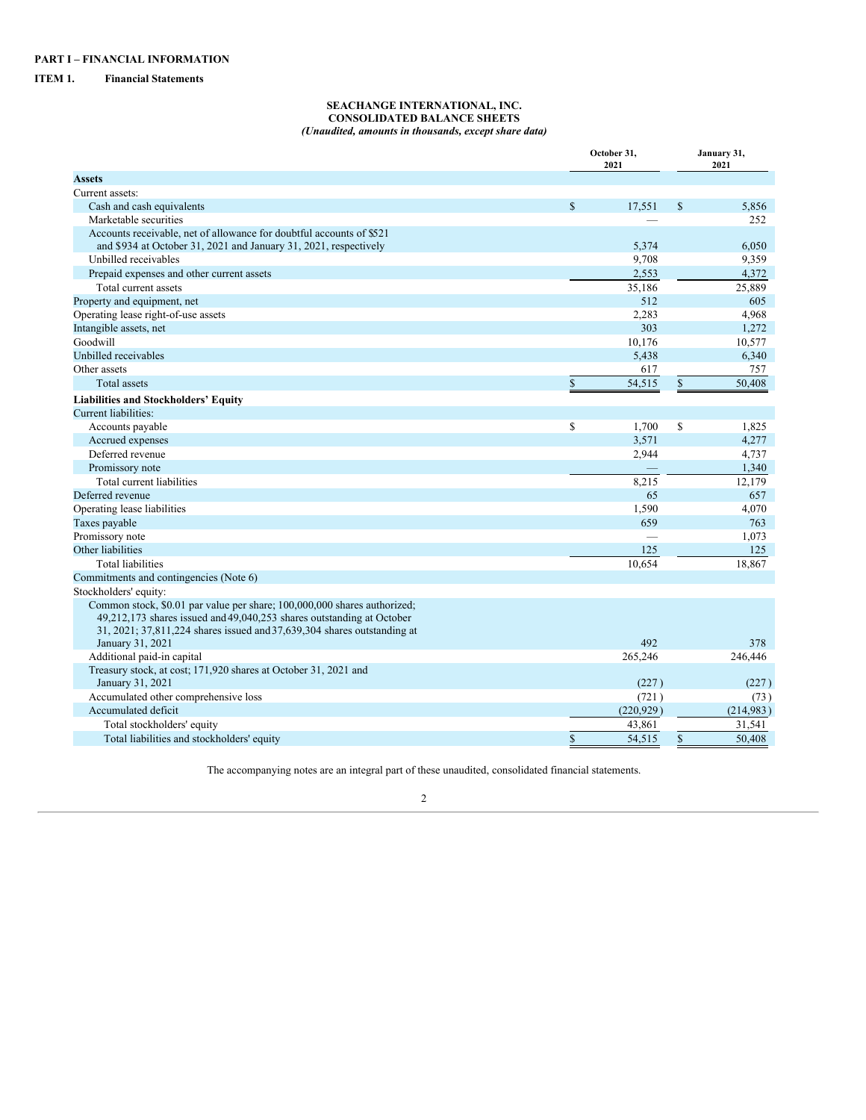## <span id="page-2-2"></span><span id="page-2-1"></span><span id="page-2-0"></span>**ITEM 1. Financial Statements**

#### **SEACHANGE INTERNATIONAL, INC. CONSOLIDATED BALANCE SHEETS** *(Unaudited, amounts in thousands, except share data)*

|                                                                          | October 31,              | January 31,  |
|--------------------------------------------------------------------------|--------------------------|--------------|
| <b>Assets</b>                                                            | 2021                     | 2021         |
| Current assets:                                                          |                          |              |
| Cash and cash equivalents                                                | \$<br>17,551             | \$<br>5,856  |
| Marketable securities                                                    |                          | 252          |
| Accounts receivable, net of allowance for doubtful accounts of \$521     |                          |              |
| and \$934 at October 31, 2021 and January 31, 2021, respectively         | 5,374                    | 6,050        |
| Unbilled receivables                                                     | 9,708                    | 9,359        |
| Prepaid expenses and other current assets                                | 2,553                    | 4,372        |
| Total current assets                                                     | 35,186                   | 25,889       |
| Property and equipment, net                                              | 512                      | 605          |
| Operating lease right-of-use assets                                      | 2,283                    | 4,968        |
| Intangible assets, net                                                   | 303                      | 1,272        |
| Goodwill                                                                 | 10,176                   | 10,577       |
| Unbilled receivables                                                     | 5,438                    | 6,340        |
| Other assets                                                             | 617                      | 757          |
| <b>Total</b> assets                                                      | \$<br>54,515             | \$<br>50,408 |
| <b>Liabilities and Stockholders' Equity</b>                              |                          |              |
| Current liabilities:                                                     |                          |              |
| Accounts payable                                                         | \$<br>1,700              | \$<br>1,825  |
| Accrued expenses                                                         | 3,571                    | 4,277        |
| Deferred revenue                                                         | 2,944                    | 4,737        |
| Promissory note                                                          |                          | 1,340        |
| Total current liabilities                                                | 8,215                    | 12,179       |
| Deferred revenue                                                         | 65                       | 657          |
| Operating lease liabilities                                              | 1,590                    | 4,070        |
| Taxes payable                                                            | 659                      | 763          |
| Promissory note                                                          | $\overline{\phantom{a}}$ | 1,073        |
| Other liabilities                                                        | 125                      | 125          |
| Total liabilities                                                        | 10,654                   | 18,867       |
| Commitments and contingencies (Note 6)                                   |                          |              |
| Stockholders' equity:                                                    |                          |              |
| Common stock, \$0.01 par value per share; 100,000,000 shares authorized; |                          |              |
| 49,212,173 shares issued and 49,040,253 shares outstanding at October    |                          |              |
| 31, 2021; 37,811,224 shares issued and 37,639,304 shares outstanding at  |                          |              |
| January 31, 2021                                                         | 492                      | 378          |
| Additional paid-in capital                                               | 265,246                  | 246,446      |
| Treasury stock, at cost; 171,920 shares at October 31, 2021 and          |                          |              |
| January 31, 2021                                                         | (227)                    | (227)        |
| Accumulated other comprehensive loss                                     | (721)                    | (73)         |
| Accumulated deficit                                                      | (220, 929)               | (214,983)    |
| Total stockholders' equity                                               | 43,861                   | 31,541       |
| Total liabilities and stockholders' equity                               | \$<br>54,515             | \$<br>50,408 |

The accompanying notes are an integral part of these unaudited, consolidated financial statements.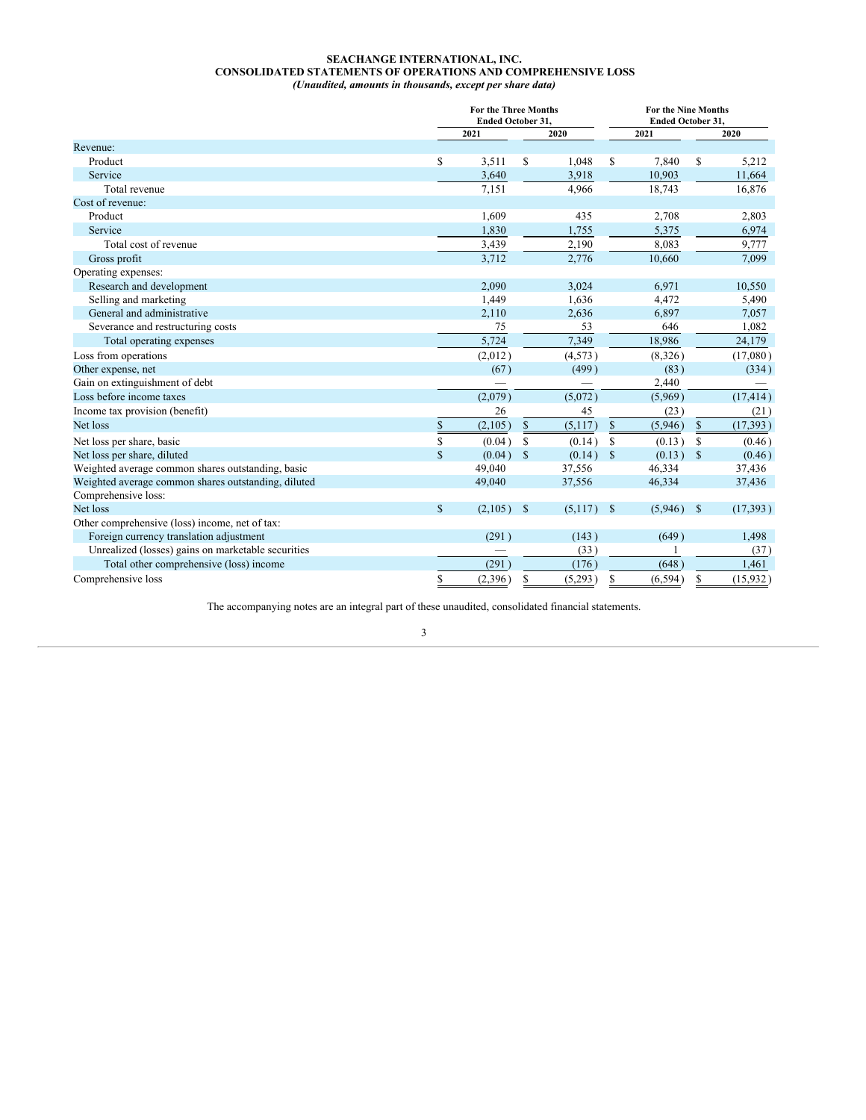#### **SEACHANGE INTERNATIONAL, INC. CONSOLIDATED STATEMENTS OF OPERATIONS AND COMPREHENSIVE LOSS** *(Unaudited, amounts in thousands, except per share data)*

<span id="page-3-0"></span>

|                                                     |               | <b>For the Three Months</b><br><b>Ended October 31,</b> |              |          |               | <b>For the Nine Months</b><br>Ended October 31. |              |           |  |
|-----------------------------------------------------|---------------|---------------------------------------------------------|--------------|----------|---------------|-------------------------------------------------|--------------|-----------|--|
|                                                     |               | 2021                                                    |              | 2020     |               | 2021                                            |              | 2020      |  |
| Revenue:                                            |               |                                                         |              |          |               |                                                 |              |           |  |
| Product                                             | \$            | 3,511                                                   | \$           | 1,048    | \$            | 7,840                                           | S            | 5,212     |  |
| Service                                             |               | 3,640                                                   |              | 3,918    |               | 10,903                                          |              | 11,664    |  |
| Total revenue                                       |               | 7,151                                                   |              | 4,966    |               | 18,743                                          |              | 16,876    |  |
| Cost of revenue:                                    |               |                                                         |              |          |               |                                                 |              |           |  |
| Product                                             |               | 1,609                                                   |              | 435      |               | 2,708                                           |              | 2,803     |  |
| Service                                             |               | 1,830                                                   |              | 1,755    |               | 5,375                                           |              | 6,974     |  |
| Total cost of revenue                               |               | 3,439                                                   |              | 2,190    |               | 8.083                                           |              | 9,777     |  |
| Gross profit                                        |               | 3,712                                                   |              | 2,776    |               | 10,660                                          |              | 7,099     |  |
| Operating expenses:                                 |               |                                                         |              |          |               |                                                 |              |           |  |
| Research and development                            |               | 2,090                                                   |              | 3,024    |               | 6.971                                           |              | 10,550    |  |
| Selling and marketing                               |               | 1,449                                                   |              | 1,636    |               | 4,472                                           |              | 5,490     |  |
| General and administrative                          |               | 2,110                                                   |              | 2,636    |               | 6,897                                           |              | 7,057     |  |
| Severance and restructuring costs                   |               | 75                                                      |              | 53       |               | 646                                             |              | 1,082     |  |
| Total operating expenses                            |               | 5,724                                                   |              | 7.349    |               | 18,986                                          |              | 24,179    |  |
| Loss from operations                                |               | (2,012)                                                 |              | (4,573)  |               | (8,326)                                         |              | (17,080)  |  |
| Other expense, net                                  |               | (67)                                                    |              | (499)    |               | (83)                                            |              | (334)     |  |
| Gain on extinguishment of debt                      |               |                                                         |              |          |               | 2,440                                           |              |           |  |
| Loss before income taxes                            |               | (2,079)                                                 |              | (5,072)  |               | (5,969)                                         |              | (17, 414) |  |
| Income tax provision (benefit)                      |               | 26                                                      |              | 45       |               | (23)                                            |              | (21)      |  |
| Net loss                                            | \$            | (2,105)                                                 | $\mathbb{S}$ | (5, 117) | \$            | (5,946)                                         | \$           | (17, 393) |  |
| Net loss per share, basic                           | \$            | (0.04)                                                  | \$           | (0.14)   | \$            | (0.13)                                          | \$           | (0.46)    |  |
| Net loss per share, diluted                         | $\mathbf S$   | (0.04)                                                  | $\mathbb{S}$ | (0.14)   | <sup>\$</sup> | (0.13)                                          | $\mathbf S$  | (0.46)    |  |
| Weighted average common shares outstanding, basic   |               | 49,040                                                  |              | 37,556   |               | 46,334                                          |              | 37,436    |  |
| Weighted average common shares outstanding, diluted |               | 49,040                                                  |              | 37,556   |               | 46,334                                          |              | 37,436    |  |
| Comprehensive loss:                                 |               |                                                         |              |          |               |                                                 |              |           |  |
| Net loss                                            | $\mathsf{\$}$ | (2,105)                                                 | -S           | (5,117)  | $\mathcal{S}$ | (5,946)                                         | $\mathbb{S}$ | (17, 393) |  |
| Other comprehensive (loss) income, net of tax:      |               |                                                         |              |          |               |                                                 |              |           |  |
| Foreign currency translation adjustment             |               | (291)                                                   |              | (143)    |               | (649)                                           |              | 1,498     |  |
| Unrealized (losses) gains on marketable securities  |               |                                                         |              | (33)     |               |                                                 |              | (37)      |  |
| Total other comprehensive (loss) income             |               | (291)                                                   |              | (176)    |               | (648)                                           |              | 1,461     |  |
| Comprehensive loss                                  | \$            | (2, 396)                                                | \$           | (5,293)  | \$            | (6, 594)                                        | S            | (15, 932) |  |

The accompanying notes are an integral part of these unaudited, consolidated financial statements.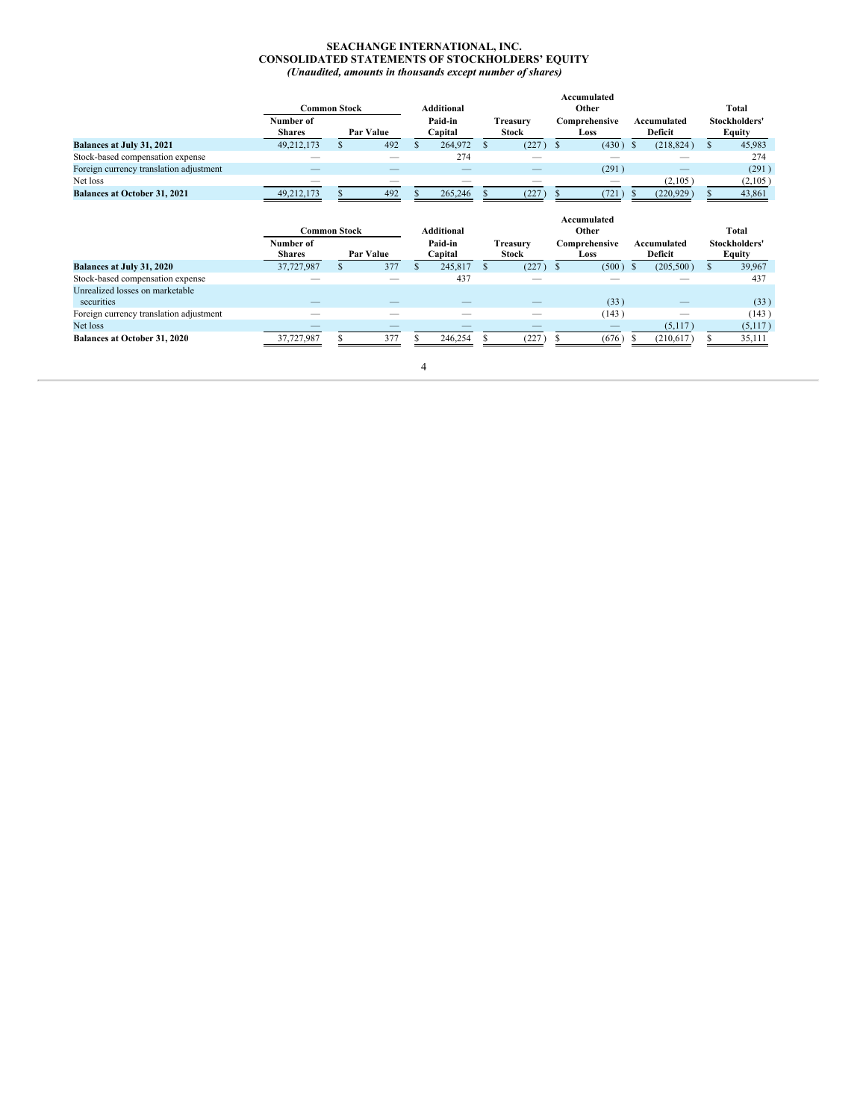#### **SEACHANGE INTERNATIONAL, INC. CONSOLIDATED STATEMENTS OF STOCKHOLDERS' EQUITY** *(Unaudited, amounts in thousands except number of shares)*

<span id="page-4-0"></span>

|                                         |               | Common Stock |           | <b>Additional</b> |              | Accumulated<br>Other |             | Total         |
|-----------------------------------------|---------------|--------------|-----------|-------------------|--------------|----------------------|-------------|---------------|
|                                         | Number of     |              |           | Paid-in           | Treasury     | Comprehensive        | Accumulated | Stockholders' |
|                                         | <b>Shares</b> |              | Par Value | Capital           | <b>Stock</b> | Loss                 | Deficit     | Equity        |
| <b>Balances at July 31, 2021</b>        | 49,212,173    |              | 492       | 264,972           | (227)        | (430)                | (218, 824)  | 45.983        |
| Stock-based compensation expense        |               |              | __        | 274               | __           |                      |             | 274           |
| Foreign currency translation adjustment |               |              | __        | __                | __           | (291)                | __          | (291)         |
| Net loss                                |               |              |           |                   |              |                      | (2,105)     | (2,105)       |
| <b>Balances at October 31, 2021</b>     | 49.212.173    |              | 492       | 265,246           | (227)        | 721                  | (220.929)   | 43,861        |

|                                         |                            |              |           |                    |                                 | Accumulated           |                        |                         |
|-----------------------------------------|----------------------------|--------------|-----------|--------------------|---------------------------------|-----------------------|------------------------|-------------------------|
|                                         |                            | Common Stock |           | Additional         |                                 | Other                 |                        | Total                   |
|                                         | Number of<br><b>Shares</b> |              | Par Value | Paid-in<br>Capital | <b>Treasury</b><br><b>Stock</b> | Comprehensive<br>Loss | Accumulated<br>Deficit | Stockholders'<br>Equity |
| <b>Balances at July 31, 2020</b>        | 37,727,987                 |              | 377       | 245,817            | (227)                           | $(500)$ \$            | (205, 500)             | 39,967                  |
| Stock-based compensation expense        |                            |              |           | 437                |                                 |                       |                        | 437                     |
| Unrealized losses on marketable         |                            |              |           |                    |                                 |                       |                        |                         |
| securities                              |                            |              | __        |                    | __                              | (33)                  |                        | (33)                    |
| Foreign currency translation adjustment |                            |              |           |                    |                                 | (143)                 |                        | (143)                   |
| Net loss                                | _                          |              | _         |                    |                                 |                       | (5,117)                | (5,117)                 |
| <b>Balances at October 31, 2020</b>     | 37,727,987                 |              | 377       | 246,254            | (227)                           | (676)                 | (210,617)              | 35,111                  |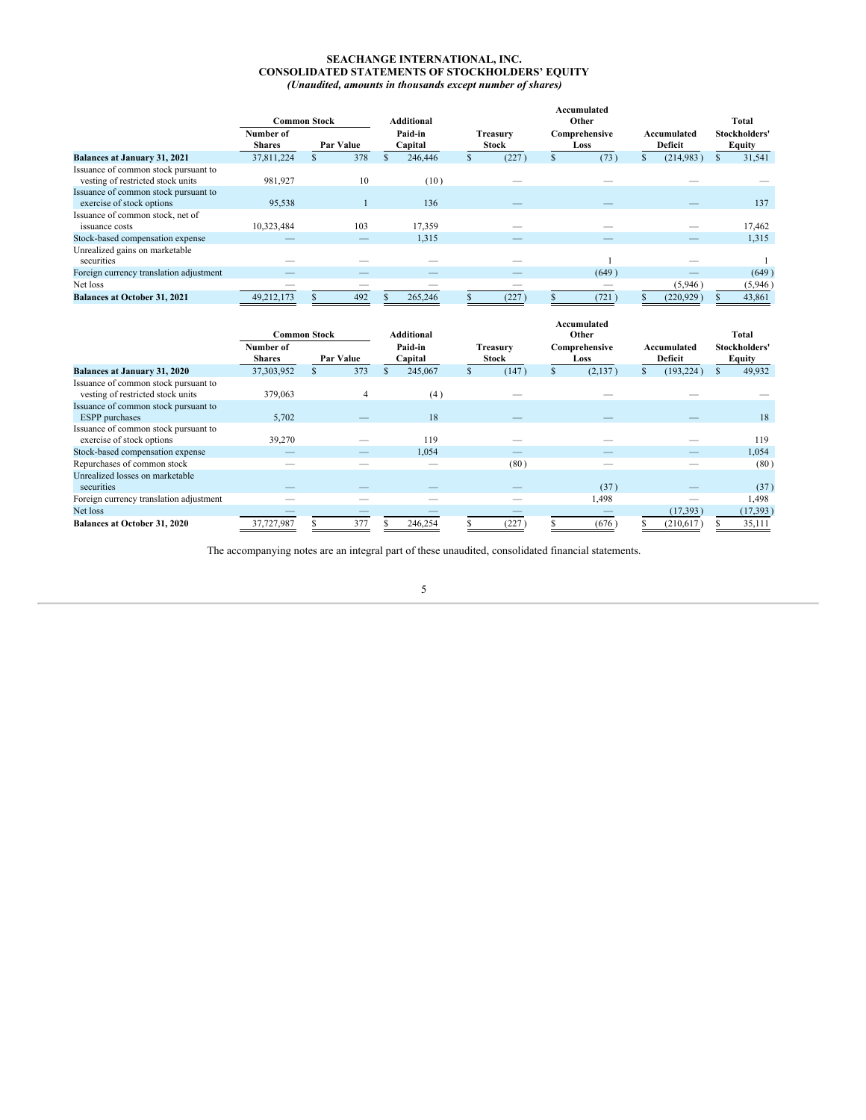#### **SEACHANGE INTERNATIONAL, INC. CONSOLIDATED STATEMENTS OF STOCKHOLDERS' EQUITY** *(Unaudited, amounts in thousands except number of shares)*

|                                                                           | <b>Common Stock</b>        |           | <b>Additional</b>        |    |                          | Accumulated<br>Other  |                        | Total                   |
|---------------------------------------------------------------------------|----------------------------|-----------|--------------------------|----|--------------------------|-----------------------|------------------------|-------------------------|
|                                                                           | Number of<br><b>Shares</b> | Par Value | Paid-in<br>Capital       |    | Treasurv<br><b>Stock</b> | Comprehensive<br>Loss | Accumulated<br>Deficit | Stockholders'<br>Equity |
| Balances at January 31, 2021                                              | 37,811,224                 | 378       | 246,446                  | D. | (227)                    | (73)                  | (214,983)              | 31,541                  |
| Issuance of common stock pursuant to<br>vesting of restricted stock units | 981,927                    | 10        | (10)                     |    |                          |                       |                        |                         |
| Issuance of common stock pursuant to<br>exercise of stock options         | 95,538                     |           | 136                      |    |                          |                       |                        | 137                     |
| Issuance of common stock, net of<br>issuance costs                        | 10,323,484                 | 103       | 17,359                   |    |                          |                       |                        | 17,462                  |
| Stock-based compensation expense                                          |                            |           | 1,315                    |    |                          |                       |                        | 1,315                   |
| Unrealized gains on marketable<br>securities                              |                            |           |                          |    |                          |                       |                        |                         |
| Foreign currency translation adjustment                                   |                            | __        | $\overline{\phantom{a}}$ |    | --                       | (649)                 |                        | (649)                   |
| Net loss                                                                  | __                         | __        | $\overline{\phantom{a}}$ |    | __                       | __                    | (5,946)                | (5,946)                 |
| <b>Balances at October 31, 2021</b>                                       | 49,212,173                 | 492       | 265,246                  |    | (227)                    | (721)                 | (220, 929)             | 43,861                  |

|                                                                           | <b>Common Stock</b>        |           | <b>Additional</b>  |   |                   | Accumulated<br>Other  |    |                               | Total                   |
|---------------------------------------------------------------------------|----------------------------|-----------|--------------------|---|-------------------|-----------------------|----|-------------------------------|-------------------------|
|                                                                           | Number of<br><b>Shares</b> | Par Value | Paid-in<br>Capital |   | Treasury<br>Stock | Comprehensive<br>Loss |    | Accumulated<br><b>Deficit</b> | Stockholders'<br>Equity |
| Balances at January 31, 2020                                              | 37,303,952                 | 373       | 245,067            | ъ | (147)             | (2,137)               |    | (193, 224)                    | 49,932                  |
| Issuance of common stock pursuant to<br>vesting of restricted stock units | 379,063                    | 4         | (4)                |   |                   |                       |    |                               |                         |
| Issuance of common stock pursuant to<br><b>ESPP</b> purchases             | 5,702                      |           | 18                 |   |                   |                       |    |                               | 18                      |
| Issuance of common stock pursuant to<br>exercise of stock options         | 39,270                     |           | 119                |   |                   |                       |    |                               | 119                     |
| Stock-based compensation expense                                          |                            |           | 1,054              |   |                   |                       |    |                               | 1,054                   |
| Repurchases of common stock                                               |                            |           |                    |   | (80)              |                       |    |                               | (80)                    |
| Unrealized losses on marketable<br>securities                             |                            |           |                    |   |                   | (37)                  |    |                               | (37)                    |
| Foreign currency translation adjustment                                   |                            |           |                    |   |                   | 1,498                 |    |                               | 1,498                   |
| Net loss                                                                  |                            |           |                    |   |                   |                       |    | (17, 393)                     | (17, 393)               |
| <b>Balances at October 31, 2020</b>                                       | 37,727,987                 | 377       | 246,254            | S | (227              | (676)                 | D. | (210, 617)                    | 35,111                  |

The accompanying notes are an integral part of these unaudited, consolidated financial statements.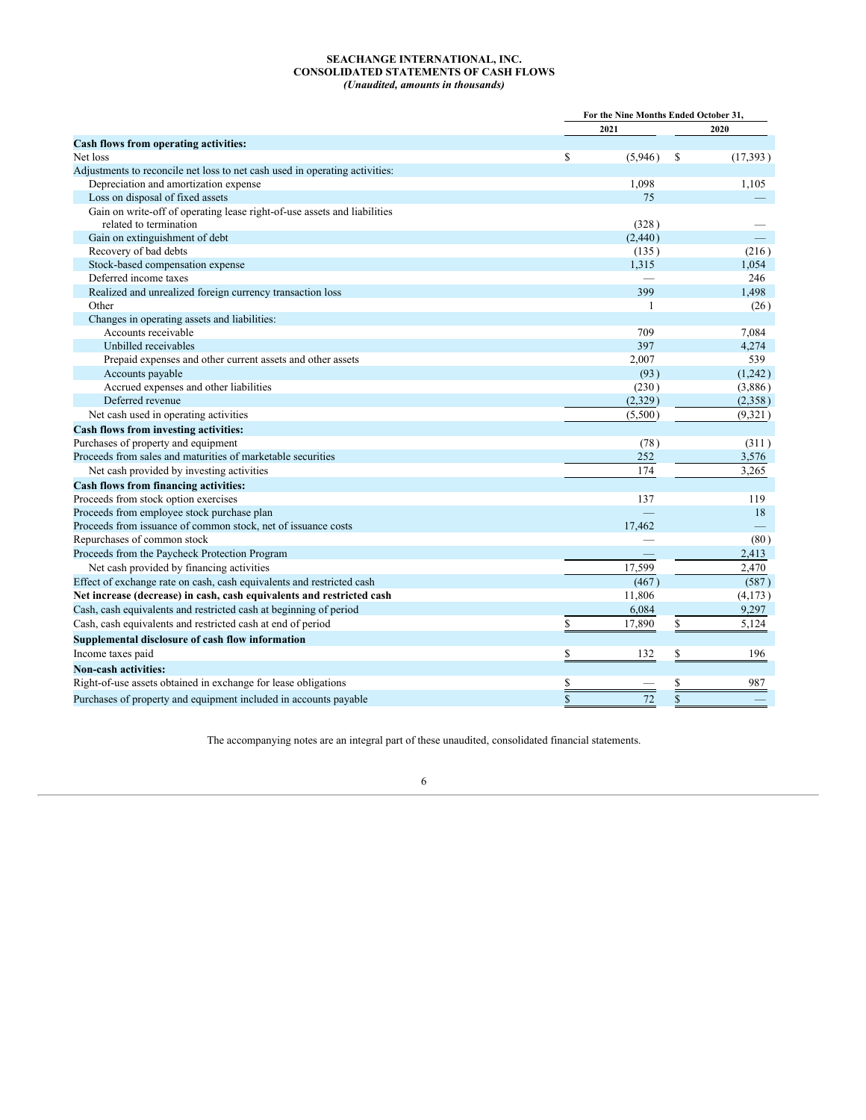#### **SEACHANGE INTERNATIONAL, INC. CONSOLIDATED STATEMENTS OF CASH FLOWS** *(Unaudited, amounts in thousands)*

<span id="page-6-0"></span>

|                                                                                                    | For the Nine Months Ended October 31, |    |              |
|----------------------------------------------------------------------------------------------------|---------------------------------------|----|--------------|
|                                                                                                    | 2021                                  |    | 2020         |
| Cash flows from operating activities:                                                              |                                       |    |              |
| Net loss                                                                                           | \$<br>(5,946)                         | S. | (17, 393)    |
| Adjustments to reconcile net loss to net cash used in operating activities:                        |                                       |    |              |
| Depreciation and amortization expense                                                              | 1,098                                 |    | 1,105        |
| Loss on disposal of fixed assets                                                                   | 75                                    |    |              |
| Gain on write-off of operating lease right-of-use assets and liabilities<br>related to termination | (328)                                 |    |              |
| Gain on extinguishment of debt                                                                     | (2,440)                               |    |              |
|                                                                                                    |                                       |    | (216)        |
| Recovery of bad debts                                                                              | (135)                                 |    |              |
| Stock-based compensation expense<br>Deferred income taxes                                          | 1,315                                 |    | 1,054<br>246 |
|                                                                                                    | 399                                   |    |              |
| Realized and unrealized foreign currency transaction loss                                          | 1                                     |    | 1,498        |
| Other                                                                                              |                                       |    | (26)         |
| Changes in operating assets and liabilities:<br>Accounts receivable                                | 709                                   |    |              |
| Unbilled receivables                                                                               | 397                                   |    | 7,084        |
|                                                                                                    |                                       |    | 4,274        |
| Prepaid expenses and other current assets and other assets                                         | 2,007                                 |    | 539          |
| Accounts payable                                                                                   | (93)                                  |    | (1,242)      |
| Accrued expenses and other liabilities<br>Deferred revenue                                         | (230)                                 |    | (3,886)      |
|                                                                                                    | (2,329)                               |    | (2,358)      |
| Net cash used in operating activities                                                              | (5,500)                               |    | (9,321)      |
| Cash flows from investing activities:                                                              |                                       |    |              |
| Purchases of property and equipment                                                                | (78)                                  |    | (311)        |
| Proceeds from sales and maturities of marketable securities                                        | 252                                   |    | 3,576        |
| Net cash provided by investing activities                                                          | 174                                   |    | 3,265        |
| Cash flows from financing activities:                                                              |                                       |    |              |
| Proceeds from stock option exercises                                                               | 137                                   |    | 119          |
| Proceeds from employee stock purchase plan                                                         |                                       |    | 18           |
| Proceeds from issuance of common stock, net of issuance costs                                      | 17,462                                |    |              |
| Repurchases of common stock                                                                        |                                       |    | (80)         |
| Proceeds from the Paycheck Protection Program                                                      |                                       |    | 2,413        |
| Net cash provided by financing activities                                                          | 17,599                                |    | 2,470        |
| Effect of exchange rate on cash, cash equivalents and restricted cash                              | (467)                                 |    | (587)        |
| Net increase (decrease) in cash, cash equivalents and restricted cash                              | 11,806                                |    | (4, 173)     |
| Cash, cash equivalents and restricted cash at beginning of period                                  | 6,084                                 |    | 9,297        |
| Cash, cash equivalents and restricted cash at end of period                                        | \$<br>17,890                          | \$ | 5,124        |
| Supplemental disclosure of cash flow information                                                   |                                       |    |              |
| Income taxes paid                                                                                  | \$<br>132                             | \$ | 196          |
| Non-cash activities:                                                                               |                                       |    |              |
| Right-of-use assets obtained in exchange for lease obligations                                     | \$                                    | \$ | 987          |
| Purchases of property and equipment included in accounts payable                                   | \$<br>72                              | \$ |              |

The accompanying notes are an integral part of these unaudited, consolidated financial statements.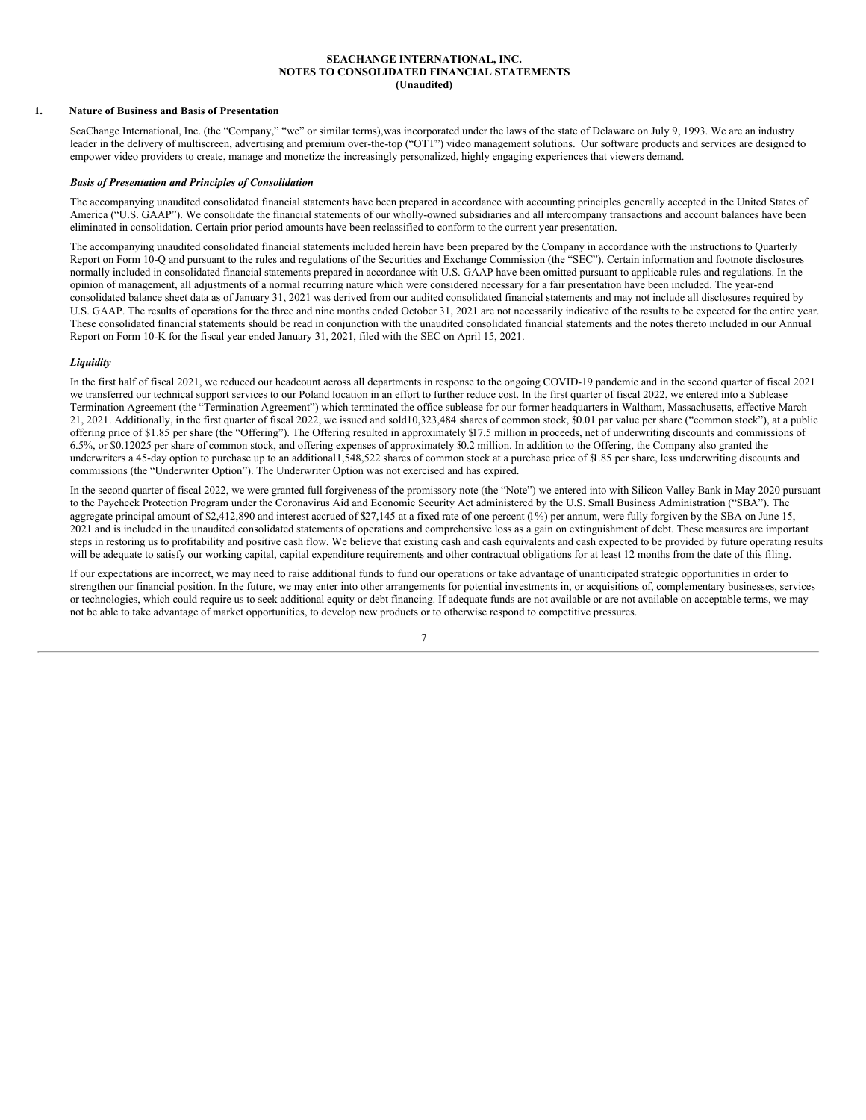#### **SEACHANGE INTERNATIONAL, INC. NOTES TO CONSOLIDATED FINANCIAL STATEMENTS (Unaudited)**

#### <span id="page-7-0"></span>**1. Nature of Business and Basis of Presentation**

SeaChange International, Inc. (the "Company," "we" or similar terms), was incorporated under the laws of the state of Delaware on July 9, 1993. We are an industry leader in the delivery of multiscreen, advertising and premium over-the-top ("OTT") video management solutions. Our software products and services are designed to empower video providers to create, manage and monetize the increasingly personalized, highly engaging experiences that viewers demand.

#### *Basis of Presentation and Principles of Consolidation*

The accompanying unaudited consolidated financial statements have been prepared in accordance with accounting principles generally accepted in the United States of America ("U.S. GAAP"). We consolidate the financial statements of our wholly-owned subsidiaries and all intercompany transactions and account balances have been eliminated in consolidation. Certain prior period amounts have been reclassified to conform to the current year presentation.

The accompanying unaudited consolidated financial statements included herein have been prepared by the Company in accordance with the instructions to Quarterly Report on Form 10-Q and pursuant to the rules and regulations of the Securities and Exchange Commission (the "SEC"). Certain information and footnote disclosures normally included in consolidated financial statements prepared in accordance with U.S. GAAP have been omitted pursuant to applicable rules and regulations. In the opinion of management, all adjustments of a normal recurring nature which were considered necessary for a fair presentation have been included. The year-end consolidated balance sheet data as of January 31, 2021 was derived from our audited consolidated financial statements and may not include all disclosures required by U.S. GAAP. The results of operations for the three and nine months ended October 31, 2021 are not necessarily indicative of the results to be expected for the entire year. These consolidated financial statements should be read in conjunction with the unaudited consolidated financial statements and the notes thereto included in our Annual Report on Form 10-K for the fiscal year ended January 31, 2021, filed with the SEC on April 15, 2021.

#### *Liquidity*

In the first half of fiscal 2021, we reduced our headcount across all departments in response to the ongoing COVID-19 pandemic and in the second quarter of fiscal 2021 we transferred our technical support services to our Poland location in an effort to further reduce cost. In the first quarter of fiscal 2022, we entered into a Sublease Termination Agreement (the "Termination Agreement") which terminated the office sublease for our former headquarters in Waltham, Massachusetts, effective March 21, 2021. Additionally, in the first quarter of fiscal 2022, we issued and sold10,323,484 shares of common stock, \$0.01 par value per share ("common stock"), at a public offering price of \$1.85 per share (the "Offering"). The Offering resulted in approximately \$17.5 million in proceeds, net of underwriting discounts and commissions of 6.5%, or \$0.12025 per share of common stock, and offering expenses of approximately \$0.2 million. In addition to the Offering, the Company also granted the underwriters a 45-day option to purchase up to an additional1,548,522 shares of common stock at a purchase price of \$1.85 per share, less underwriting discounts and commissions (the "Underwriter Option"). The Underwriter Option was not exercised and has expired.

In the second quarter of fiscal 2022, we were granted full forgiveness of the promissory note (the "Note") we entered into with Silicon Valley Bank in May 2020 pursuant to the Paycheck Protection Program under the Coronavirus Aid and Economic Security Act administered by the U.S. Small Business Administration ("SBA"). The aggregate principal amount of \$2,412,890 and interest accrued of \$27,145 at a fixed rate of one percent (1%) per annum, were fully forgiven by the SBA on June 15, 2021 and is included in the unaudited consolidated statements of operations and comprehensive loss as a gain on extinguishment of debt. These measures are important steps in restoring us to profitability and positive cash flow. We believe that existing cash and cash equivalents and cash expected to be provided by future operating results will be adequate to satisfy our working capital, capital expenditure requirements and other contractual obligations for at least 12 months from the date of this filing.

If our expectations are incorrect, we may need to raise additional funds to fund our operations or take advantage of unanticipated strategic opportunities in order to strengthen our financial position. In the future, we may enter into other arrangements for potential investments in, or acquisitions of, complementary businesses, services or technologies, which could require us to seek additional equity or debt financing. If adequate funds are not available or are not available on acceptable terms, we may not be able to take advantage of market opportunities, to develop new products or to otherwise respond to competitive pressures.

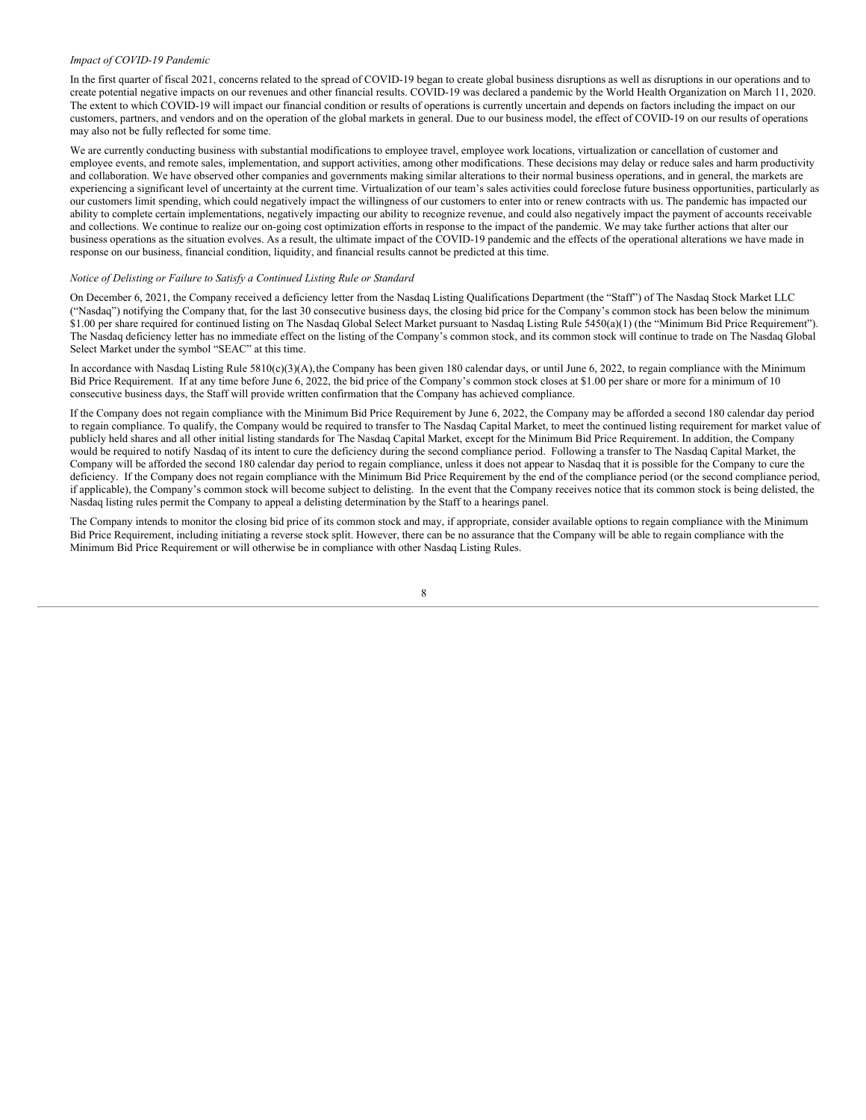#### *Impact of COVID-19 Pandemic*

In the first quarter of fiscal 2021, concerns related to the spread of COVID-19 began to create global business disruptions as well as disruptions in our operations and to create potential negative impacts on our revenues and other financial results. COVID-19 was declared a pandemic by the World Health Organization on March 11, 2020. The extent to which COVID-19 will impact our financial condition or results of operations is currently uncertain and depends on factors including the impact on our customers, partners, and vendors and on the operation of the global markets in general. Due to our business model, the effect of COVID-19 on our results of operations may also not be fully reflected for some time.

We are currently conducting business with substantial modifications to employee travel, employee work locations, virtualization or cancellation of customer and employee events, and remote sales, implementation, and support activities, among other modifications. These decisions may delay or reduce sales and harm productivity and collaboration. We have observed other companies and governments making similar alterations to their normal business operations, and in general, the markets are experiencing a significant level of uncertainty at the current time. Virtualization of our team's sales activities could foreclose future business opportunities, particularly as our customers limit spending, which could negatively impact the willingness of our customers to enter into or renew contracts with us. The pandemic has impacted our ability to complete certain implementations, negatively impacting our ability to recognize revenue, and could also negatively impact the payment of accounts receivable and collections. We continue to realize our on-going cost optimization efforts in response to the impact of the pandemic. We may take further actions that alter our business operations as the situation evolves. As a result, the ultimate impact of the COVID-19 pandemic and the effects of the operational alterations we have made in response on our business, financial condition, liquidity, and financial results cannot be predicted at this time.

#### *Notice of Delisting or Failure to Satisfy a Continued Listing Rule or Standard*

On December 6, 2021, the Company received a deficiency letter from the Nasdaq Listing Qualifications Department (the "Staff") of The Nasdaq Stock Market LLC ("Nasdaq") notifying the Company that, for the last 30 consecutive business days, the closing bid price for the Company's common stock has been below the minimum \$1.00 per share required for continued listing on The Nasdaq Global Select Market pursuant to Nasdaq Listing Rule 5450(a)(1) (the "Minimum Bid Price Requirement"). The Nasdaq deficiency letter has no immediate effect on the listing of the Company's common stock, and its common stock will continue to trade on The Nasdaq Global Select Market under the symbol "SEAC" at this time.

In accordance with Nasdaq Listing Rule 5810(c)(3)(A), the Company has been given 180 calendar days, or until June 6, 2022, to regain compliance with the Minimum Bid Price Requirement. If at any time before June 6, 2022, the bid price of the Company's common stock closes at \$1.00 per share or more for a minimum of 10 consecutive business days, the Staff will provide written confirmation that the Company has achieved compliance.

If the Company does not regain compliance with the Minimum Bid Price Requirement by June 6, 2022, the Company may be afforded a second 180 calendar day period to regain compliance. To qualify, the Company would be required to transfer to The Nasdaq Capital Market, to meet the continued listing requirement for market value of publicly held shares and all other initial listing standards for The Nasdaq Capital Market, except for the Minimum Bid Price Requirement. In addition, the Company would be required to notify Nasdaq of its intent to cure the deficiency during the second compliance period. Following a transfer to The Nasdaq Capital Market, the Company will be afforded the second 180 calendar day period to regain compliance, unless it does not appear to Nasdaq that it is possible for the Company to cure the deficiency. If the Company does not regain compliance with the Minimum Bid Price Requirement by the end of the compliance period (or the second compliance period, if applicable), the Company's common stock will become subject to delisting. In the event that the Company receives notice that its common stock is being delisted, the Nasdaq listing rules permit the Company to appeal a delisting determination by the Staff to a hearings panel.

The Company intends to monitor the closing bid price of its common stock and may, if appropriate, consider available options to regain compliance with the Minimum Bid Price Requirement, including initiating a reverse stock split. However, there can be no assurance that the Company will be able to regain compliance with the Minimum Bid Price Requirement or will otherwise be in compliance with other Nasdaq Listing Rules.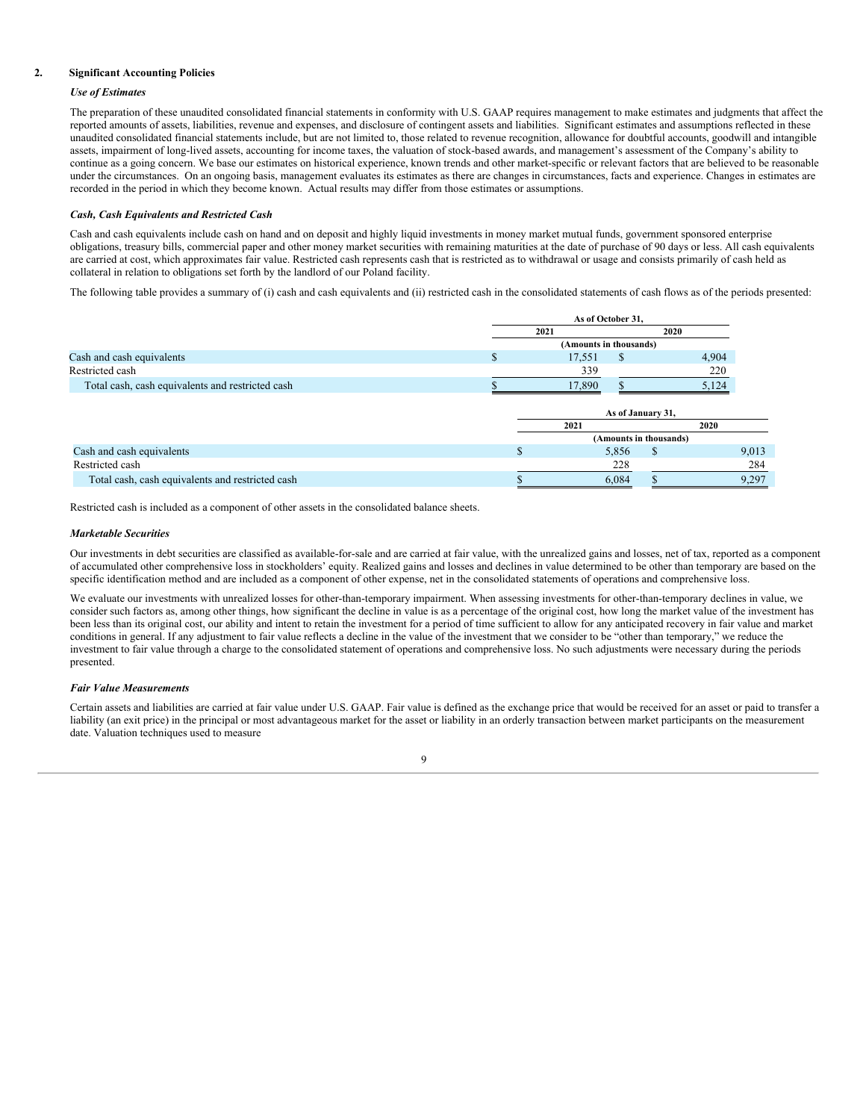#### **2. Significant Accounting Policies**

#### *Use of Estimates*

The preparation of these unaudited consolidated financial statements in conformity with U.S. GAAP requires management to make estimates and judgments that affect the reported amounts of assets, liabilities, revenue and expenses, and disclosure of contingent assets and liabilities. Significant estimates and assumptions reflected in these unaudited consolidated financial statements include, but are not limited to, those related to revenue recognition, allowance for doubtful accounts, goodwill and intangible assets, impairment of long-lived assets, accounting for income taxes, the valuation of stock-based awards, and management's assessment of the Company's ability to continue as a going concern. We base our estimates on historical experience, known trends and other market-specific or relevant factors that are believed to be reasonable under the circumstances. On an ongoing basis, management evaluates its estimates as there are changes in circumstances, facts and experience. Changes in estimates are recorded in the period in which they become known. Actual results may differ from those estimates or assumptions.

#### *Cash, Cash Equivalents and Restricted Cash*

Cash and cash equivalents include cash on hand and on deposit and highly liquid investments in money market mutual funds, government sponsored enterprise obligations, treasury bills, commercial paper and other money market securities with remaining maturities at the date of purchase of 90 days or less. All cash equivalents are carried at cost, which approximates fair value. Restricted cash represents cash that is restricted as to withdrawal or usage and consists primarily of cash held as collateral in relation to obligations set forth by the landlord of our Poland facility.

The following table provides a summary of (i) cash and cash equivalents and (ii) restricted cash in the consolidated statements of cash flows as of the periods presented:

|                                                  | As of October 31,      |       |                        |       |
|--------------------------------------------------|------------------------|-------|------------------------|-------|
|                                                  | 2021                   |       | 2020                   |       |
|                                                  | (Amounts in thousands) |       |                        |       |
| Cash and cash equivalents                        | 17,551                 | S     |                        | 4,904 |
| Restricted cash                                  | 339                    |       |                        | 220   |
| Total cash, cash equivalents and restricted cash | 17,890                 |       |                        | 5,124 |
|                                                  |                        |       | As of January 31,      |       |
|                                                  | 2021                   |       |                        | 2020  |
|                                                  |                        |       | (Amounts in thousands) |       |
| Cash and cash equivalents                        |                        | 5,856 | S                      | 9,013 |
| Restricted cash                                  |                        | 228   |                        | 284   |
| Total cash, cash equivalents and restricted cash |                        | 6.084 |                        | 9.297 |

Restricted cash is included as a component of other assets in the consolidated balance sheets.

#### *Marketable Securities*

Our investments in debt securities are classified as available-for-sale and are carried at fair value, with the unrealized gains and losses, net of tax, reported as a component of accumulated other comprehensive loss in stockholders' equity. Realized gains and losses and declines in value determined to be other than temporary are based on the specific identification method and are included as a component of other expense, net in the consolidated statements of operations and comprehensive loss.

We evaluate our investments with unrealized losses for other-than-temporary impairment. When assessing investments for other-than-temporary declines in value, we consider such factors as, among other things, how significant the decline in value is as a percentage of the original cost, how long the market value of the investment has been less than its original cost, our ability and intent to retain the investment for a period of time sufficient to allow for any anticipated recovery in fair value and market conditions in general. If any adjustment to fair value reflects a decline in the value of the investment that we consider to be "other than temporary," we reduce the investment to fair value through a charge to the consolidated statement of operations and comprehensive loss. No such adjustments were necessary during the periods presented.

#### *Fair Value Measurements*

Certain assets and liabilities are carried at fair value under U.S. GAAP. Fair value is defined as the exchange price that would be received for an asset or paid to transfer a liability (an exit price) in the principal or most advantageous market for the asset or liability in an orderly transaction between market participants on the measurement date. Valuation techniques used to measure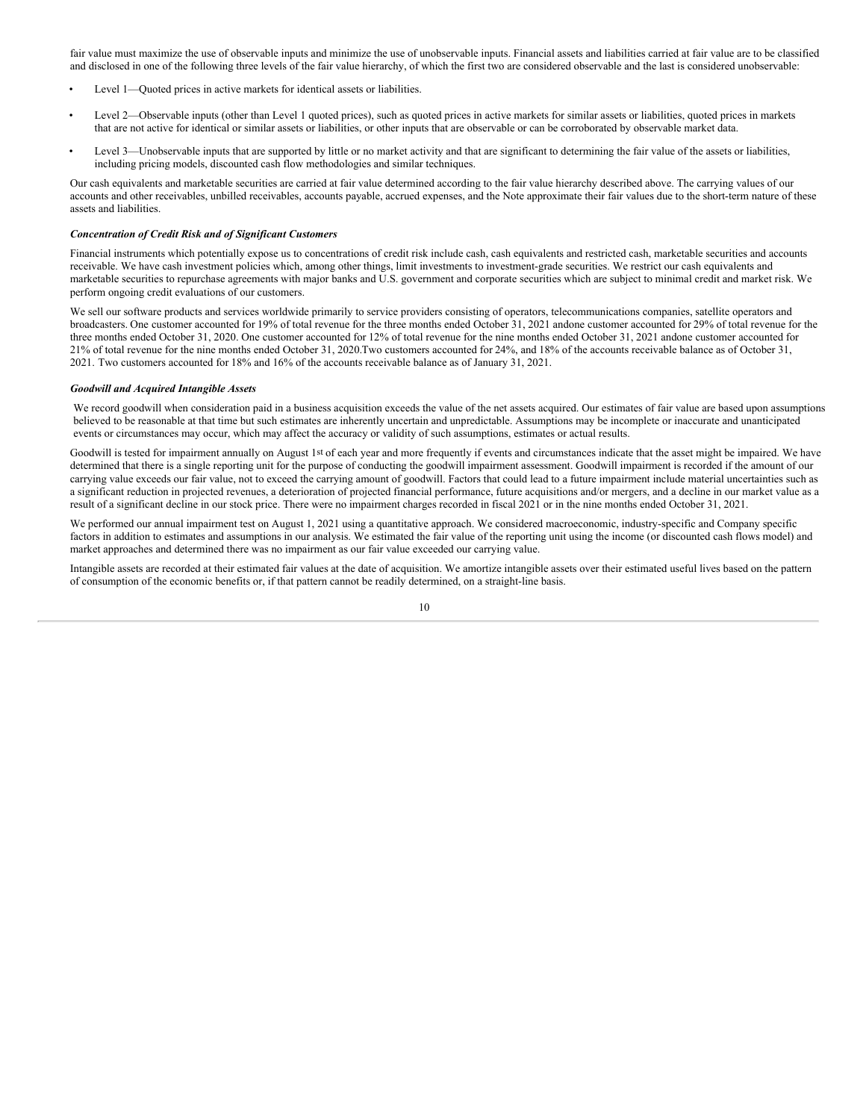fair value must maximize the use of observable inputs and minimize the use of unobservable inputs. Financial assets and liabilities carried at fair value are to be classified and disclosed in one of the following three levels of the fair value hierarchy, of which the first two are considered observable and the last is considered unobservable:

- Level 1—Quoted prices in active markets for identical assets or liabilities.
- Level 2—Observable inputs (other than Level 1 quoted prices), such as quoted prices in active markets for similar assets or liabilities, quoted prices in markets that are not active for identical or similar assets or liabilities, or other inputs that are observable or can be corroborated by observable market data.
- Level 3—Unobservable inputs that are supported by little or no market activity and that are significant to determining the fair value of the assets or liabilities, including pricing models, discounted cash flow methodologies and similar techniques.

Our cash equivalents and marketable securities are carried at fair value determined according to the fair value hierarchy described above. The carrying values of our accounts and other receivables, unbilled receivables, accounts payable, accrued expenses, and the Note approximate their fair values due to the short-term nature of these assets and liabilities.

#### *Concentration of Credit Risk and of Significant Customers*

Financial instruments which potentially expose us to concentrations of credit risk include cash, cash equivalents and restricted cash, marketable securities and accounts receivable. We have cash investment policies which, among other things, limit investments to investment-grade securities. We restrict our cash equivalents and marketable securities to repurchase agreements with major banks and U.S. government and corporate securities which are subject to minimal credit and market risk. We perform ongoing credit evaluations of our customers.

We sell our software products and services worldwide primarily to service providers consisting of operators, telecommunications companies, satellite operators and broadcasters. One customer accounted for 19% of total revenue for the three months ended October 31, 2021 andone customer accounted for 29% of total revenue for the three months ended October 31, 2020. One customer accounted for 12% of total revenue for the nine months ended October 31, 2021 andone customer accounted for 21% of total revenue for the nine months ended October 31, 2020.Two customers accounted for 24%, and 18% of the accounts receivable balance as of October 31, 2021. Two customers accounted for 18% and 16% of the accounts receivable balance as of January 31, 2021.

#### *Goodwill and Acquired Intangible Assets*

We record goodwill when consideration paid in a business acquisition exceeds the value of the net assets acquired. Our estimates of fair value are based upon assumptions believed to be reasonable at that time but such estimates are inherently uncertain and unpredictable. Assumptions may be incomplete or inaccurate and unanticipated events or circumstances may occur, which may affect the accuracy or validity of such assumptions, estimates or actual results.

Goodwill is tested for impairment annually on August 1st of each year and more frequently if events and circumstances indicate that the asset might be impaired. We have determined that there is a single reporting unit for the purpose of conducting the goodwill impairment assessment. Goodwill impairment is recorded if the amount of our carrying value exceeds our fair value, not to exceed the carrying amount of goodwill. Factors that could lead to a future impairment include material uncertainties such as a significant reduction in projected revenues, a deterioration of projected financial performance, future acquisitions and/or mergers, and a decline in our market value as a result of a significant decline in our stock price. There were no impairment charges recorded in fiscal 2021 or in the nine months ended October 31, 2021.

We performed our annual impairment test on August 1, 2021 using a quantitative approach. We considered macroeconomic, industry-specific and Company specific factors in addition to estimates and assumptions in our analysis. We estimated the fair value of the reporting unit using the income (or discounted cash flows model) and market approaches and determined there was no impairment as our fair value exceeded our carrying value.

Intangible assets are recorded at their estimated fair values at the date of acquisition. We amortize intangible assets over their estimated useful lives based on the pattern of consumption of the economic benefits or, if that pattern cannot be readily determined, on a straight-line basis.

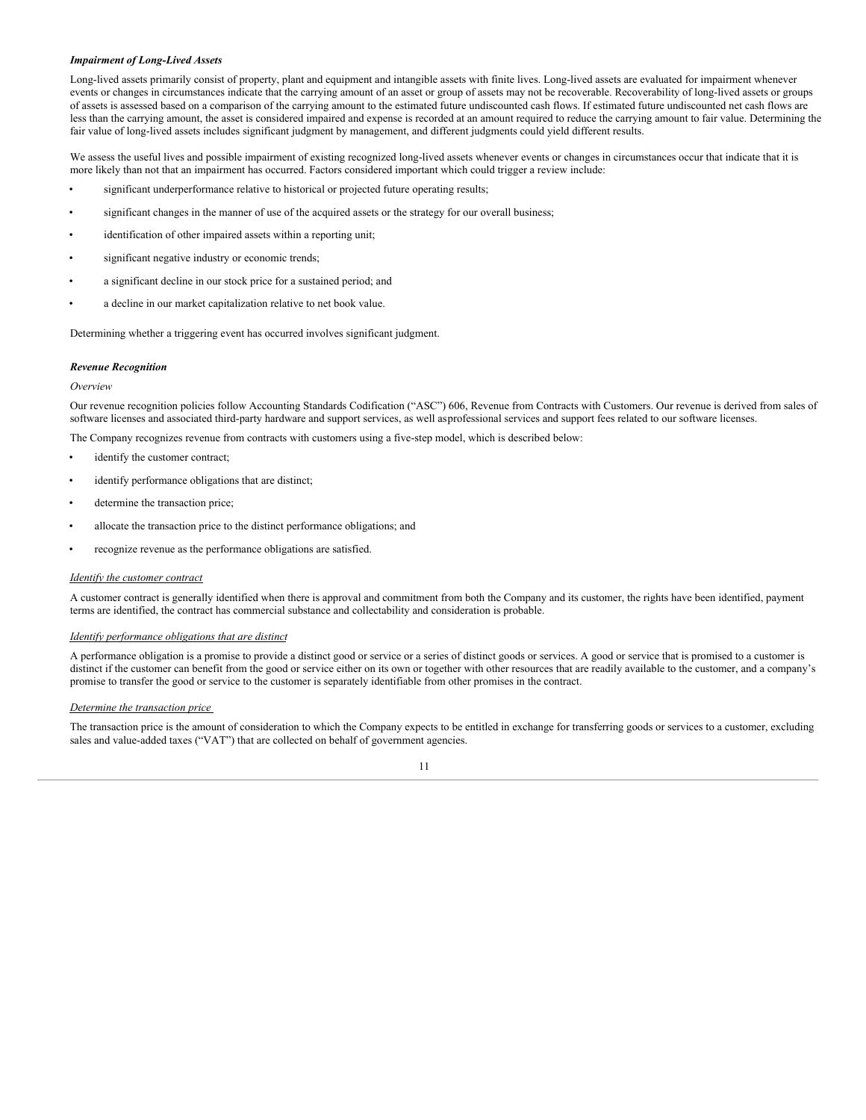#### *Impairment of Long-Lived Assets*

Long-lived assets primarily consist of property, plant and equipment and intangible assets with finite lives. Long-lived assets are evaluated for impairment whenever events or changes in circumstances indicate that the carrying amount of an asset or group of assets may not be recoverable. Recoverability of long-lived assets or groups of assets is assessed based on a comparison of the carrying amount to the estimated future undiscounted cash flows. If estimated future undiscounted net cash flows are less than the carrying amount, the asset is considered impaired and expense is recorded at an amount required to reduce the carrying amount to fair value. Determining the fair value of long-lived assets includes significant judgment by management, and different judgments could yield different results.

We assess the useful lives and possible impairment of existing recognized long-lived assets whenever events or changes in circumstances occur that indicate that it is more likely than not that an impairment has occurred. Factors considered important which could trigger a review include:

- significant underperformance relative to historical or projected future operating results;
- significant changes in the manner of use of the acquired assets or the strategy for our overall business;
- identification of other impaired assets within a reporting unit;
- significant negative industry or economic trends;
- a significant decline in our stock price for a sustained period; and
- a decline in our market capitalization relative to net book value.

Determining whether a triggering event has occurred involves significant judgment.

#### *Revenue Recognition*

#### *Overview*

Our revenue recognition policies follow Accounting Standards Codification ("ASC") 606, Revenue from Contracts with Customers. Our revenue is derived from sales of software licenses and associated third-party hardware and support services, as well asprofessional services and support fees related to our software licenses.

The Company recognizes revenue from contracts with customers using a five-step model, which is described below:

- identify the customer contract;
- identify performance obligations that are distinct;
- determine the transaction price;
- allocate the transaction price to the distinct performance obligations; and
- recognize revenue as the performance obligations are satisfied.

#### *Identify the customer contract*

A customer contract is generally identified when there is approval and commitment from both the Company and its customer, the rights have been identified, payment terms are identified, the contract has commercial substance and collectability and consideration is probable.

#### *Identify performance obligations that are distinct*

A performance obligation is a promise to provide a distinct good or service or a series of distinct goods or services. A good or service that is promised to a customer is distinct if the customer can benefit from the good or service either on its own or together with other resources that are readily available to the customer, and a company's promise to transfer the good or service to the customer is separately identifiable from other promises in the contract.

#### *Determine the transaction price*

The transaction price is the amount of consideration to which the Company expects to be entitled in exchange for transferring goods or services to a customer, excluding sales and value-added taxes ("VAT") that are collected on behalf of government agencies.

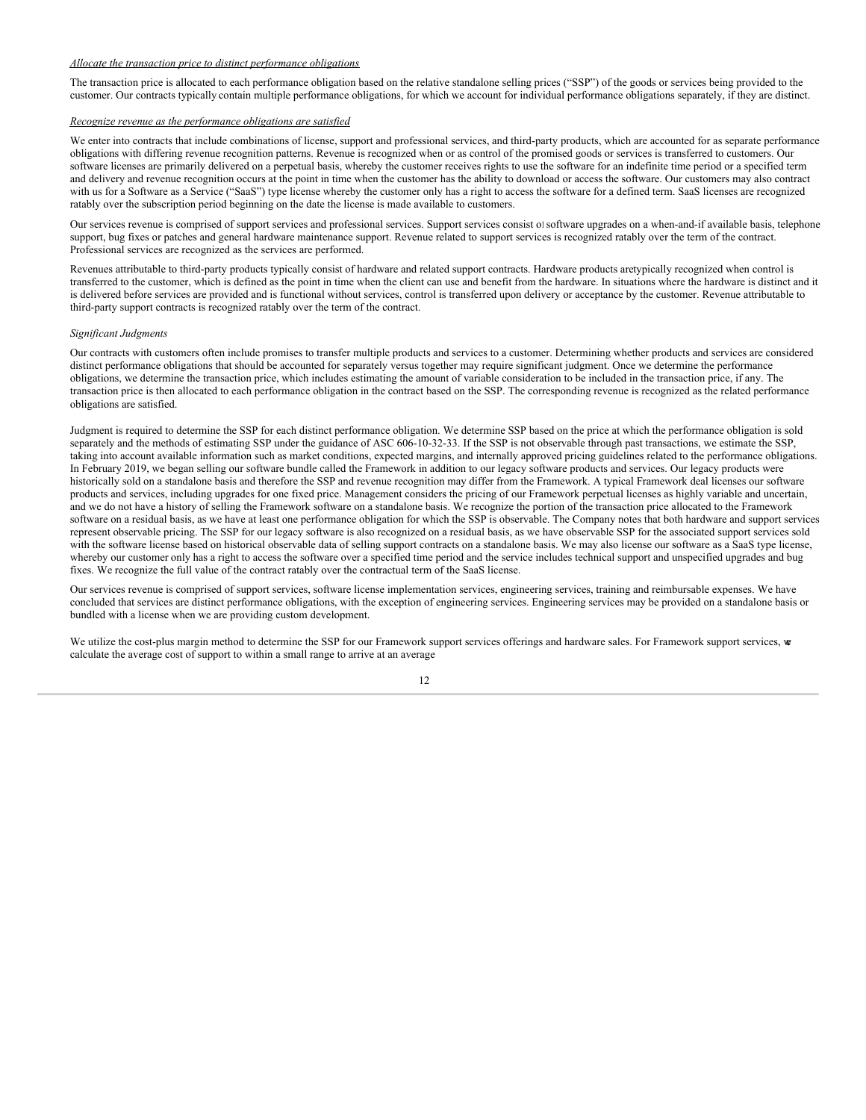#### *Allocate the transaction price to distinct performance obligations*

The transaction price is allocated to each performance obligation based on the relative standalone selling prices ("SSP") of the goods or services being provided to the customer. Our contracts typically contain multiple performance obligations, for which we account for individual performance obligations separately, if they are distinct.

#### *Recognize revenue as the performance obligations are satisfied*

We enter into contracts that include combinations of license, support and professional services, and third-party products, which are accounted for as separate performance obligations with differing revenue recognition patterns. Revenue is recognized when or as control of the promised goods or services is transferred to customers. Our software licenses are primarily delivered on a perpetual basis, whereby the customer receives rights to use the software for an indefinite time period or a specified term and delivery and revenue recognition occurs at the point in time when the customer has the ability to download or access the software. Our customers may also contract with us for a Software as a Service ("SaaS") type license whereby the customer only has a right to access the software for a defined term. SaaS licenses are recognized ratably over the subscription period beginning on the date the license is made available to customers.

Our services revenue is comprised of support services and professional services. Support services consist of software upgrades on a when-and-if available basis, telephone support, bug fixes or patches and general hardware maintenance support. Revenue related to support services is recognized ratably over the term of the contract. Professional services are recognized as the services are performed.

Revenues attributable to third-party products typically consist of hardware and related support contracts. Hardware products aretypically recognized when control is transferred to the customer, which is defined as the point in time when the client can use and benefit from the hardware. In situations where the hardware is distinct and it is delivered before services are provided and is functional without services, control is transferred upon delivery or acceptance by the customer. Revenue attributable to third-party support contracts is recognized ratably over the term of the contract.

#### *Significant Judgments*

Our contracts with customers often include promises to transfer multiple products and services to a customer. Determining whether products and services are considered distinct performance obligations that should be accounted for separately versus together may require significant judgment. Once we determine the performance obligations, we determine the transaction price, which includes estimating the amount of variable consideration to be included in the transaction price, if any. The transaction price is then allocated to each performance obligation in the contract based on the SSP. The corresponding revenue is recognized as the related performance obligations are satisfied.

Judgment is required to determine the SSP for each distinct performance obligation. We determine SSP based on the price at which the performance obligation is sold separately and the methods of estimating SSP under the guidance of ASC 606-10-32-33. If the SSP is not observable through past transactions, we estimate the SSP, taking into account available information such as market conditions, expected margins, and internally approved pricing guidelines related to the performance obligations. In February 2019, we began selling our software bundle called the Framework in addition to our legacy software products and services. Our legacy products were historically sold on a standalone basis and therefore the SSP and revenue recognition may differ from the Framework. A typical Framework deal licenses our software products and services, including upgrades for one fixed price. Management considers the pricing of our Framework perpetual licenses as highly variable and uncertain, and we do not have a history of selling the Framework software on a standalone basis. We recognize the portion of the transaction price allocated to the Framework software on a residual basis, as we have at least one performance obligation for which the SSP is observable. The Company notes that both hardware and support services represent observable pricing. The SSP for our legacy software is also recognized on a residual basis, as we have observable SSP for the associated support services sold with the software license based on historical observable data of selling support contracts on a standalone basis. We may also license our software as a SaaS type license, whereby our customer only has a right to access the software over a specified time period and the service includes technical support and unspecified upgrades and bug fixes. We recognize the full value of the contract ratably over the contractual term of the SaaS license.

Our services revenue is comprised of support services, software license implementation services, engineering services, training and reimbursable expenses. We have concluded that services are distinct performance obligations, with the exception of engineering services. Engineering services may be provided on a standalone basis or bundled with a license when we are providing custom development.

We utilize the cost-plus margin method to determine the SSP for our Framework support services offerings and hardware sales. For Framework support services, we calculate the average cost of support to within a small range to arrive at an average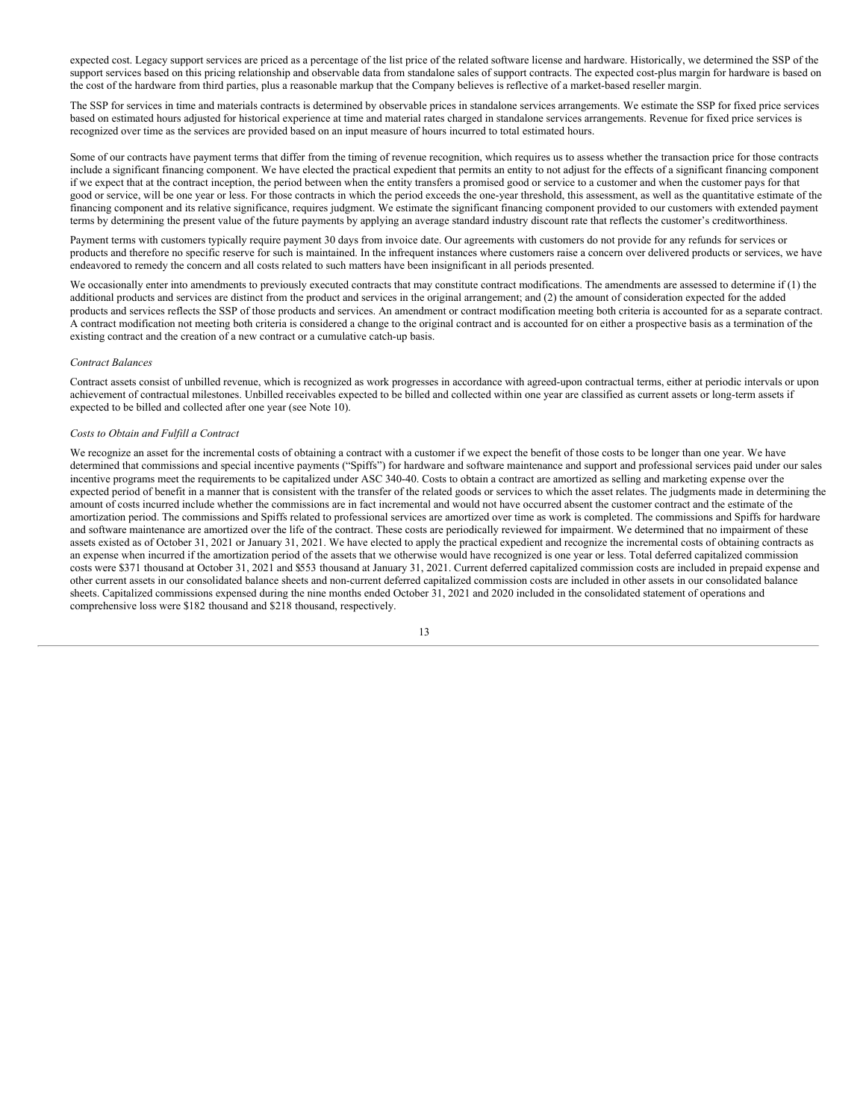expected cost. Legacy support services are priced as a percentage of the list price of the related software license and hardware. Historically, we determined the SSP of the support services based on this pricing relationship and observable data from standalone sales of support contracts. The expected cost-plus margin for hardware is based on the cost of the hardware from third parties, plus a reasonable markup that the Company believes is reflective of a market-based reseller margin.

The SSP for services in time and materials contracts is determined by observable prices in standalone services arrangements. We estimate the SSP for fixed price services based on estimated hours adjusted for historical experience at time and material rates charged in standalone services arrangements. Revenue for fixed price services is recognized over time as the services are provided based on an input measure of hours incurred to total estimated hours.

Some of our contracts have payment terms that differ from the timing of revenue recognition, which requires us to assess whether the transaction price for those contracts include a significant financing component. We have elected the practical expedient that permits an entity to not adjust for the effects of a significant financing component if we expect that at the contract inception, the period between when the entity transfers a promised good or service to a customer and when the customer pays for that good or service, will be one year or less. For those contracts in which the period exceeds the one-year threshold, this assessment, as well as the quantitative estimate of the financing component and its relative significance, requires judgment. We estimate the significant financing component provided to our customers with extended payment terms by determining the present value of the future payments by applying an average standard industry discount rate that reflects the customer's creditworthiness.

Payment terms with customers typically require payment 30 days from invoice date. Our agreements with customers do not provide for any refunds for services or products and therefore no specific reserve for such is maintained. In the infrequent instances where customers raise a concern over delivered products or services, we have endeavored to remedy the concern and all costs related to such matters have been insignificant in all periods presented.

We occasionally enter into amendments to previously executed contracts that may constitute contract modifications. The amendments are assessed to determine if (1) the additional products and services are distinct from the product and services in the original arrangement; and (2) the amount of consideration expected for the added products and services reflects the SSP of those products and services. An amendment or contract modification meeting both criteria is accounted for as a separate contract. A contract modification not meeting both criteria is considered a change to the original contract and is accounted for on either a prospective basis as a termination of the existing contract and the creation of a new contract or a cumulative catch-up basis.

#### *Contract Balances*

Contract assets consist of unbilled revenue, which is recognized as work progresses in accordance with agreed-upon contractual terms, either at periodic intervals or upon achievement of contractual milestones. Unbilled receivables expected to be billed and collected within one year are classified as current assets or long-term assets if expected to be billed and collected after one year (see Note 10).

#### *Costs to Obtain and Fulfill a Contract*

We recognize an asset for the incremental costs of obtaining a contract with a customer if we expect the benefit of those costs to be longer than one year. We have determined that commissions and special incentive payments ("Spiffs") for hardware and software maintenance and support and professional services paid under our sales incentive programs meet the requirements to be capitalized under ASC 340-40. Costs to obtain a contract are amortized as selling and marketing expense over the expected period of benefit in a manner that is consistent with the transfer of the related goods or services to which the asset relates. The judgments made in determining the amount of costs incurred include whether the commissions are in fact incremental and would not have occurred absent the customer contract and the estimate of the amortization period. The commissions and Spiffs related to professional services are amortized over time as work is completed. The commissions and Spiffs for hardware and software maintenance are amortized over the life of the contract. These costs are periodically reviewed for impairment. We determined that no impairment of these assets existed as of October 31, 2021 or January 31, 2021. We have elected to apply the practical expedient and recognize the incremental costs of obtaining contracts as an expense when incurred if the amortization period of the assets that we otherwise would have recognized is one year or less. Total deferred capitalized commission costs were \$371 thousand at October 31, 2021 and \$553 thousand at January 31, 2021. Current deferred capitalized commission costs are included in prepaid expense and other current assets in our consolidated balance sheets and non-current deferred capitalized commission costs are included in other assets in our consolidated balance sheets. Capitalized commissions expensed during the nine months ended October 31, 2021 and 2020 included in the consolidated statement of operations and comprehensive loss were \$182 thousand and \$218 thousand, respectively.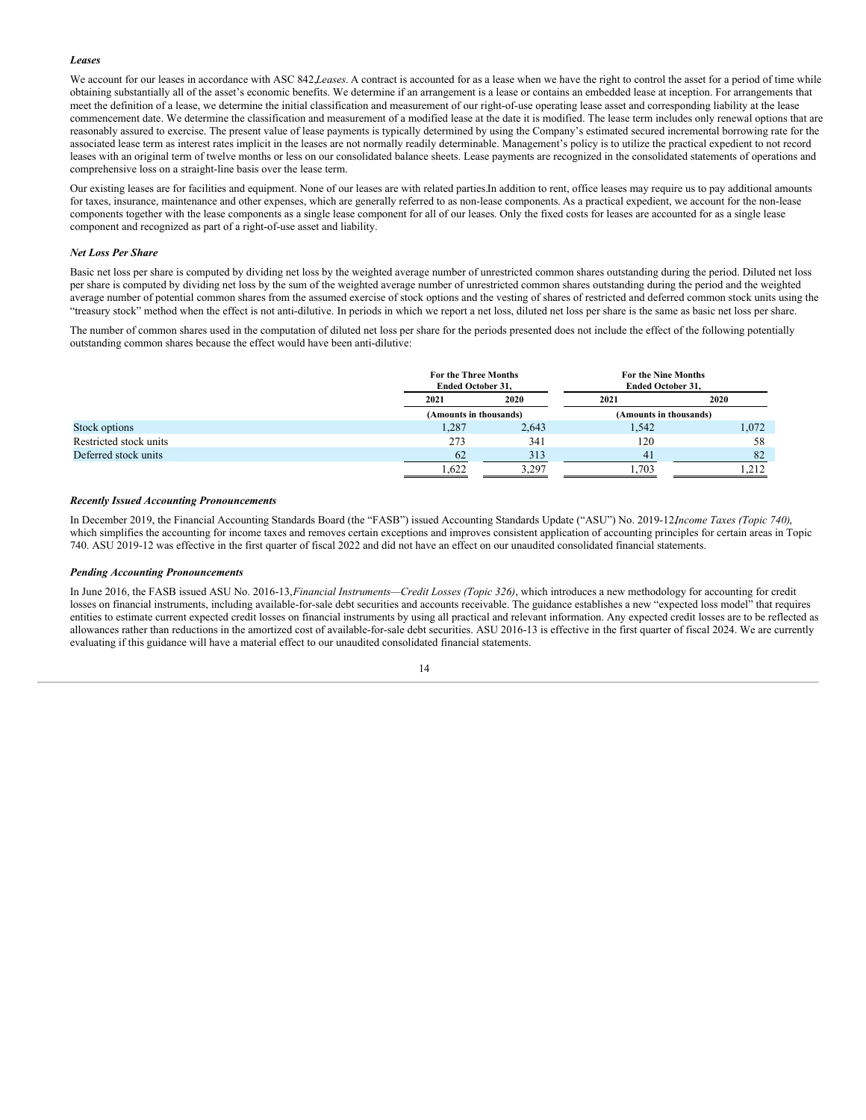#### *Leases*

We account for our leases in accordance with ASC 842,*Leases*. A contract is accounted for as a lease when we have the right to control the asset for a period of time while obtaining substantially all of the asset's economic benefits. We determine if an arrangement is a lease or contains an embedded lease at inception. For arrangements that meet the definition of a lease, we determine the initial classification and measurement of our right-of-use operating lease asset and corresponding liability at the lease commencement date. We determine the classification and measurement of a modified lease at the date it is modified. The lease term includes only renewal options that are reasonably assured to exercise. The present value of lease payments is typically determined by using the Company's estimated secured incremental borrowing rate for the associated lease term as interest rates implicit in the leases are not normally readily determinable. Management's policy is to utilize the practical expedient to not record leases with an original term of twelve months or less on our consolidated balance sheets. Lease payments are recognized in the consolidated statements of operations and comprehensive loss on a straight-line basis over the lease term.

Our existing leases are for facilities and equipment. None of our leases are with related parties.In addition to rent, office leases may require us to pay additional amounts for taxes, insurance, maintenance and other expenses, which are generally referred to as non-lease components. As a practical expedient, we account for the non-lease components together with the lease components as a single lease component for all of our leases. Only the fixed costs for leases are accounted for as a single lease component and recognized as part of a right-of-use asset and liability.

#### *Net Loss Per Share*

Basic net loss per share is computed by dividing net loss by the weighted average number of unrestricted common shares outstanding during the period. Diluted net loss per share is computed by dividing net loss by the sum of the weighted average number of unrestricted common shares outstanding during the period and the weighted average number of potential common shares from the assumed exercise of stock options and the vesting of shares of restricted and deferred common stock units using the "treasury stock" method when the effect is not anti-dilutive. In periods in which we report a net loss, diluted net loss per share is the same as basic net loss per share.

The number of common shares used in the computation of diluted net loss per share for the periods presented does not include the effect of the following potentially outstanding common shares because the effect would have been anti-dilutive:

|                        |       | <b>For the Three Months</b><br><b>Ended October 31.</b> |       | <b>For the Nine Months</b><br><b>Ended October 31.</b> |
|------------------------|-------|---------------------------------------------------------|-------|--------------------------------------------------------|
|                        | 2021  | 2020                                                    | 2021  | 2020                                                   |
|                        |       | (Amounts in thousands)                                  |       | (Amounts in thousands)                                 |
| Stock options          | 1.287 | 2.643                                                   | 1.542 | 1.072                                                  |
| Restricted stock units | 273   | 341                                                     | 120   | 58                                                     |
| Deferred stock units   | 62    | 313                                                     | 41    | 82                                                     |
|                        | 1.622 | 3.297                                                   | 1.703 | .212                                                   |

#### *Recently Issued Accounting Pronouncements*

In December 2019, the Financial Accounting Standards Board (the "FASB") issued Accounting Standards Update ("ASU") No. 2019-12,*Income Taxes (Topic 740)*, which simplifies the accounting for income taxes and removes certain exceptions and improves consistent application of accounting principles for certain areas in Topic 740. ASU 2019-12 was effective in the first quarter of fiscal 2022 and did not have an effect on our unaudited consolidated financial statements.

#### *Pending Accounting Pronouncements*

In June 2016, the FASB issued ASU No. 2016-13,*Financial Instruments—Credit Losses (Topic 326)*, which introduces a new methodology for accounting for credit losses on financial instruments, including available-for-sale debt securities and accounts receivable. The guidance establishes a new "expected loss model" that requires entities to estimate current expected credit losses on financial instruments by using all practical and relevant information. Any expected credit losses are to be reflected as allowances rather than reductions in the amortized cost of available-for-sale debt securities. ASU 2016-13 is effective in the first quarter of fiscal 2024. We are currently evaluating if this guidance will have a material effect to our unaudited consolidated financial statements.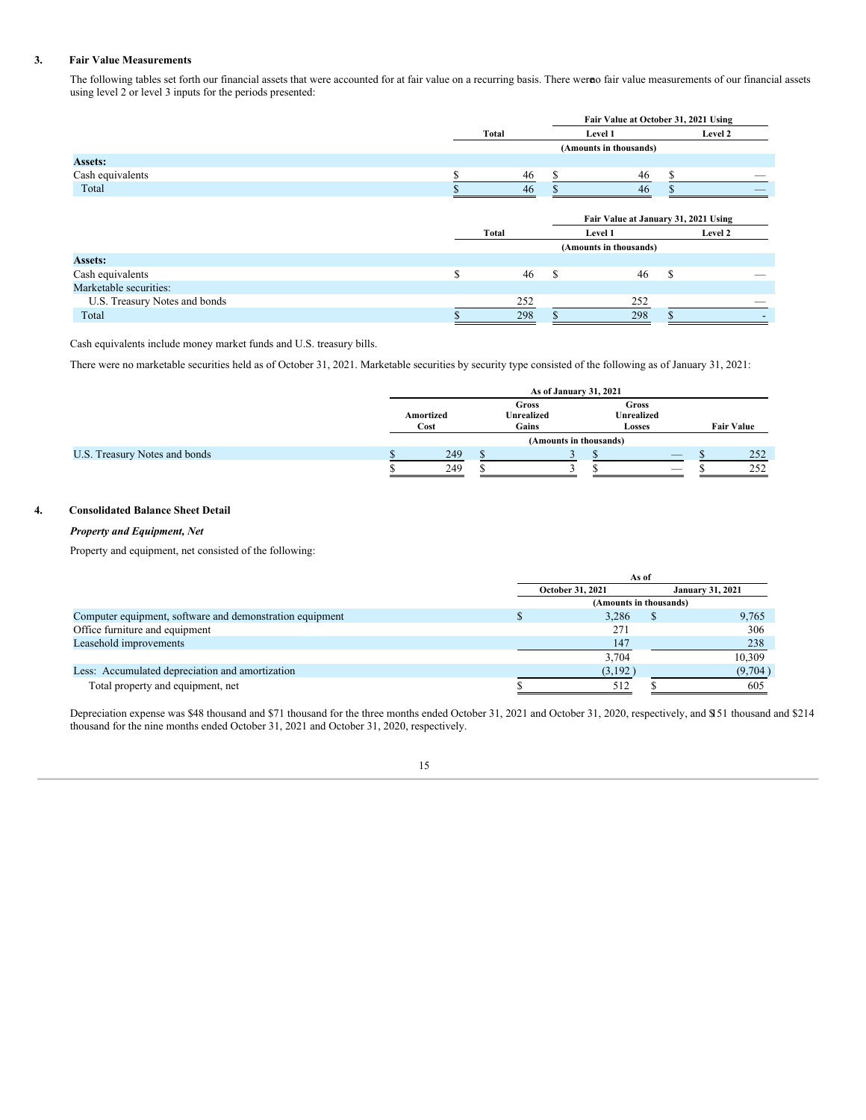#### **3. Fair Value Measurements**

The following tables set forth our financial assets that were accounted for at fair value on a recurring basis. There wereno fair value measurements of our financial assets using level 2 or level 3 inputs for the periods presented:

|        |     |                              | Level 1 |                                                  | Level 2 |                                                                              |
|--------|-----|------------------------------|---------|--------------------------------------------------|---------|------------------------------------------------------------------------------|
|        |     |                              |         |                                                  |         |                                                                              |
|        |     |                              |         |                                                  |         |                                                                              |
|        | 46  |                              | 46      | S                                                |         |                                                                              |
|        | 46  |                              | 46      |                                                  |         |                                                                              |
|        |     |                              |         |                                                  |         |                                                                              |
|        |     |                              |         |                                                  |         |                                                                              |
|        |     |                              | Level 1 |                                                  | Level 2 |                                                                              |
|        |     |                              |         |                                                  |         |                                                                              |
|        |     |                              |         |                                                  |         |                                                                              |
| ¢<br>ъ | 46  | S                            | 46      | S                                                |         |                                                                              |
|        |     |                              |         |                                                  |         |                                                                              |
|        | 252 |                              | 252     |                                                  |         |                                                                              |
|        | 298 |                              | 298     |                                                  |         |                                                                              |
|        |     | <b>Total</b><br><b>Total</b> |         | (Amounts in thousands)<br>(Amounts in thousands) |         | Fair Value at October 31, 2021 Using<br>Fair Value at January 31, 2021 Using |

Cash equivalents include money market funds and U.S. treasury bills.

There were no marketable securities held as of October 31, 2021. Marketable securities by security type consisted of the following as of January 31, 2021:

|                               |  | As of January 31, 2021 |  |                        |  |                          |  |                            |  |                                             |  |                   |
|-------------------------------|--|------------------------|--|------------------------|--|--------------------------|--|----------------------------|--|---------------------------------------------|--|-------------------|
|                               |  | Amortized<br>Cost      |  |                        |  | Gains                    |  | Gross<br><b>Unrealized</b> |  | Gross<br><b>Unrealized</b><br><b>Losses</b> |  | <b>Fair Value</b> |
|                               |  |                        |  | (Amounts in thousands) |  |                          |  |                            |  |                                             |  |                   |
| U.S. Treasury Notes and bonds |  | 249                    |  |                        |  | $\overline{\phantom{a}}$ |  | 252                        |  |                                             |  |                   |
|                               |  | 249                    |  |                        |  |                          |  | 252                        |  |                                             |  |                   |

### **4. Consolidated Balance Sheet Detail**

### *Property and Equipment, Net*

Property and equipment, net consisted of the following:

|                                                          | As of                  |                         |
|----------------------------------------------------------|------------------------|-------------------------|
|                                                          | October 31, 2021       | <b>January 31, 2021</b> |
|                                                          | (Amounts in thousands) |                         |
| Computer equipment, software and demonstration equipment | 3.286                  | 9.765                   |
| Office furniture and equipment                           | 271                    | 306                     |
| Leasehold improvements                                   | 147                    | 238                     |
|                                                          | 3.704                  | 10.309                  |
| Less: Accumulated depreciation and amortization          | (3,192)                | (9,704)                 |
| Total property and equipment, net                        | 512                    | 605                     |

Depreciation expense was \$48 thousand and \$71 thousand for the three months ended October 31, 2021 and October 31, 2020, respectively, and \$151 thousand and \$214 thousand for the nine months ended October 31, 2021 and October 31, 2020, respectively.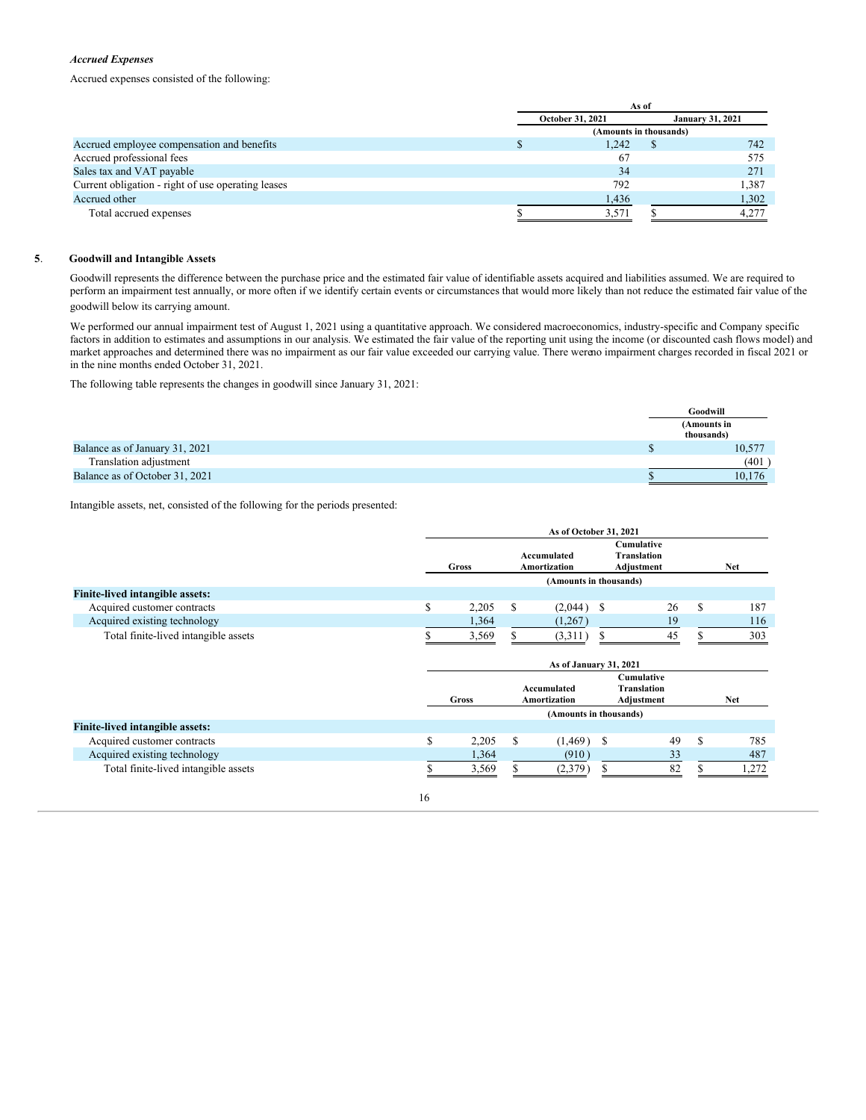### *Accrued Expenses*

Accrued expenses consisted of the following:

|                                                    | As of                   |                        |                         |  |  |  |  |
|----------------------------------------------------|-------------------------|------------------------|-------------------------|--|--|--|--|
|                                                    | <b>October 31, 2021</b> |                        | <b>January 31, 2021</b> |  |  |  |  |
|                                                    |                         | (Amounts in thousands) |                         |  |  |  |  |
| Accrued employee compensation and benefits         |                         | 1.242                  | 742                     |  |  |  |  |
| Accrued professional fees                          |                         | 67                     | 575                     |  |  |  |  |
| Sales tax and VAT payable                          |                         | 34                     | 271                     |  |  |  |  |
| Current obligation - right of use operating leases |                         | 792                    | 1,387                   |  |  |  |  |
| Accrued other                                      |                         | 1,436                  | 1,302                   |  |  |  |  |
| Total accrued expenses                             |                         | 3,571                  | 4.277                   |  |  |  |  |

### **5**. **Goodwill and Intangible Assets**

Goodwill represents the difference between the purchase price and the estimated fair value of identifiable assets acquired and liabilities assumed. We are required to perform an impairment test annually, or more often if we identify certain events or circumstances that would more likely than not reduce the estimated fair value of the goodwill below its carrying amount.

We performed our annual impairment test of August 1, 2021 using a quantitative approach. We considered macroeconomics, industry-specific and Company specific factors in addition to estimates and assumptions in our analysis. We estimated the fair value of the reporting unit using the income (or discounted cash flows model) and market approaches and determined there was no impairment as our fair value exceeded our carrying value. There wereno impairment charges recorded in fiscal 2021 or in the nine months ended October 31, 2021.

The following table represents the changes in goodwill since January 31, 2021:

|                                | Goodwill                  |
|--------------------------------|---------------------------|
|                                | (Amounts in<br>thousands) |
| Balance as of January 31, 2021 | 10,577                    |
| Translation adjustment         | (401)                     |
| Balance as of October 31, 2021 | 10.176                    |

Intangible assets, net, consisted of the following for the periods presented:

|                                        | As of October 31, 2021 |              |                             |                        |                                                |             |    |            |
|----------------------------------------|------------------------|--------------|-----------------------------|------------------------|------------------------------------------------|-------------|----|------------|
|                                        | Gross                  |              | Accumulated<br>Amortization |                        | Cumulative<br><b>Translation</b><br>Adjustment |             |    | <b>Net</b> |
|                                        |                        |              |                             | (Amounts in thousands) |                                                |             |    |            |
| Finite-lived intangible assets:        |                        |              |                             |                        |                                                |             |    |            |
| Acquired customer contracts            | \$                     | 2,205        | \$                          | (2,044)                | -S                                             | 26          | \$ | 187        |
| Acquired existing technology           |                        | 1,364        |                             | (1,267)                |                                                | 19          |    | 116        |
| Total finite-lived intangible assets   |                        | 3,569        |                             | (3,311)                |                                                | 45          |    | 303        |
|                                        |                        |              |                             | As of January 31, 2021 |                                                |             |    |            |
|                                        |                        |              |                             |                        |                                                | Cumulative  |    |            |
|                                        |                        |              |                             | Accumulated            |                                                | Translation |    |            |
|                                        |                        | <b>Gross</b> |                             | <b>Amortization</b>    |                                                | Adjustment  |    | <b>Net</b> |
|                                        |                        |              |                             | (Amounts in thousands) |                                                |             |    |            |
| <b>Finite-lived intangible assets:</b> |                        |              |                             |                        |                                                |             |    |            |
| Acquired customer contracts            | \$                     | 2,205        | S                           | $(1,469)$ \$           |                                                | 49          | \$ | 785        |
| Acquired existing technology           |                        | 1,364        |                             | (910)                  |                                                | 33          |    | 487        |
| Total finite-lived intangible assets   |                        | 3,569        |                             | (2,379)                |                                                | 82          |    | 1,272      |
|                                        | 16                     |              |                             |                        |                                                |             |    |            |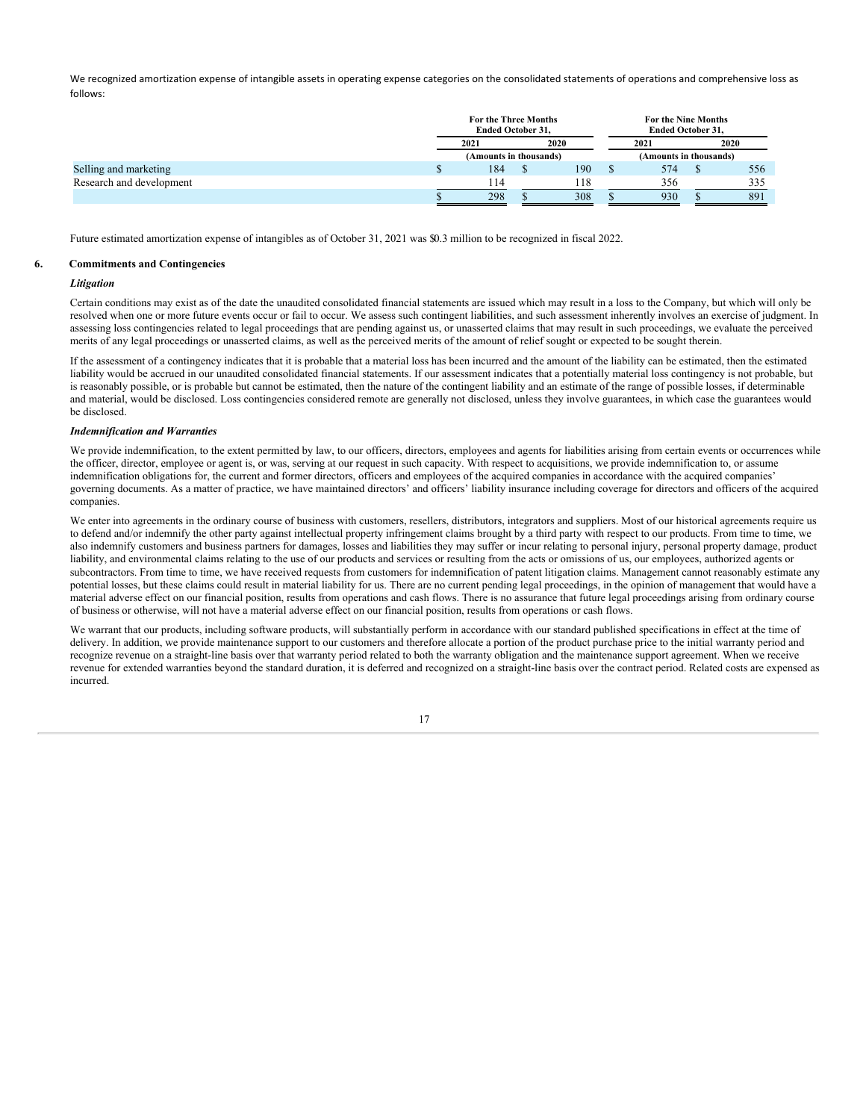We recognized amortization expense of intangible assets in operating expense categories on the consolidated statements of operations and comprehensive loss as follows:

|                          | For the Three Months<br>Ended October 31, |  |      | For the Nine Months<br><b>Ended October 31.</b> |     |      |     |
|--------------------------|-------------------------------------------|--|------|-------------------------------------------------|-----|------|-----|
|                          | 2020<br>2021                              |  |      | 2021                                            |     | 2020 |     |
|                          | (Amounts in thousands)                    |  |      | (Amounts in thousands)                          |     |      |     |
| Selling and marketing    | 184                                       |  | 190  |                                                 | 574 |      | 556 |
| Research and development | 114                                       |  | ı 18 |                                                 | 356 |      | 335 |
|                          | 298                                       |  | 308  |                                                 | 930 |      | 891 |

Future estimated amortization expense of intangibles as of October 31, 2021 was \$0.3 million to be recognized in fiscal 2022.

#### **6. Commitments and Contingencies**

#### *Litigation*

Certain conditions may exist as of the date the unaudited consolidated financial statements are issued which may result in a loss to the Company, but which will only be resolved when one or more future events occur or fail to occur. We assess such contingent liabilities, and such assessment inherently involves an exercise of judgment. In assessing loss contingencies related to legal proceedings that are pending against us, or unasserted claims that may result in such proceedings, we evaluate the perceived merits of any legal proceedings or unasserted claims, as well as the perceived merits of the amount of relief sought or expected to be sought therein.

If the assessment of a contingency indicates that it is probable that a material loss has been incurred and the amount of the liability can be estimated, then the estimated liability would be accrued in our unaudited consolidated financial statements. If our assessment indicates that a potentially material loss contingency is not probable, but is reasonably possible, or is probable but cannot be estimated, then the nature of the contingent liability and an estimate of the range of possible losses, if determinable and material, would be disclosed. Loss contingencies considered remote are generally not disclosed, unless they involve guarantees, in which case the guarantees would be disclosed.

#### *Indemnification and Warranties*

We provide indemnification, to the extent permitted by law, to our officers, directors, employees and agents for liabilities arising from certain events or occurrences while the officer, director, employee or agent is, or was, serving at our request in such capacity. With respect to acquisitions, we provide indemnification to, or assume indemnification obligations for, the current and former directors, officers and employees of the acquired companies in accordance with the acquired companies' governing documents. As a matter of practice, we have maintained directors' and officers' liability insurance including coverage for directors and officers of the acquired companies.

We enter into agreements in the ordinary course of business with customers, resellers, distributors, integrators and suppliers. Most of our historical agreements require us to defend and/or indemnify the other party against intellectual property infringement claims brought by a third party with respect to our products. From time to time, we also indemnify customers and business partners for damages, losses and liabilities they may suffer or incur relating to personal injury, personal property damage, product liability, and environmental claims relating to the use of our products and services or resulting from the acts or omissions of us, our employees, authorized agents or subcontractors. From time to time, we have received requests from customers for indemnification of patent litigation claims. Management cannot reasonably estimate any potential losses, but these claims could result in material liability for us. There are no current pending legal proceedings, in the opinion of management that would have a material adverse effect on our financial position, results from operations and cash flows. There is no assurance that future legal proceedings arising from ordinary course of business or otherwise, will not have a material adverse effect on our financial position, results from operations or cash flows.

We warrant that our products, including software products, will substantially perform in accordance with our standard published specifications in effect at the time of delivery. In addition, we provide maintenance support to our customers and therefore allocate a portion of the product purchase price to the initial warranty period and recognize revenue on a straight-line basis over that warranty period related to both the warranty obligation and the maintenance support agreement. When we receive revenue for extended warranties beyond the standard duration, it is deferred and recognized on a straight-line basis over the contract period. Related costs are expensed as incurred.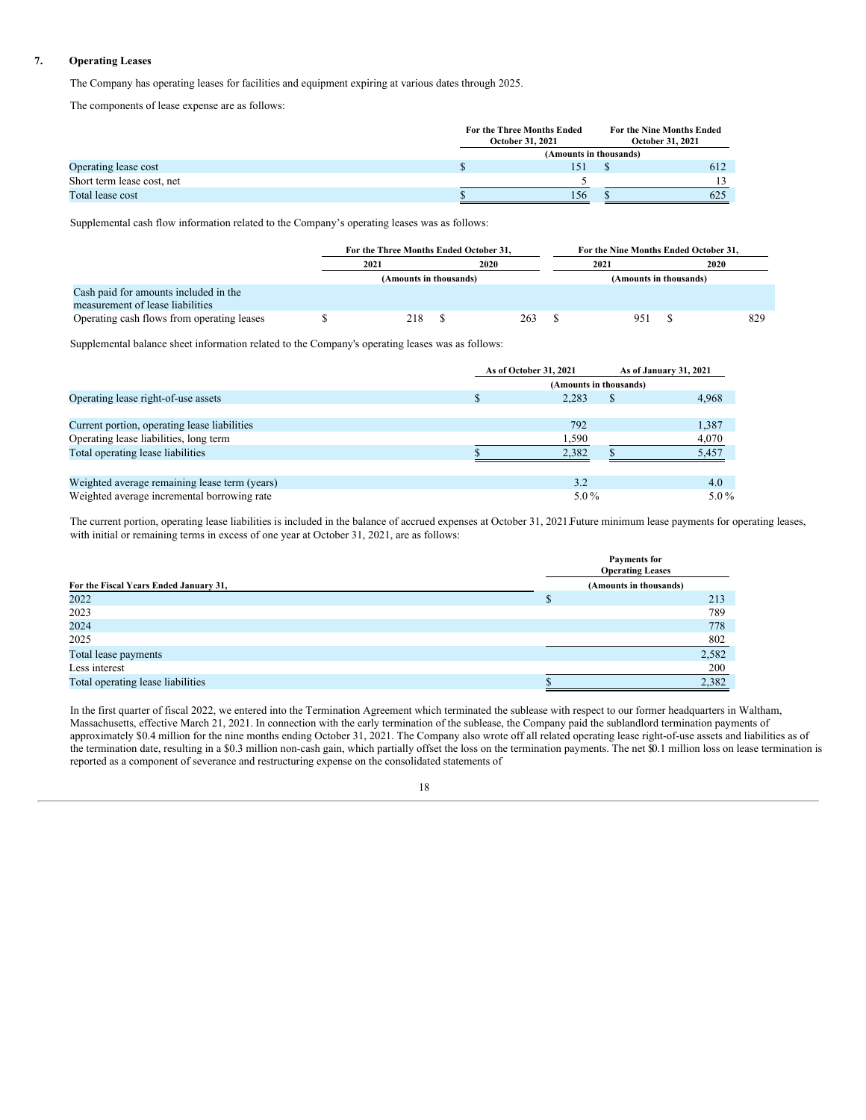### **7. Operating Leases**

The Company has operating leases for facilities and equipment expiring at various dates through 2025.

The components of lease expense are as follows:

|                            | For the Three Months Ended<br><b>October 31, 2021</b> |                        | For the Nine Months Ended<br><b>October 31, 2021</b> |
|----------------------------|-------------------------------------------------------|------------------------|------------------------------------------------------|
|                            |                                                       | (Amounts in thousands) |                                                      |
| Operating lease cost       |                                                       |                        | 612                                                  |
| Short term lease cost, net |                                                       |                        |                                                      |
| Total lease cost           | 156                                                   |                        | 62.                                                  |

Supplemental cash flow information related to the Company's operating leases was as follows:

|                                                                           | For the Three Months Ended October 31. |  |     |  | For the Nine Months Ended October 31. |  |      |  |  |  |
|---------------------------------------------------------------------------|----------------------------------------|--|-----|--|---------------------------------------|--|------|--|--|--|
|                                                                           | 2021<br>2020                           |  |     |  | 2021                                  |  | 2020 |  |  |  |
|                                                                           | (Amounts in thousands)                 |  |     |  | (Amounts in thousands)                |  |      |  |  |  |
| Cash paid for amounts included in the<br>measurement of lease liabilities |                                        |  |     |  |                                       |  |      |  |  |  |
| Operating cash flows from operating leases                                | 218                                    |  | 263 |  | 951                                   |  | 829  |  |  |  |

Supplemental balance sheet information related to the Company's operating leases was as follows:

|                                               | As of October 31, 2021 |                        | As of January 31, 2021 |
|-----------------------------------------------|------------------------|------------------------|------------------------|
|                                               |                        | (Amounts in thousands) |                        |
| Operating lease right-of-use assets           |                        | 2.283                  | 4,968                  |
|                                               |                        |                        |                        |
| Current portion, operating lease liabilities  |                        | 792                    | 1,387                  |
| Operating lease liabilities, long term        |                        | 1,590                  | 4,070                  |
| Total operating lease liabilities             |                        | 2.382                  | 5.457                  |
|                                               |                        |                        |                        |
| Weighted average remaining lease term (years) |                        | 3.2                    | 4.0                    |
| Weighted average incremental borrowing rate   |                        | $5.0\%$                | $5.0\%$                |

The current portion, operating lease liabilities is included in the balance of accrued expenses at October 31, 2021.Future minimum lease payments for operating leases, with initial or remaining terms in excess of one year at October 31, 2021, are as follows:

|                                        | <b>Payments for</b><br><b>Operating Leases</b> |       |
|----------------------------------------|------------------------------------------------|-------|
| For the Fiscal Years Ended January 31, | (Amounts in thousands)                         |       |
| 2022                                   | S                                              | 213   |
| 2023                                   |                                                | 789   |
| 2024                                   |                                                | 778   |
| 2025                                   |                                                | 802   |
| Total lease payments                   |                                                | 2,582 |
| Less interest                          |                                                | 200   |
| Total operating lease liabilities      |                                                | 2,382 |

In the first quarter of fiscal 2022, we entered into the Termination Agreement which terminated the sublease with respect to our former headquarters in Waltham, Massachusetts, effective March 21, 2021. In connection with the early termination of the sublease, the Company paid the sublandlord termination payments of approximately \$0.4 million for the nine months ending October 31, 2021. The Company also wrote off all related operating lease right-of-use assets and liabilities as of the termination date, resulting in a \$0.3 million non-cash gain, which partially offset the loss on the termination payments. The net \$0.1 million loss on lease termination is reported as a component of severance and restructuring expense on the consolidated statements of

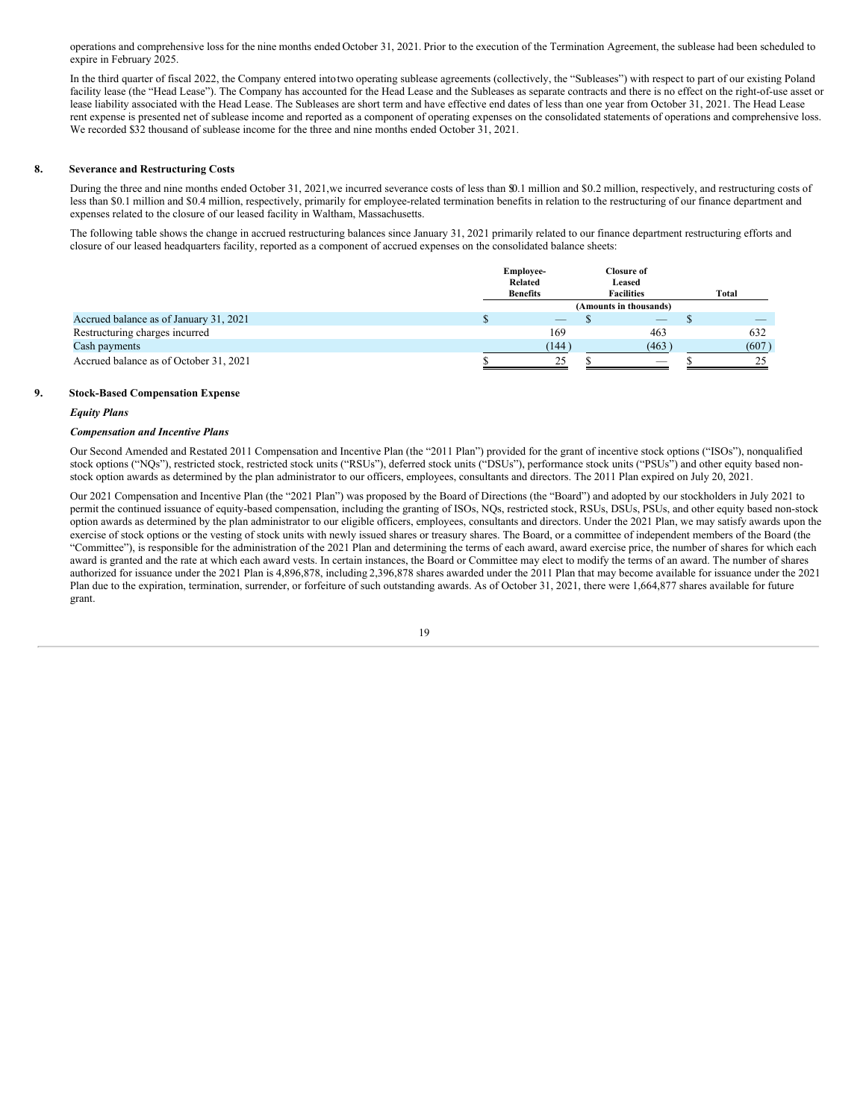operations and comprehensive loss for the nine months ended October 31, 2021. Prior to the execution of the Termination Agreement, the sublease had been scheduled to expire in February 2025.

In the third quarter of fiscal 2022, the Company entered intotwo operating sublease agreements (collectively, the "Subleases") with respect to part of our existing Poland facility lease (the "Head Lease"). The Company has accounted for the Head Lease and the Subleases as separate contracts and there is no effect on the right-of-use asset or lease liability associated with the Head Lease. The Subleases are short term and have effective end dates of less than one year from October 31, 2021. The Head Lease rent expense is presented net of sublease income and reported as a component of operating expenses on the consolidated statements of operations and comprehensive loss. We recorded \$32 thousand of sublease income for the three and nine months ended October 31, 2021.

#### **8. Severance and Restructuring Costs**

During the three and nine months ended October 31, 2021, we incurred severance costs of less than \$0.1 million and \$0.2 million, respectively, and restructuring costs of less than \$0.1 million and \$0.4 million, respectively, primarily for employee-related termination benefits in relation to the restructuring of our finance department and expenses related to the closure of our leased facility in Waltham, Massachusetts.

The following table shows the change in accrued restructuring balances since January 31, 2021 primarily related to our finance department restructuring efforts and closure of our leased headquarters facility, reported as a component of accrued expenses on the consolidated balance sheets:

|                                        | <b>Employee-</b><br>Related<br><b>Benefits</b> |                                           | <b>Closure of</b><br>Leased<br><b>Facilities</b> | Total |
|----------------------------------------|------------------------------------------------|-------------------------------------------|--------------------------------------------------|-------|
|                                        |                                                |                                           | (Amounts in thousands)                           |       |
| Accrued balance as of January 31, 2021 | ъ                                              | $\qquad \qquad \overline{\qquad \qquad }$ | $\qquad \qquad - \qquad$                         |       |
| Restructuring charges incurred         |                                                | 169                                       | 463                                              | 632   |
| Cash payments                          |                                                | (144)                                     | (463)                                            | (607) |
| Accrued balance as of October 31, 2021 |                                                | 25                                        | $\overline{\phantom{a}}$                         | 25    |

#### **9. Stock-Based Compensation Expense**

#### *Equity Plans*

#### *Compensation and Incentive Plans*

Our Second Amended and Restated 2011 Compensation and Incentive Plan (the "2011 Plan") provided for the grant of incentive stock options ("ISOs"), nonqualified stock options ("NQs"), restricted stock, restricted stock units ("RSUs"), deferred stock units ("DSUs"), performance stock units ("PSUs") and other equity based nonstock option awards as determined by the plan administrator to our officers, employees, consultants and directors. The 2011 Plan expired on July 20, 2021.

Our 2021 Compensation and Incentive Plan (the "2021 Plan") was proposed by the Board of Directions (the "Board") and adopted by our stockholders in July 2021 to permit the continued issuance of equity-based compensation, including the granting of ISOs, NQs, restricted stock, RSUs, DSUs, PSUs, and other equity based non-stock option awards as determined by the plan administrator to our eligible officers, employees, consultants and directors. Under the 2021 Plan, we may satisfy awards upon the exercise of stock options or the vesting of stock units with newly issued shares or treasury shares. The Board, or a committee of independent members of the Board (the "Committee"), is responsible for the administration of the 2021 Plan and determining the terms of each award, award exercise price, the number of shares for which each award is granted and the rate at which each award vests. In certain instances, the Board or Committee may elect to modify the terms of an award. The number of shares authorized for issuance under the 2021 Plan is 4,896,878, including 2,396,878 shares awarded under the 2011 Plan that may become available for issuance under the 2021 Plan due to the expiration, termination, surrender, or forfeiture of such outstanding awards. As of October 31, 2021, there were 1,664,877 shares available for future grant.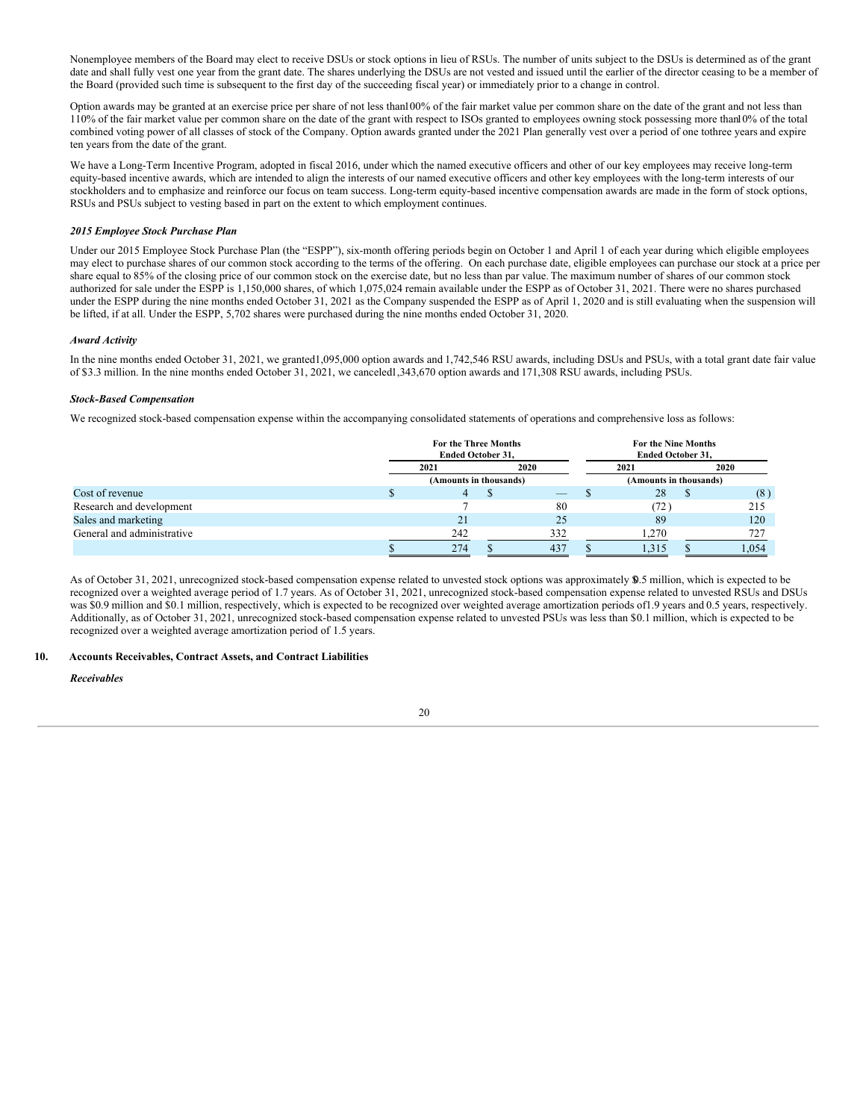Nonemployee members of the Board may elect to receive DSUs or stock options in lieu of RSUs. The number of units subject to the DSUs is determined as of the grant date and shall fully vest one year from the grant date. The shares underlying the DSUs are not vested and issued until the earlier of the director ceasing to be a member of the Board (provided such time is subsequent to the first day of the succeeding fiscal year) or immediately prior to a change in control.

Option awards may be granted at an exercise price per share of not less than100% of the fair market value per common share on the date of the grant and not less than 110% of the fair market value per common share on the date of the grant with respect to ISOs granted to employees owning stock possessing more than10% of the total combined voting power of all classes of stock of the Company. Option awards granted under the 2021 Plan generally vest over a period of one tothree years and expire ten years from the date of the grant.

We have a Long-Term Incentive Program, adopted in fiscal 2016, under which the named executive officers and other of our key employees may receive long-term equity-based incentive awards, which are intended to align the interests of our named executive officers and other key employees with the long-term interests of our stockholders and to emphasize and reinforce our focus on team success. Long-term equity-based incentive compensation awards are made in the form of stock options, RSUs and PSUs subject to vesting based in part on the extent to which employment continues.

#### *2015 Employee Stock Purchase Plan*

Under our 2015 Employee Stock Purchase Plan (the "ESPP"), six-month offering periods begin on October 1 and April 1 of each year during which eligible employees may elect to purchase shares of our common stock according to the terms of the offering. On each purchase date, eligible employees can purchase our stock at a price per share equal to 85% of the closing price of our common stock on the exercise date, but no less than par value. The maximum number of shares of our common stock authorized for sale under the ESPP is 1,150,000 shares, of which 1,075,024 remain available under the ESPP as of October 31, 2021. There were no shares purchased under the ESPP during the nine months ended October 31, 2021 as the Company suspended the ESPP as of April 1, 2020 and is still evaluating when the suspension will be lifted, if at all. Under the ESPP, 5,702 shares were purchased during the nine months ended October 31, 2020.

#### *Award Activity*

In the nine months ended October 31, 2021, we granted1,095,000 option awards and 1,742,546 RSU awards, including DSUs and PSUs, with a total grant date fair value of \$3.3 million. In the nine months ended October 31, 2021, we canceled1,343,670 option awards and 171,308 RSU awards, including PSUs.

#### *Stock-Based Compensation*

We recognized stock-based compensation expense within the accompanying consolidated statements of operations and comprehensive loss as follows:

|                            | <b>For the Three Months</b><br>Ended October 31, |            |     |                        | For the Nine Months<br><b>Ended October 31,</b> |      |       |  |
|----------------------------|--------------------------------------------------|------------|-----|------------------------|-------------------------------------------------|------|-------|--|
|                            | 2020<br>2021                                     |            |     |                        | 2021                                            | 2020 |       |  |
|                            | (Amounts in thousands)                           |            |     | (Amounts in thousands) |                                                 |      |       |  |
| Cost of revenue            | 4                                                | $\sqrt{2}$ | _   |                        | 28                                              |      | (8)   |  |
| Research and development   |                                                  |            | 80  |                        | (72)                                            |      | 215   |  |
| Sales and marketing        |                                                  |            | 25  |                        | 89                                              |      | 120   |  |
| General and administrative | 242                                              |            | 332 |                        | 1,270                                           |      |       |  |
|                            | 274                                              |            | 437 |                        | 1.315                                           |      | 1.054 |  |

As of October 31, 2021, unrecognized stock-based compensation expense related to unvested stock options was approximately \$0.5 million, which is expected to be recognized over a weighted average period of 1.7 years. As of October 31, 2021, unrecognized stock-based compensation expense related to unvested RSUs and DSUs was \$0.9 million and \$0.1 million, respectively, which is expected to be recognized over weighted average amortization periods of1.9 years and 0.5 years, respectively. Additionally, as of October 31, 2021, unrecognized stock-based compensation expense related to unvested PSUs was less than \$0.1 million, which is expected to be recognized over a weighted average amortization period of 1.5 years.

#### **10. Accounts Receivables, Contract Assets, and Contract Liabilities**

*Receivables*

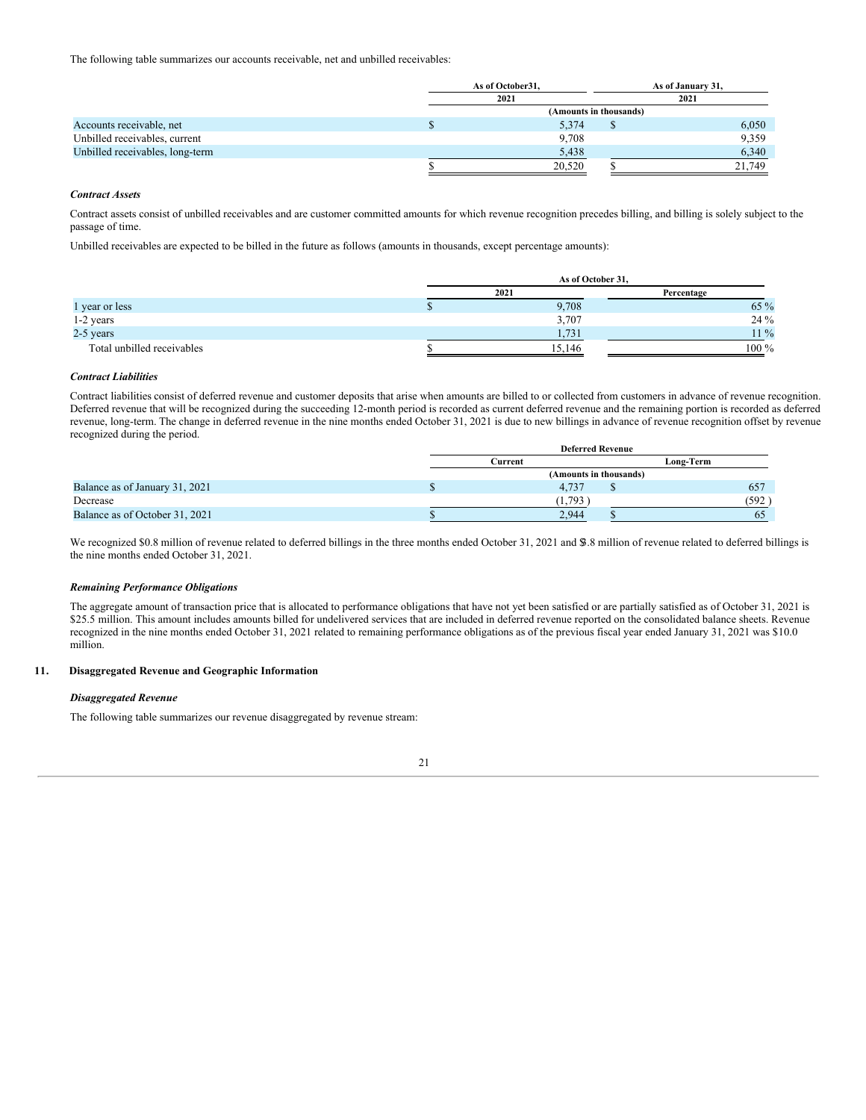The following table summarizes our accounts receivable, net and unbilled receivables:

|                                 | As of October31,       |   | As of January 31, |
|---------------------------------|------------------------|---|-------------------|
|                                 | 2021                   |   | 2021              |
|                                 | (Amounts in thousands) |   |                   |
| Accounts receivable, net        | 5.374                  | Φ | 6,050             |
| Unbilled receivables, current   | 9.708                  |   | 9,359             |
| Unbilled receivables, long-term | 5,438                  |   | 6,340             |
|                                 | 20,520                 |   | 21.749            |

#### *Contract Assets*

Contract assets consist of unbilled receivables and are customer committed amounts for which revenue recognition precedes billing, and billing is solely subject to the passage of time.

Unbilled receivables are expected to be billed in the future as follows (amounts in thousands, except percentage amounts):

|                            | As of October 31, |            |
|----------------------------|-------------------|------------|
|                            | 2021              | Percentage |
| 1 year or less             | 9,708             | 65 %       |
| 1-2 years                  | 3,707             | 24 %       |
| 2-5 years                  | 1,731             | $11\%$     |
| Total unbilled receivables | 15.146            | $100\ \%$  |

#### *Contract Liabilities*

Contract liabilities consist of deferred revenue and customer deposits that arise when amounts are billed to or collected from customers in advance of revenue recognition. Deferred revenue that will be recognized during the succeeding 12-month period is recorded as current deferred revenue and the remaining portion is recorded as deferred revenue, long-term. The change in deferred revenue in the nine months ended October 31, 2021 is due to new billings in advance of revenue recognition offset by revenue recognized during the period.

|                                |         | <b>Deferred Revenue</b> |  |           |       |  |  |  |  |
|--------------------------------|---------|-------------------------|--|-----------|-------|--|--|--|--|
|                                | Current |                         |  | Long-Term |       |  |  |  |  |
|                                |         | (Amounts in thousands)  |  |           |       |  |  |  |  |
| Balance as of January 31, 2021 |         | 4.737                   |  |           | 657   |  |  |  |  |
| Decrease                       |         | (1.793)                 |  |           | (592) |  |  |  |  |
| Balance as of October 31, 2021 |         | 2,944                   |  |           |       |  |  |  |  |

We recognized \$0.8 million of revenue related to deferred billings in the three months ended October 31, 2021 and \$3.8 million of revenue related to deferred billings is the nine months ended October 31, 2021.

#### *Remaining Performance Obligations*

The aggregate amount of transaction price that is allocated to performance obligations that have not yet been satisfied or are partially satisfied as of October 31, 2021 is \$25.5 million. This amount includes amounts billed for undelivered services that are included in deferred revenue reported on the consolidated balance sheets. Revenue recognized in the nine months ended October 31, 2021 related to remaining performance obligations as of the previous fiscal year ended January 31, 2021 was \$10.0 million.

#### **11. Disaggregated Revenue and Geographic Information**

#### *Disaggregated Revenue*

The following table summarizes our revenue disaggregated by revenue stream:

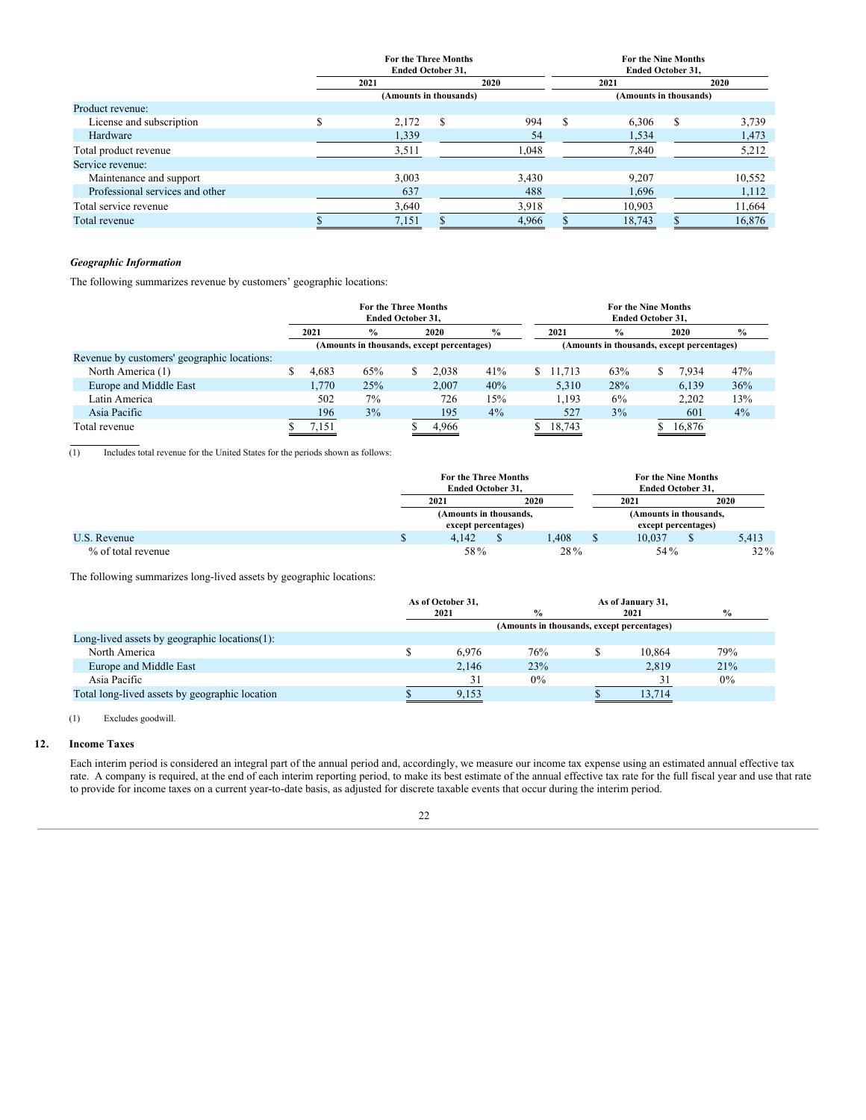|                                 |   | For the Three Months<br><b>Ended October 31.</b> |   |                        | <b>For the Nine Months</b><br><b>Ended October 31.</b> |        |   |        |  |  |
|---------------------------------|---|--------------------------------------------------|---|------------------------|--------------------------------------------------------|--------|---|--------|--|--|
|                                 |   | 2021                                             |   | 2020                   |                                                        | 2021   |   | 2020   |  |  |
|                                 |   | (Amounts in thousands)                           |   | (Amounts in thousands) |                                                        |        |   |        |  |  |
| Product revenue:                |   |                                                  |   |                        |                                                        |        |   |        |  |  |
| License and subscription        | ٢ | 2,172                                            | S | 994                    | S                                                      | 6,306  | S | 3,739  |  |  |
| Hardware                        |   | 1,339                                            |   | 54                     |                                                        | 1,534  |   | 1,473  |  |  |
| Total product revenue           |   | 3,511                                            |   | 1,048                  |                                                        | 7,840  |   | 5,212  |  |  |
| Service revenue:                |   |                                                  |   |                        |                                                        |        |   |        |  |  |
| Maintenance and support         |   | 3,003                                            |   | 3,430                  |                                                        | 9,207  |   | 10,552 |  |  |
| Professional services and other |   | 637                                              |   | 488                    |                                                        | 1,696  |   | 1,112  |  |  |
| Total service revenue           |   | 3,640                                            |   | 3,918                  |                                                        | 10,903 |   | 11,664 |  |  |
| Total revenue                   |   | 7,151                                            |   | 4,966                  |                                                        | 18,743 |   | 16,876 |  |  |

#### *Geographic Information*

The following summarizes revenue by customers' geographic locations:

|                                             |    |       | <b>For the Three Months</b><br><b>Ended October 31.</b> |       |               | <b>For the Nine Months</b><br><b>Ended October 31.</b> |           |                                            |  |        |               |  |  |
|---------------------------------------------|----|-------|---------------------------------------------------------|-------|---------------|--------------------------------------------------------|-----------|--------------------------------------------|--|--------|---------------|--|--|
|                                             |    | 2021  | $\frac{0}{0}$                                           | 2020  | $\frac{0}{0}$ |                                                        | 2021      | $\frac{0}{0}$                              |  | 2020   | $\frac{6}{6}$ |  |  |
|                                             |    |       | (Amounts in thousands, except percentages)              |       |               |                                                        |           | (Amounts in thousands, except percentages) |  |        |               |  |  |
| Revenue by customers' geographic locations: |    |       |                                                         |       |               |                                                        |           |                                            |  |        |               |  |  |
| North America (1)                           | J. | 4.683 | 65%                                                     | 2.038 | 41%           |                                                        | \$ 11.713 | 63%                                        |  | 7.934  | 47%           |  |  |
| Europe and Middle East                      |    | 1.770 | 25%                                                     | 2.007 | 40%           |                                                        | 5.310     | 28%                                        |  | 6.139  | 36%           |  |  |
| Latin America                               |    | 502   | $7\%$                                                   | 726   | 15%           |                                                        | 1.193     | 6%                                         |  | 2.202  | 13%           |  |  |
| Asia Pacific                                |    | 196   | $3\%$                                                   | 195   | $4\%$         |                                                        | 527       | 3%                                         |  | 601    | 4%            |  |  |
| Total revenue                               |    | 7,151 |                                                         | 4,966 |               |                                                        | 18.743    |                                            |  | 16,876 |               |  |  |

(1) Includes total revenue for the United States for the periods shown as follows:

|                    | For the Three Months<br><b>Ended October 31.</b> |      |  |      | For the Nine Months<br><b>Ended October 31.</b> |        |       |
|--------------------|--------------------------------------------------|------|--|------|-------------------------------------------------|--------|-------|
|                    | 2021                                             | 2020 |  | 2021 |                                                 | 2020   |       |
|                    | (Amounts in thousands.<br>except percentages)    |      |  |      | (Amounts in thousands,<br>except percentages)   |        |       |
| U.S. Revenue       | 4.142<br>.408                                    |      |  |      | 10.037                                          | ۰υ     | 5,413 |
| % of total revenue | 58%                                              | 28%  |  | 54%  |                                                 | $32\%$ |       |

The following summarizes long-lived assets by geographic locations:

|                                                   | As of October 31, |                                            | As of January 31, |               |
|---------------------------------------------------|-------------------|--------------------------------------------|-------------------|---------------|
|                                                   | 2021              | $\frac{0}{0}$                              | 2021              | $\frac{0}{0}$ |
|                                                   |                   | (Amounts in thousands, except percentages) |                   |               |
| Long-lived assets by geographic locations $(1)$ : |                   |                                            |                   |               |
| North America                                     | 6.976             | 76%                                        | 10.864            | 79%           |
| Europe and Middle East                            | 2.146             | 23%                                        | 2.819             | 21%           |
| Asia Pacific                                      | 31                | $0\%$                                      |                   | 0%            |
| Total long-lived assets by geographic location    | 9,153             |                                            | 13,714            |               |

#### (1) Excludes goodwill.

### **12. Income Taxes**

Each interim period is considered an integral part of the annual period and, accordingly, we measure our income tax expense using an estimated annual effective tax rate. A company is required, at the end of each interim reporting period, to make its best estimate of the annual effective tax rate for the full fiscal year and use that rate to provide for income taxes on a current year-to-date basis, as adjusted for discrete taxable events that occur during the interim period.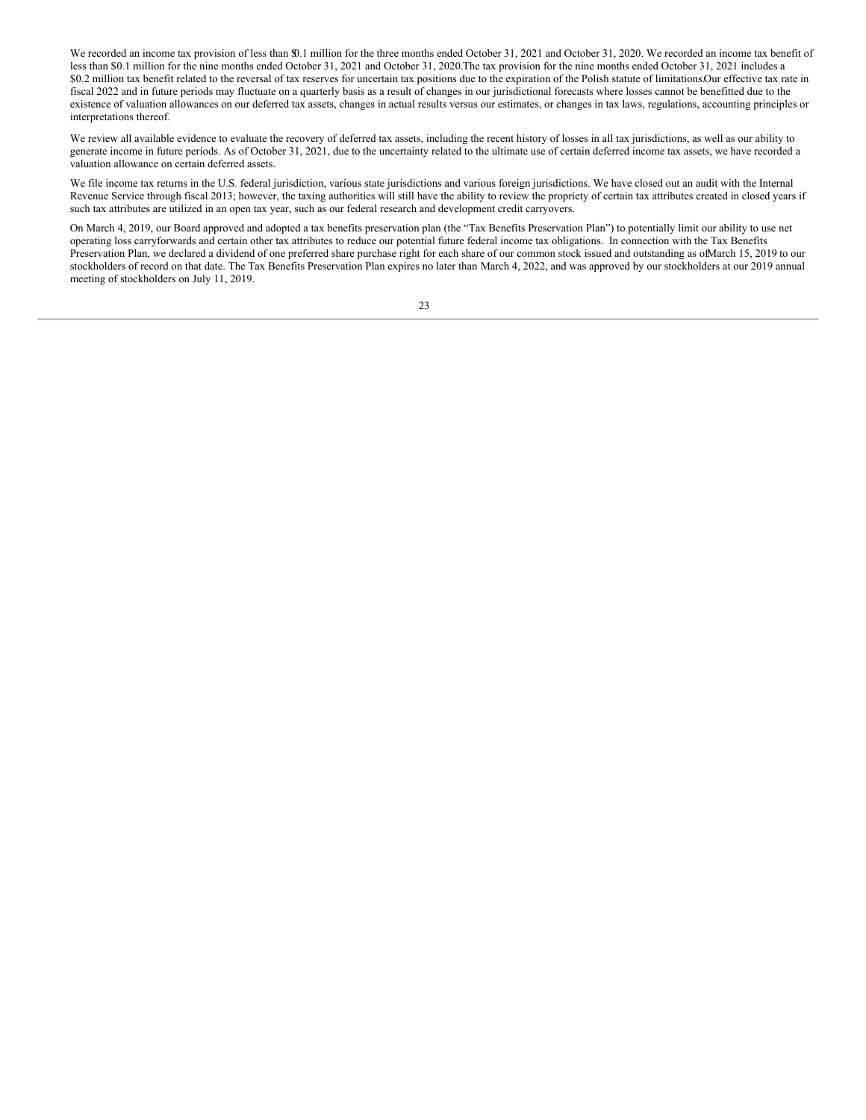We recorded an income tax provision of less than \$0.1 million for the three months ended October 31, 2021 and October 31, 2020. We recorded an income tax benefit of less than \$0.1 million for the nine months ended October 31, 2021 and October 31, 2020.The tax provision for the nine months ended October 31, 2021 includes a \$0.2 million tax benefit related to the reversal of tax reserves for uncertain tax positions due to the expiration of the Polish statute of limitations.Our effective tax rate in fiscal 2022 and in future periods may fluctuate on a quarterly basis as a result of changes in our jurisdictional forecasts where losses cannot be benefitted due to the existence of valuation allowances on our deferred tax assets, changes in actual results versus our estimates, or changes in tax laws, regulations, accounting principles or interpretations thereof.

We review all available evidence to evaluate the recovery of deferred tax assets, including the recent history of losses in all tax jurisdictions, as well as our ability to generate income in future periods. As of October 31, 2021, due to the uncertainty related to the ultimate use of certain deferred income tax assets, we have recorded a valuation allowance on certain deferred assets.

We file income tax returns in the U.S. federal jurisdiction, various state jurisdictions and various foreign jurisdictions. We have closed out an audit with the Internal Revenue Service through fiscal 2013; however, the taxing authorities will still have the ability to review the propriety of certain tax attributes created in closed years if such tax attributes are utilized in an open tax year, such as our federal research and development credit carryovers.

On March 4, 2019, our Board approved and adopted a tax benefits preservation plan (the "Tax Benefits Preservation Plan") to potentially limit our ability to use net operating loss carryforwards and certain other tax attributes to reduce our potential future federal income tax obligations. In connection with the Tax Benefits Preservation Plan, we declared a dividend of one preferred share purchase right for each share of our common stock issued and outstanding as ofMarch 15, 2019 to our stockholders of record on that date. The Tax Benefits Preservation Plan expires no later than March 4, 2022, and was approved by our stockholders at our 2019 annual meeting of stockholders on July 11, 2019.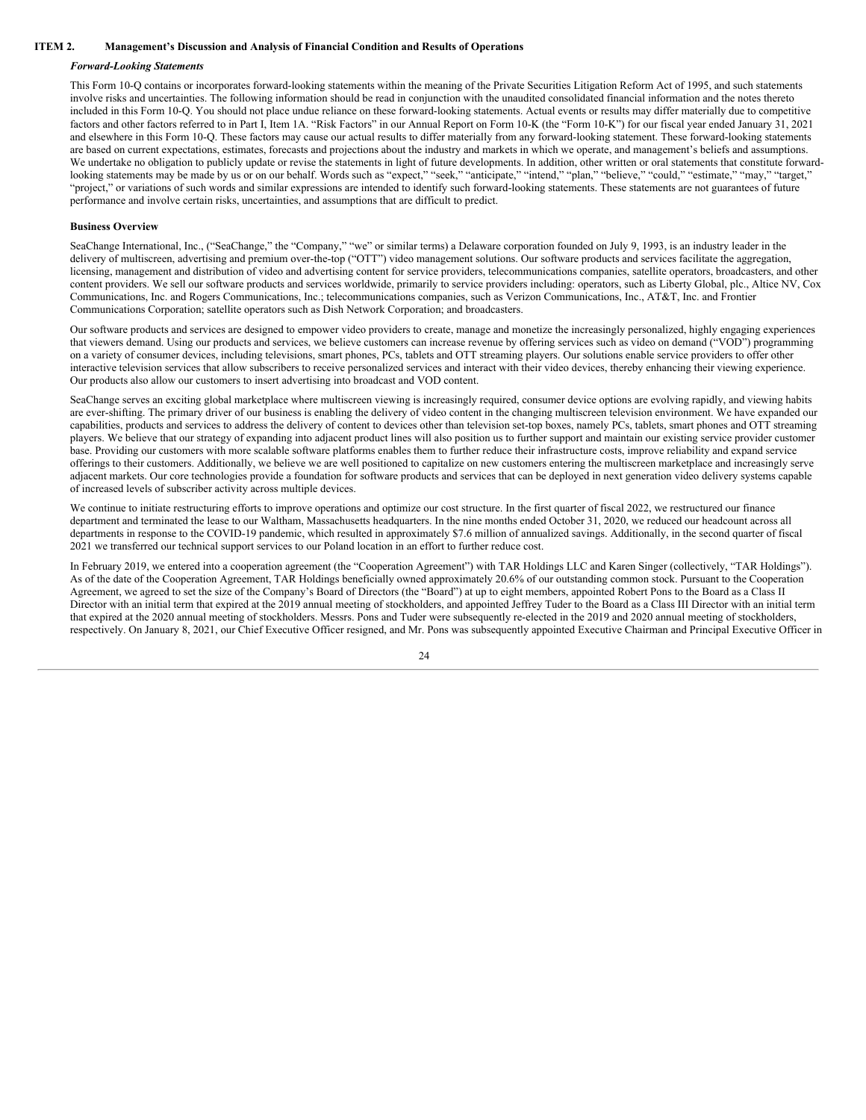#### **ITEM 2. Management's Discussion and Analysis of Financial Condition and Results of Operations**

#### <span id="page-24-0"></span>*Forward-Looking Statements*

This Form 10-Q contains or incorporates forward-looking statements within the meaning of the Private Securities Litigation Reform Act of 1995, and such statements involve risks and uncertainties. The following information should be read in conjunction with the unaudited consolidated financial information and the notes thereto included in this Form 10-Q. You should not place undue reliance on these forward-looking statements. Actual events or results may differ materially due to competitive factors and other factors referred to in Part I, Item 1A. "Risk Factors" in our Annual Report on Form 10-K (the "Form 10-K") for our fiscal year ended January 31, 2021 and elsewhere in this Form 10-Q. These factors may cause our actual results to differ materially from any forward-looking statement. These forward-looking statements are based on current expectations, estimates, forecasts and projections about the industry and markets in which we operate, and management's beliefs and assumptions. We undertake no obligation to publicly update or revise the statements in light of future developments. In addition, other written or oral statements that constitute forwardlooking statements may be made by us or on our behalf. Words such as "expect," "seek," "anticipate," "intend," "plan," "believe," "could," "estimate," "may," "target," "project," or variations of such words and similar expressions are intended to identify such forward-looking statements. These statements are not guarantees of future performance and involve certain risks, uncertainties, and assumptions that are difficult to predict.

#### **Business Overview**

SeaChange International, Inc., ("SeaChange," the "Company," "we" or similar terms) a Delaware corporation founded on July 9, 1993, is an industry leader in the delivery of multiscreen, advertising and premium over-the-top ("OTT") video management solutions. Our software products and services facilitate the aggregation, licensing, management and distribution of video and advertising content for service providers, telecommunications companies, satellite operators, broadcasters, and other content providers. We sell our software products and services worldwide, primarily to service providers including: operators, such as Liberty Global, plc., Altice NV, Cox Communications, Inc. and Rogers Communications, Inc.; telecommunications companies, such as Verizon Communications, Inc., AT&T, Inc. and Frontier Communications Corporation; satellite operators such as Dish Network Corporation; and broadcasters.

Our software products and services are designed to empower video providers to create, manage and monetize the increasingly personalized, highly engaging experiences that viewers demand. Using our products and services, we believe customers can increase revenue by offering services such as video on demand ("VOD") programming on a variety of consumer devices, including televisions, smart phones, PCs, tablets and OTT streaming players. Our solutions enable service providers to offer other interactive television services that allow subscribers to receive personalized services and interact with their video devices, thereby enhancing their viewing experience. Our products also allow our customers to insert advertising into broadcast and VOD content.

SeaChange serves an exciting global marketplace where multiscreen viewing is increasingly required, consumer device options are evolving rapidly, and viewing habits are ever-shifting. The primary driver of our business is enabling the delivery of video content in the changing multiscreen television environment. We have expanded our capabilities, products and services to address the delivery of content to devices other than television set-top boxes, namely PCs, tablets, smart phones and OTT streaming players. We believe that our strategy of expanding into adjacent product lines will also position us to further support and maintain our existing service provider customer base. Providing our customers with more scalable software platforms enables them to further reduce their infrastructure costs, improve reliability and expand service offerings to their customers. Additionally, we believe we are well positioned to capitalize on new customers entering the multiscreen marketplace and increasingly serve adjacent markets. Our core technologies provide a foundation for software products and services that can be deployed in next generation video delivery systems capable of increased levels of subscriber activity across multiple devices.

We continue to initiate restructuring efforts to improve operations and optimize our cost structure. In the first quarter of fiscal 2022, we restructured our finance department and terminated the lease to our Waltham, Massachusetts headquarters. In the nine months ended October 31, 2020, we reduced our headcount across all departments in response to the COVID-19 pandemic, which resulted in approximately \$7.6 million of annualized savings. Additionally, in the second quarter of fiscal 2021 we transferred our technical support services to our Poland location in an effort to further reduce cost.

In February 2019, we entered into a cooperation agreement (the "Cooperation Agreement") with TAR Holdings LLC and Karen Singer (collectively, "TAR Holdings"). As of the date of the Cooperation Agreement, TAR Holdings beneficially owned approximately 20.6% of our outstanding common stock. Pursuant to the Cooperation Agreement, we agreed to set the size of the Company's Board of Directors (the "Board") at up to eight members, appointed Robert Pons to the Board as a Class II Director with an initial term that expired at the 2019 annual meeting of stockholders, and appointed Jeffrey Tuder to the Board as a Class III Director with an initial term that expired at the 2020 annual meeting of stockholders. Messrs. Pons and Tuder were subsequently re-elected in the 2019 and 2020 annual meeting of stockholders, respectively. On January 8, 2021, our Chief Executive Officer resigned, and Mr. Pons was subsequently appointed Executive Chairman and Principal Executive Officer in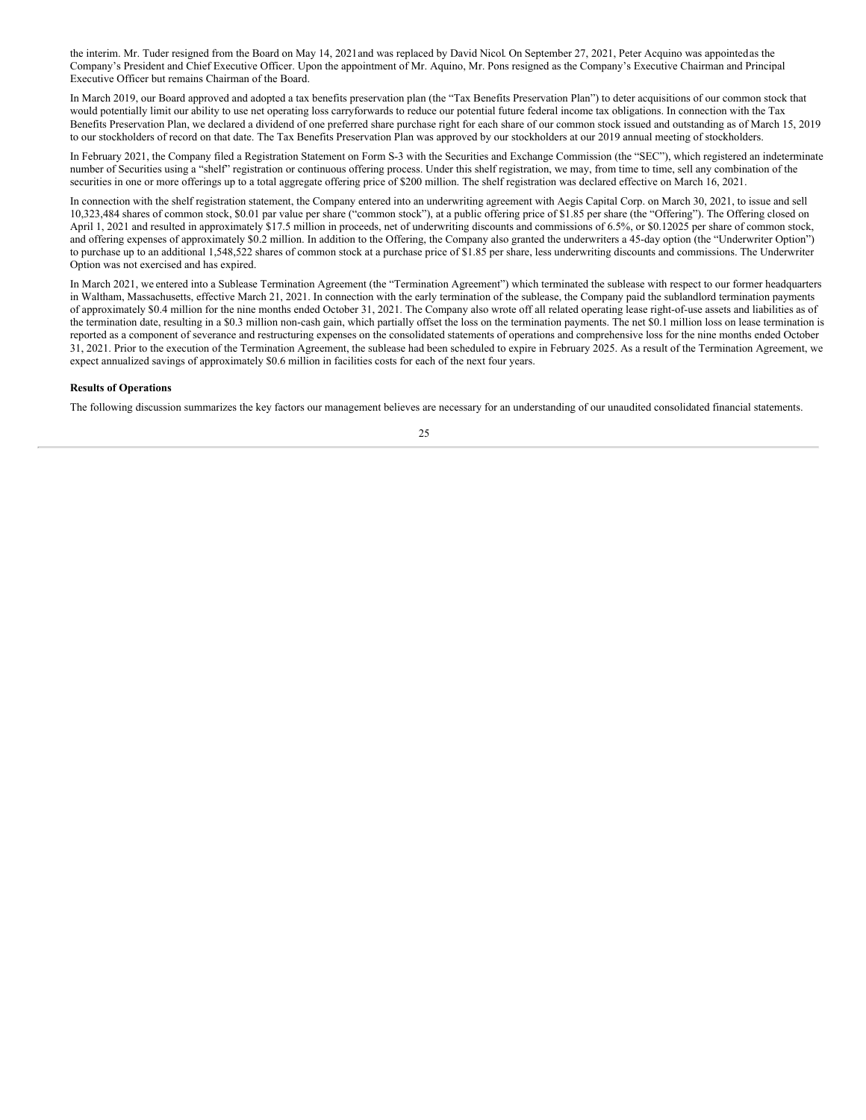the interim. Mr. Tuder resigned from the Board on May 14, 2021and was replaced by David Nicol. On September 27, 2021, Peter Acquino was appointedas the Company's President and Chief Executive Officer. Upon the appointment of Mr. Aquino, Mr. Pons resigned as the Company's Executive Chairman and Principal Executive Officer but remains Chairman of the Board.

In March 2019, our Board approved and adopted a tax benefits preservation plan (the "Tax Benefits Preservation Plan") to deter acquisitions of our common stock that would potentially limit our ability to use net operating loss carryforwards to reduce our potential future federal income tax obligations. In connection with the Tax Benefits Preservation Plan, we declared a dividend of one preferred share purchase right for each share of our common stock issued and outstanding as of March 15, 2019 to our stockholders of record on that date. The Tax Benefits Preservation Plan was approved by our stockholders at our 2019 annual meeting of stockholders.

In February 2021, the Company filed a Registration Statement on Form S-3 with the Securities and Exchange Commission (the "SEC"), which registered an indeterminate number of Securities using a "shelf" registration or continuous offering process. Under this shelf registration, we may, from time to time, sell any combination of the securities in one or more offerings up to a total aggregate offering price of \$200 million. The shelf registration was declared effective on March 16, 2021.

In connection with the shelf registration statement, the Company entered into an underwriting agreement with Aegis Capital Corp. on March 30, 2021, to issue and sell 10,323,484 shares of common stock, \$0.01 par value per share ("common stock"), at a public offering price of \$1.85 per share (the "Offering"). The Offering closed on April 1, 2021 and resulted in approximately \$17.5 million in proceeds, net of underwriting discounts and commissions of 6.5%, or \$0.12025 per share of common stock, and offering expenses of approximately \$0.2 million. In addition to the Offering, the Company also granted the underwriters a 45-day option (the "Underwriter Option") to purchase up to an additional 1,548,522 shares of common stock at a purchase price of \$1.85 per share, less underwriting discounts and commissions. The Underwriter Option was not exercised and has expired.

In March 2021, we entered into a Sublease Termination Agreement (the "Termination Agreement") which terminated the sublease with respect to our former headquarters in Waltham, Massachusetts, effective March 21, 2021. In connection with the early termination of the sublease, the Company paid the sublandlord termination payments of approximately \$0.4 million for the nine months ended October 31, 2021. The Company also wrote off all related operating lease right-of-use assets and liabilities as of the termination date, resulting in a \$0.3 million non-cash gain, which partially offset the loss on the termination payments. The net \$0.1 million loss on lease termination is reported as a component of severance and restructuring expenses on the consolidated statements of operations and comprehensive loss for the nine months ended October 31, 2021. Prior to the execution of the Termination Agreement, the sublease had been scheduled to expire in February 2025. As a result of the Termination Agreement, we expect annualized savings of approximately \$0.6 million in facilities costs for each of the next four years.

#### **Results of Operations**

The following discussion summarizes the key factors our management believes are necessary for an understanding of our unaudited consolidated financial statements.

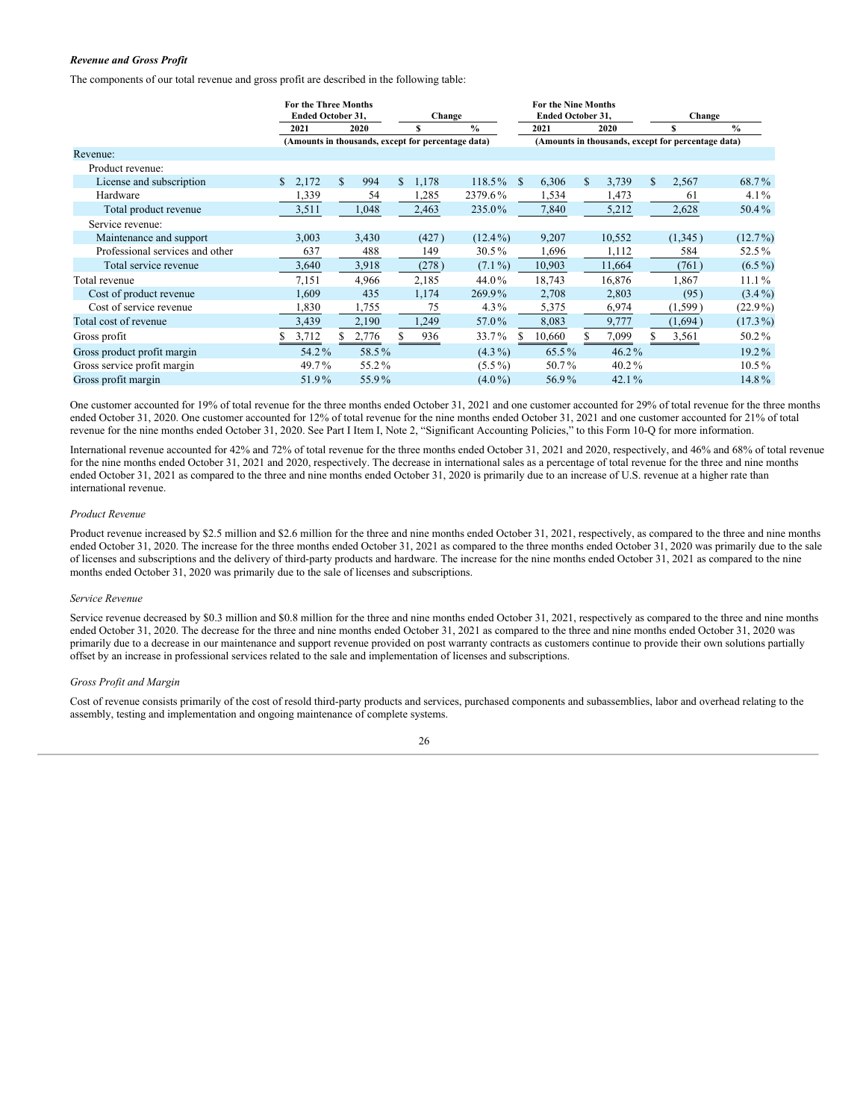#### *Revenue and Gross Profit*

The components of our total revenue and gross profit are described in the following table:

|                                 | <b>For the Three Months</b><br><b>Ended October 31.</b> |                     | Change                                             |               | <b>For the Nine Months</b><br><b>Ended October 31,</b> |              | Change                                             |               |
|---------------------------------|---------------------------------------------------------|---------------------|----------------------------------------------------|---------------|--------------------------------------------------------|--------------|----------------------------------------------------|---------------|
|                                 | 2021                                                    | 2020                | S                                                  | $\frac{0}{0}$ | 2021                                                   | 2020         | S                                                  | $\frac{0}{0}$ |
|                                 |                                                         |                     | (Amounts in thousands, except for percentage data) |               |                                                        |              | (Amounts in thousands, except for percentage data) |               |
| Revenue:                        |                                                         |                     |                                                    |               |                                                        |              |                                                    |               |
| Product revenue:                |                                                         |                     |                                                    |               |                                                        |              |                                                    |               |
| License and subscription        | 2,172<br>S.                                             | $\mathbb{S}$<br>994 | 1,178<br>\$                                        | $118.5\%$ \$  | 6,306                                                  | 3,739<br>\$. | \$<br>2,567                                        | 68.7%         |
| Hardware                        | 1,339                                                   | 54                  | 1,285                                              | 2379.6%       | 1,534                                                  | 1,473        | 61                                                 | $4.1\%$       |
| Total product revenue           | 3,511                                                   | 1,048               | 2,463                                              | 235.0%        | 7,840                                                  | 5,212        | 2,628                                              | 50.4%         |
| Service revenue:                |                                                         |                     |                                                    |               |                                                        |              |                                                    |               |
| Maintenance and support         | 3,003                                                   | 3,430               | (427)                                              | $(12.4\%)$    | 9,207                                                  | 10,552       | (1,345)                                            | $(12.7\%)$    |
| Professional services and other | 637                                                     | 488                 | 149                                                | $30.5\%$      | 1,696                                                  | 1,112        | 584                                                | 52.5%         |
| Total service revenue           | 3,640                                                   | 3,918               | (278)                                              | $(7.1\%)$     | 10,903                                                 | 11,664       | (761)                                              | $(6.5\%)$     |
| Total revenue                   | 7,151                                                   | 4,966               | 2,185                                              | 44.0%         | 18,743                                                 | 16,876       | 1,867                                              | $11.1\%$      |
| Cost of product revenue         | 1,609                                                   | 435                 | 1,174                                              | 269.9%        | 2,708                                                  | 2,803        | (95)                                               | $(3.4\%)$     |
| Cost of service revenue         | 1,830                                                   | 1,755               | 75                                                 | $4.3\%$       | 5,375                                                  | 6,974        | (1, 599)                                           | $(22.9\%)$    |
| Total cost of revenue           | 3,439                                                   | 2,190               | 1,249                                              | 57.0%         | 8,083                                                  | 9,777        | (1,694)                                            | $(17.3\%)$    |
| Gross profit                    | 3,712                                                   | 2,776               | 936                                                | 33.7%         | 10,660                                                 | 7,099        | 3,561                                              | 50.2%         |
| Gross product profit margin     | 54.2%                                                   | 58.5%               |                                                    | $(4.3\%)$     | 65.5%                                                  | 46.2%        |                                                    | $19.2\%$      |
| Gross service profit margin     | 49.7%                                                   | 55.2%               |                                                    | $(5.5\%)$     | 50.7%                                                  | 40.2%        |                                                    | $10.5\%$      |
| Gross profit margin             | 51.9%                                                   | 55.9%               |                                                    | $(4.0\%)$     | 56.9%                                                  | 42.1%        |                                                    | 14.8%         |

One customer accounted for 19% of total revenue for the three months ended October 31, 2021 and one customer accounted for 29% of total revenue for the three months ended October 31, 2020. One customer accounted for 12% of total revenue for the nine months ended October 31, 2021 and one customer accounted for 21% of total revenue for the nine months ended October 31, 2020. See Part I Item I, Note 2, "Significant Accounting Policies," to this Form 10-Q for more information.

International revenue accounted for 42% and 72% of total revenue for the three months ended October 31, 2021 and 2020, respectively, and 46% and 68% of total revenue for the nine months ended October 31, 2021 and 2020, respectively. The decrease in international sales as a percentage of total revenue for the three and nine months ended October 31, 2021 as compared to the three and nine months ended October 31, 2020 is primarily due to an increase of U.S. revenue at a higher rate than international revenue.

#### *Product Revenue*

Product revenue increased by \$2.5 million and \$2.6 million for the three and nine months ended October 31, 2021, respectively, as compared to the three and nine months ended October 31, 2020. The increase for the three months ended October 31, 2021 as compared to the three months ended October 31, 2020 was primarily due to the sale of licenses and subscriptions and the delivery of third-party products and hardware. The increase for the nine months ended October 31, 2021 as compared to the nine months ended October 31, 2020 was primarily due to the sale of licenses and subscriptions.

#### *Service Revenue*

Service revenue decreased by \$0.3 million and \$0.8 million for the three and nine months ended October 31, 2021, respectively as compared to the three and nine months ended October 31, 2020. The decrease for the three and nine months ended October 31, 2021 as compared to the three and nine months ended October 31, 2020 was primarily due to a decrease in our maintenance and support revenue provided on post warranty contracts as customers continue to provide their own solutions partially offset by an increase in professional services related to the sale and implementation of licenses and subscriptions.

#### *Gross Profit and Margin*

Cost of revenue consists primarily of the cost of resold third-party products and services, purchased components and subassemblies, labor and overhead relating to the assembly, testing and implementation and ongoing maintenance of complete systems.

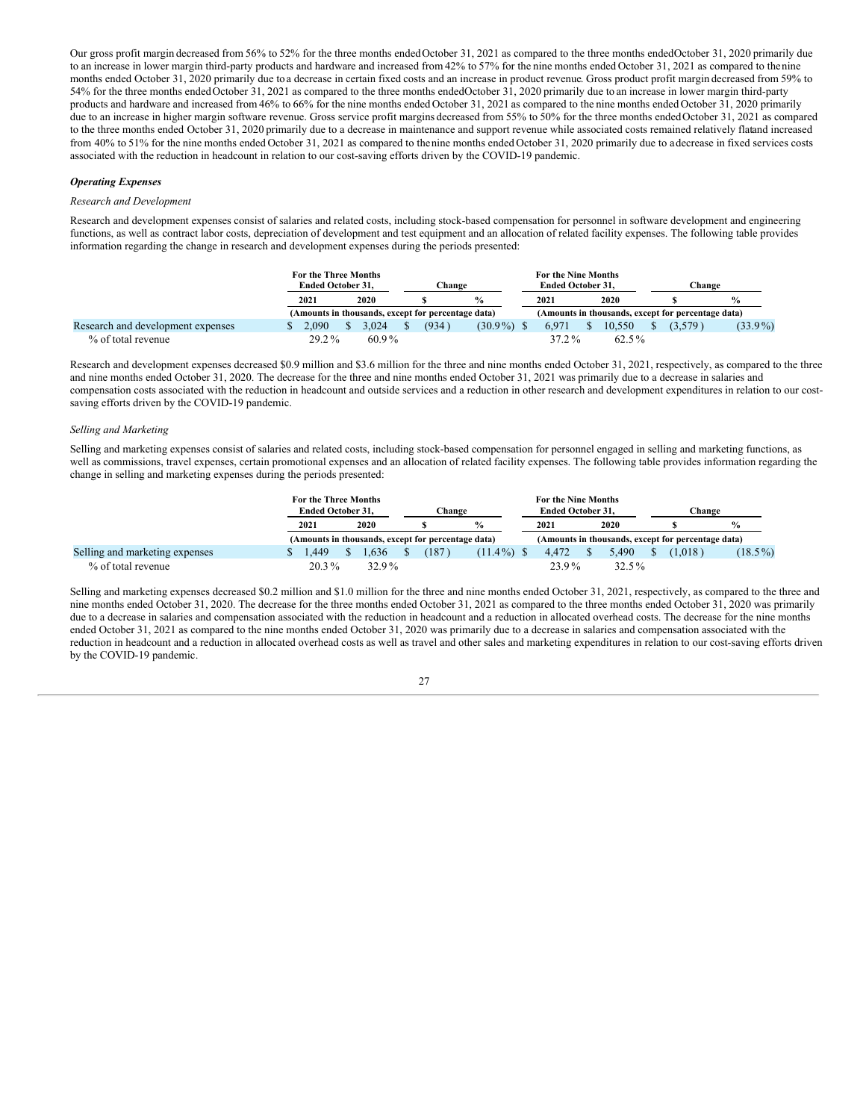Our gross profit margin decreased from 56% to 52% for the three months endedOctober 31, 2021 as compared to the three months endedOctober 31, 2020 primarily due to an increase in lower margin third-party products and hardware and increased from 42% to 57% for the nine months ended October 31, 2021 as compared to thenine months ended October 31, 2020 primarily due toa decrease in certain fixed costs and an increase in product revenue. Gross product profit margin decreased from 59% to 54% for the three months endedOctober 31, 2021 as compared to the three months endedOctober 31, 2020 primarily due to an increase in lower margin third-party products and hardware and increased from 46% to 66% for the nine months ended October 31, 2021 as compared to the nine months ended October 31, 2020 primarily due to an increase in higher margin software revenue. Gross service profit margins decreased from 55% to 50% for the three months ended October 31, 2021 as compared to the three months ended October 31, 2020 primarily due to a decrease in maintenance and support revenue while associated costs remained relatively flatand increased from 40% to 51% for the nine months ended October 31, 2021 as compared to thenine months ended October 31, 2020 primarily due to adecrease in fixed services costs associated with the reduction in headcount in relation to our cost-saving efforts driven by the COVID-19 pandemic.

#### *Operating Expenses*

#### *Research and Development*

Research and development expenses consist of salaries and related costs, including stock-based compensation for personnel in software development and engineering functions, as well as contract labor costs, depreciation of development and test equipment and an allocation of related facility expenses. The following table provides information regarding the change in research and development expenses during the periods presented:

|                                   | For the Three Months<br><b>Ended October 31.</b> |       | Change |                                                    | For the Nine Months<br><b>Ended October 31.</b> |          | <b>Change</b>                                      |               |  |
|-----------------------------------|--------------------------------------------------|-------|--------|----------------------------------------------------|-------------------------------------------------|----------|----------------------------------------------------|---------------|--|
|                                   | 2021                                             | 2020  |        | $\frac{0}{0}$                                      | 2021                                            | 2020     |                                                    | $\frac{6}{9}$ |  |
|                                   |                                                  |       |        | (Amounts in thousands, except for percentage data) |                                                 |          | (Amounts in thousands, except for percentage data) |               |  |
| Research and development expenses | 2.090                                            | 3.024 | (934)  | $(30.9\%)$                                         | 6.971                                           | 10.550   | (3.579)                                            | $(33.9\%)$    |  |
| % of total revenue                | 29.2%                                            | 60.9% |        |                                                    | 37.2%                                           | $62.5\%$ |                                                    |               |  |

Research and development expenses decreased \$0.9 million and \$3.6 million for the three and nine months ended October 31, 2021, respectively, as compared to the three and nine months ended October 31, 2020. The decrease for the three and nine months ended October 31, 2021 was primarily due to a decrease in salaries and compensation costs associated with the reduction in headcount and outside services and a reduction in other research and development expenditures in relation to our costsaving efforts driven by the COVID-19 pandemic.

#### *Selling and Marketing*

Selling and marketing expenses consist of salaries and related costs, including stock-based compensation for personnel engaged in selling and marketing functions, as well as commissions, travel expenses, certain promotional expenses and an allocation of related facility expenses. The following table provides information regarding the change in selling and marketing expenses during the periods presented:

|                                | For the Three Months<br><b>Ended October 31.</b> |       | Change                                             |               | For the Nine Months<br><b>Ended October 31.</b> |          | <b>Change</b>                                      |               |  |
|--------------------------------|--------------------------------------------------|-------|----------------------------------------------------|---------------|-------------------------------------------------|----------|----------------------------------------------------|---------------|--|
|                                | 2021                                             | 2020  |                                                    | $\frac{0}{0}$ | 2021                                            | 2020     |                                                    | $\frac{0}{0}$ |  |
|                                |                                                  |       | (Amounts in thousands, except for percentage data) |               |                                                 |          | (Amounts in thousands, except for percentage data) |               |  |
| Selling and marketing expenses | .449                                             | .636  | 187                                                | $(11.4\%)$ \$ | 4.472                                           | 5.490    | 1.018                                              | $(18.5\%)$    |  |
| % of total revenue             | $20.3\%$                                         | 32.9% |                                                    |               | $23.9\%$                                        | $32.5\%$ |                                                    |               |  |

Selling and marketing expenses decreased \$0.2 million and \$1.0 million for the three and nine months ended October 31, 2021, respectively, as compared to the three and nine months ended October 31, 2020. The decrease for the three months ended October 31, 2021 as compared to the three months ended October 31, 2020 was primarily due to a decrease in salaries and compensation associated with the reduction in headcount and a reduction in allocated overhead costs. The decrease for the nine months ended October 31, 2021 as compared to the nine months ended October 31, 2020 was primarily due to a decrease in salaries and compensation associated with the reduction in headcount and a reduction in allocated overhead costs as well as travel and other sales and marketing expenditures in relation to our cost-saving efforts driven by the COVID-19 pandemic.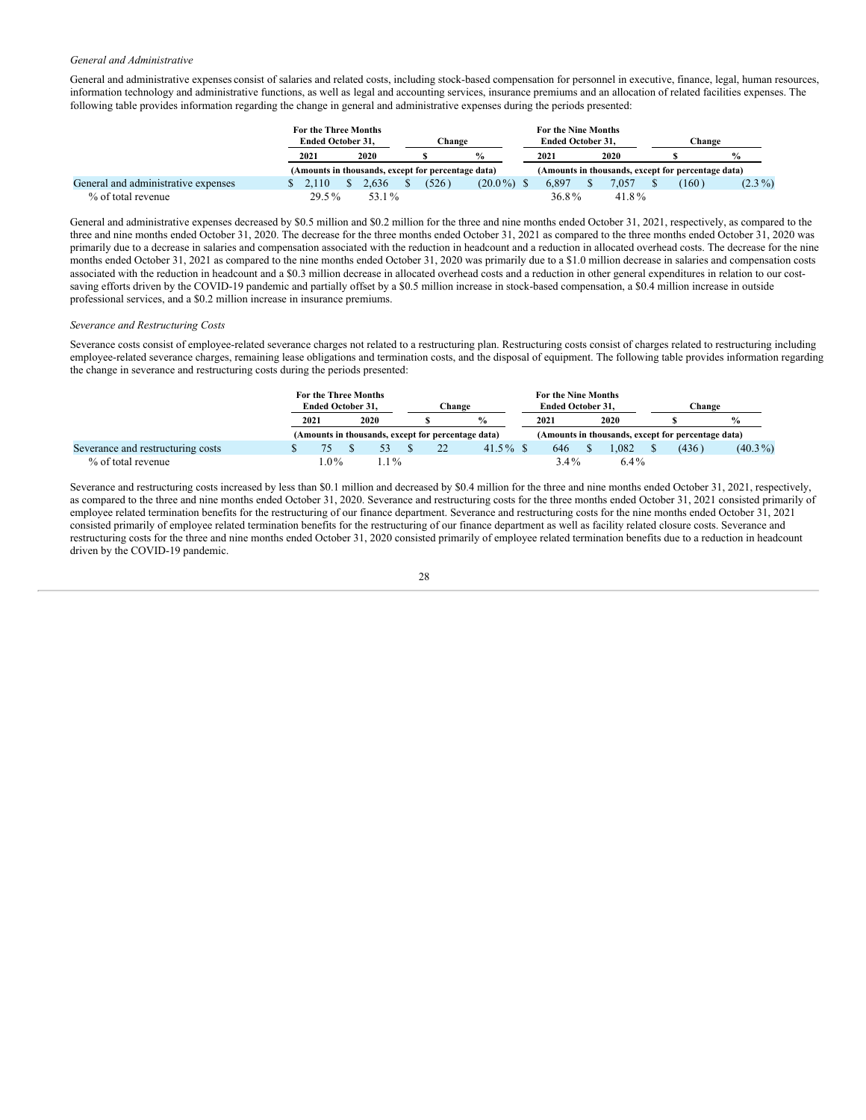#### *General and Administrative*

General and administrative expenses consist of salaries and related costs, including stock-based compensation for personnel in executive, finance, legal, human resources, information technology and administrative functions, as well as legal and accounting services, insurance premiums and an allocation of related facilities expenses. The following table provides information regarding the change in general and administrative expenses during the periods presented:

|                                     |          | For the Three Months<br><b>Ended October 31.</b> |       | <b>Change</b>                                      | For the Nine Months<br><b>Ended October 31.</b> |  | Change |  |                                                    |               |
|-------------------------------------|----------|--------------------------------------------------|-------|----------------------------------------------------|-------------------------------------------------|--|--------|--|----------------------------------------------------|---------------|
|                                     | 2021     | 2020                                             |       | $\frac{0}{0}$                                      | 2021                                            |  | 2020   |  |                                                    | $\frac{0}{0}$ |
|                                     |          |                                                  |       | (Amounts in thousands, except for percentage data) |                                                 |  |        |  | (Amounts in thousands, except for percentage data) |               |
| General and administrative expenses | 2.110    | 2.636                                            | (526) | $(20.0\%)$                                         | 6.897                                           |  | 7.057  |  | 160)                                               | $(2.3\%)$     |
| % of total revenue                  | $29.5\%$ | 53.1%                                            |       |                                                    | 36.8%                                           |  | 41.8%  |  |                                                    |               |

General and administrative expenses decreased by \$0.5 million and \$0.2 million for the three and nine months ended October 31, 2021, respectively, as compared to the three and nine months ended October 31, 2020. The decrease for the three months ended October 31, 2021 as compared to the three months ended October 31, 2020 was primarily due to a decrease in salaries and compensation associated with the reduction in headcount and a reduction in allocated overhead costs. The decrease for the nine months ended October 31, 2021 as compared to the nine months ended October 31, 2020 was primarily due to a \$1.0 million decrease in salaries and compensation costs associated with the reduction in headcount and a \$0.3 million decrease in allocated overhead costs and a reduction in other general expenditures in relation to our costsaving efforts driven by the COVID-19 pandemic and partially offset by a \$0.5 million increase in stock-based compensation, a \$0.4 million increase in outside professional services, and a \$0.2 million increase in insurance premiums.

#### *Severance and Restructuring Costs*

Severance costs consist of employee-related severance charges not related to a restructuring plan. Restructuring costs consist of charges related to restructuring including employee-related severance charges, remaining lease obligations and termination costs, and the disposal of equipment. The following table provides information regarding the change in severance and restructuring costs during the periods presented:

|                                   | For the Three Months<br><b>Ended October 31.</b> |        | Change |                                                    | For the Nine Months<br><b>Ended October 31.</b> |         | Change                                             |               |  |
|-----------------------------------|--------------------------------------------------|--------|--------|----------------------------------------------------|-------------------------------------------------|---------|----------------------------------------------------|---------------|--|
|                                   | 2021                                             | 2020   |        | $\frac{0}{0}$                                      | 2021                                            | 2020    |                                                    | $\frac{0}{0}$ |  |
|                                   |                                                  |        |        | (Amounts in thousands, except for percentage data) |                                                 |         | (Amounts in thousands, except for percentage data) |               |  |
| Severance and restructuring costs |                                                  |        |        | $41.5\%$ \$                                        | 646                                             | .082    | (436)                                              | $(40.3\%)$    |  |
| % of total revenue                | $.0\%$                                           | $.1\%$ |        |                                                    | $3.4\%$                                         | $6.4\%$ |                                                    |               |  |

Severance and restructuring costs increased by less than \$0.1 million and decreased by \$0.4 million for the three and nine months ended October 31, 2021, respectively, as compared to the three and nine months ended October 31, 2020. Severance and restructuring costs for the three months ended October 31, 2021 consisted primarily of employee related termination benefits for the restructuring of our finance department. Severance and restructuring costs for the nine months ended October 31, 2021 consisted primarily of employee related termination benefits for the restructuring of our finance department as well as facility related closure costs. Severance and restructuring costs for the three and nine months ended October 31, 2020 consisted primarily of employee related termination benefits due to a reduction in headcount driven by the COVID-19 pandemic.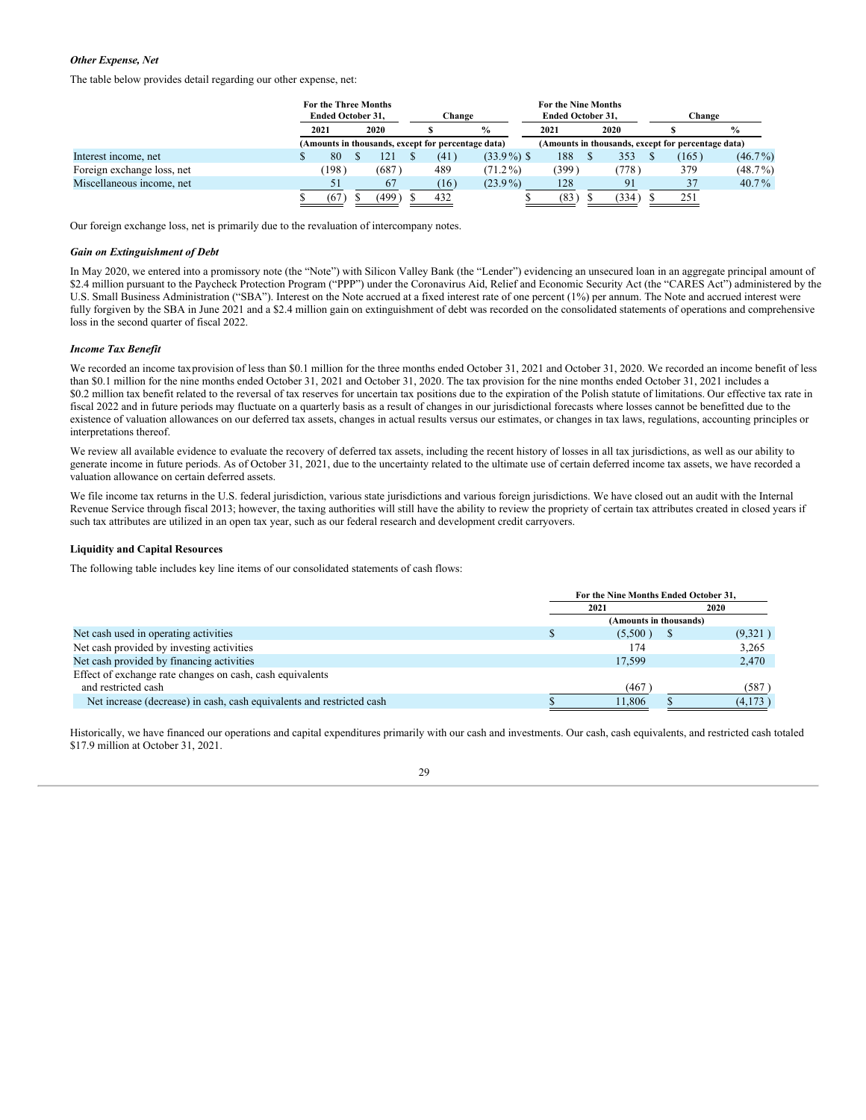#### *Other Expense, Net*

The table below provides detail regarding our other expense, net:

|                            | <b>For the Three Months</b><br><b>Ended October 31.</b> |  |        | Change                                            | <b>For the Nine Months</b><br><b>Ended October 31.</b> |       |  | Change |  |                                                    |               |
|----------------------------|---------------------------------------------------------|--|--------|---------------------------------------------------|--------------------------------------------------------|-------|--|--------|--|----------------------------------------------------|---------------|
|                            | 2021                                                    |  | 2020   |                                                   | $\frac{0}{0}$                                          | 2021  |  | 2020   |  |                                                    | $\frac{0}{0}$ |
|                            |                                                         |  |        | Amounts in thousands, except for percentage data) |                                                        |       |  |        |  | (Amounts in thousands, except for percentage data) |               |
| Interest income, net       | 80                                                      |  | 121    | (41)                                              | $(33.9\%)$ \$                                          | 188   |  | 353    |  | (165)                                              | $(46.7\%)$    |
| Foreign exchange loss, net | (198)                                                   |  | (687)  | 489                                               | $(71.2\%)$                                             | (399) |  | 778)   |  | 379                                                | $(48.7\%)$    |
| Miscellaneous income, net  | 51                                                      |  | 67     | (16)                                              | $(23.9\%)$                                             | 128   |  | 91     |  | 37                                                 | $40.7\%$      |
|                            | (67)                                                    |  | (499 ) | 432                                               |                                                        | (83)  |  | (334)  |  | 251                                                |               |

Our foreign exchange loss, net is primarily due to the revaluation of intercompany notes.

#### *Gain on Extinguishment of Debt*

In May 2020, we entered into a promissory note (the "Note") with Silicon Valley Bank (the "Lender") evidencing an unsecured loan in an aggregate principal amount of \$2.4 million pursuant to the Paycheck Protection Program ("PPP") under the Coronavirus Aid, Relief and Economic Security Act (the "CARES Act") administered by the U.S. Small Business Administration ("SBA"). Interest on the Note accrued at a fixed interest rate of one percent (1%) per annum. The Note and accrued interest were fully forgiven by the SBA in June 2021 and a \$2.4 million gain on extinguishment of debt was recorded on the consolidated statements of operations and comprehensive loss in the second quarter of fiscal 2022.

#### *Income Tax Benefit*

We recorded an income taxprovision of less than \$0.1 million for the three months ended October 31, 2021 and October 31, 2020. We recorded an income benefit of less than \$0.1 million for the nine months ended October 31, 2021 and October 31, 2020. The tax provision for the nine months ended October 31, 2021 includes a \$0.2 million tax benefit related to the reversal of tax reserves for uncertain tax positions due to the expiration of the Polish statute of limitations. Our effective tax rate in fiscal 2022 and in future periods may fluctuate on a quarterly basis as a result of changes in our jurisdictional forecasts where losses cannot be benefitted due to the existence of valuation allowances on our deferred tax assets, changes in actual results versus our estimates, or changes in tax laws, regulations, accounting principles or interpretations thereof.

We review all available evidence to evaluate the recovery of deferred tax assets, including the recent history of losses in all tax jurisdictions, as well as our ability to generate income in future periods. As of October 31, 2021, due to the uncertainty related to the ultimate use of certain deferred income tax assets, we have recorded a valuation allowance on certain deferred assets.

We file income tax returns in the U.S. federal jurisdiction, various state jurisdictions and various foreign jurisdictions. We have closed out an audit with the Internal Revenue Service through fiscal 2013; however, the taxing authorities will still have the ability to review the propriety of certain tax attributes created in closed years if such tax attributes are utilized in an open tax year, such as our federal research and development credit carryovers.

#### **Liquidity and Capital Resources**

The following table includes key line items of our consolidated statements of cash flows:

|                                                                       | For the Nine Months Ended October 31. |  |         |  |
|-----------------------------------------------------------------------|---------------------------------------|--|---------|--|
|                                                                       | 2021                                  |  | 2020    |  |
|                                                                       | (Amounts in thousands)                |  |         |  |
| Net cash used in operating activities                                 | (5,500)                               |  | (9,321) |  |
| Net cash provided by investing activities                             | 174                                   |  | 3,265   |  |
| Net cash provided by financing activities                             | 17.599                                |  | 2.470   |  |
| Effect of exchange rate changes on cash, cash equivalents             |                                       |  |         |  |
| and restricted cash                                                   | (467                                  |  | (587    |  |
| Net increase (decrease) in cash, cash equivalents and restricted cash | 11.806                                |  | (4,173) |  |

Historically, we have financed our operations and capital expenditures primarily with our cash and investments. Our cash, cash equivalents, and restricted cash totaled \$17.9 million at October 31, 2021.

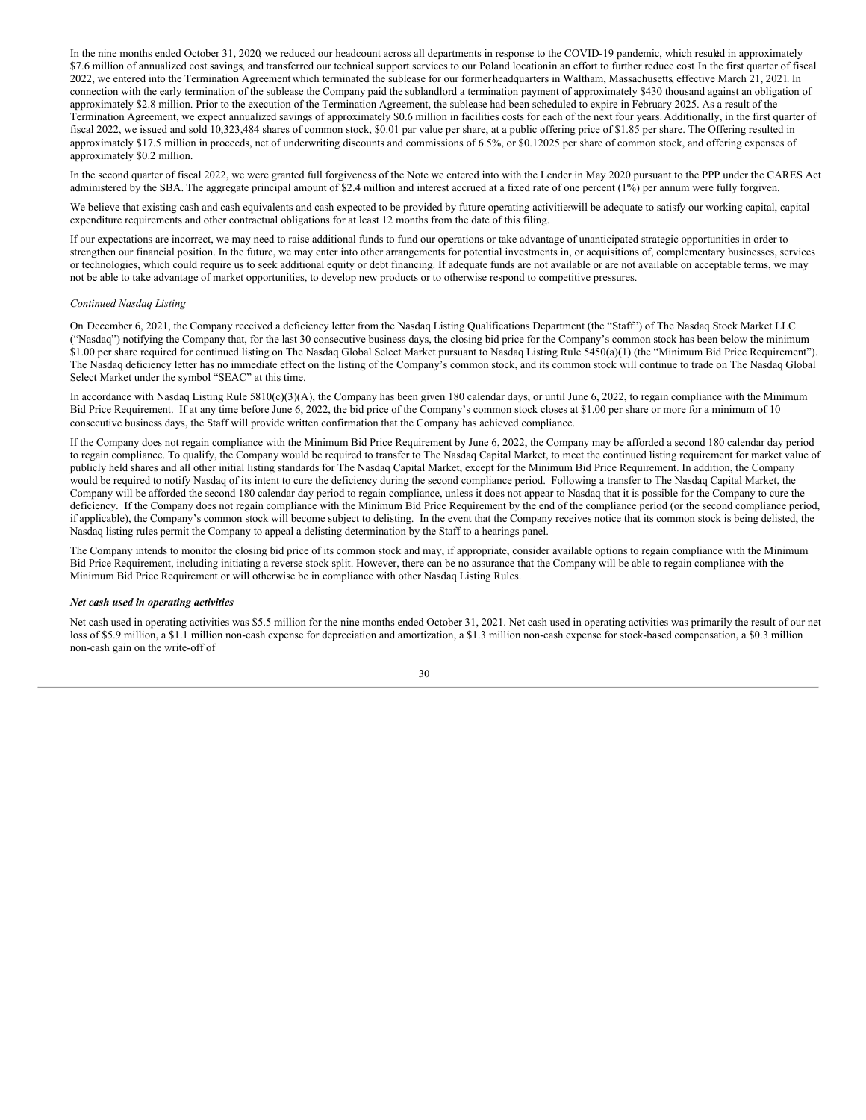In the nine months ended October 31, 2020, we reduced our headcount across all departments in response to the COVID-19 pandemic, which resuletd in approximately \$7.6 million of annualized cost savings, and transferred our technical support services to our Poland locationin an effort to further reduce cost. In the first quarter of fiscal 2022, we entered into the Termination Agreement which terminated the sublease for our formerheadquarters in Waltham, Massachusetts, effective March 21, 2021. In connection with the early termination of the sublease the Company paid the sublandlord a termination payment of approximately \$430 thousand against an obligation of approximately \$2.8 million. Prior to the execution of the Termination Agreement, the sublease had been scheduled to expire in February 2025. As a result of the Termination Agreement, we expect annualized savings of approximately \$0.6 million in facilities costs for each of the next four years.Additionally, in the first quarter of fiscal 2022, we issued and sold 10,323,484 shares of common stock, \$0.01 par value per share, at a public offering price of \$1.85 per share. The Offering resulted in approximately \$17.5 million in proceeds, net of underwriting discounts and commissions of 6.5%, or \$0.12025 per share of common stock, and offering expenses of approximately \$0.2 million.

In the second quarter of fiscal 2022, we were granted full forgiveness of the Note we entered into with the Lender in May 2020 pursuant to the PPP under the CARES Act administered by the SBA. The aggregate principal amount of \$2.4 million and interest accrued at a fixed rate of one percent (1%) per annum were fully forgiven.

We believe that existing cash and cash equivalents and cash expected to be provided by future operating activitieswill be adequate to satisfy our working capital, capital expenditure requirements and other contractual obligations for at least 12 months from the date of this filing.

If our expectations are incorrect, we may need to raise additional funds to fund our operations or take advantage of unanticipated strategic opportunities in order to strengthen our financial position. In the future, we may enter into other arrangements for potential investments in, or acquisitions of, complementary businesses, services or technologies, which could require us to seek additional equity or debt financing. If adequate funds are not available or are not available on acceptable terms, we may not be able to take advantage of market opportunities, to develop new products or to otherwise respond to competitive pressures.

#### *Continued Nasdaq Listing*

On December 6, 2021, the Company received a deficiency letter from the Nasdaq Listing Qualifications Department (the "Staff") of The Nasdaq Stock Market LLC ("Nasdaq") notifying the Company that, for the last 30 consecutive business days, the closing bid price for the Company's common stock has been below the minimum \$1.00 per share required for continued listing on The Nasdaq Global Select Market pursuant to Nasdaq Listing Rule 5450(a)(1) (the "Minimum Bid Price Requirement"). The Nasdaq deficiency letter has no immediate effect on the listing of the Company's common stock, and its common stock will continue to trade on The Nasdaq Global Select Market under the symbol "SEAC" at this time.

In accordance with Nasdaq Listing Rule 5810(c)(3)(A), the Company has been given 180 calendar days, or until June 6, 2022, to regain compliance with the Minimum Bid Price Requirement. If at any time before June 6, 2022, the bid price of the Company's common stock closes at \$1.00 per share or more for a minimum of 10 consecutive business days, the Staff will provide written confirmation that the Company has achieved compliance.

If the Company does not regain compliance with the Minimum Bid Price Requirement by June 6, 2022, the Company may be afforded a second 180 calendar day period to regain compliance. To qualify, the Company would be required to transfer to The Nasdaq Capital Market, to meet the continued listing requirement for market value of publicly held shares and all other initial listing standards for The Nasdaq Capital Market, except for the Minimum Bid Price Requirement. In addition, the Company would be required to notify Nasdaq of its intent to cure the deficiency during the second compliance period. Following a transfer to The Nasdaq Capital Market, the Company will be afforded the second 180 calendar day period to regain compliance, unless it does not appear to Nasdaq that it is possible for the Company to cure the deficiency. If the Company does not regain compliance with the Minimum Bid Price Requirement by the end of the compliance period (or the second compliance period, if applicable), the Company's common stock will become subject to delisting. In the event that the Company receives notice that its common stock is being delisted, the Nasdaq listing rules permit the Company to appeal a delisting determination by the Staff to a hearings panel.

The Company intends to monitor the closing bid price of its common stock and may, if appropriate, consider available options to regain compliance with the Minimum Bid Price Requirement, including initiating a reverse stock split. However, there can be no assurance that the Company will be able to regain compliance with the Minimum Bid Price Requirement or will otherwise be in compliance with other Nasdaq Listing Rules.

#### *Net cash used in operating activities*

Net cash used in operating activities was \$5.5 million for the nine months ended October 31, 2021. Net cash used in operating activities was primarily the result of our net loss of \$5.9 million, a \$1.1 million non-cash expense for depreciation and amortization, a \$1.3 million non-cash expense for stock-based compensation, a \$0.3 million non-cash gain on the write-off of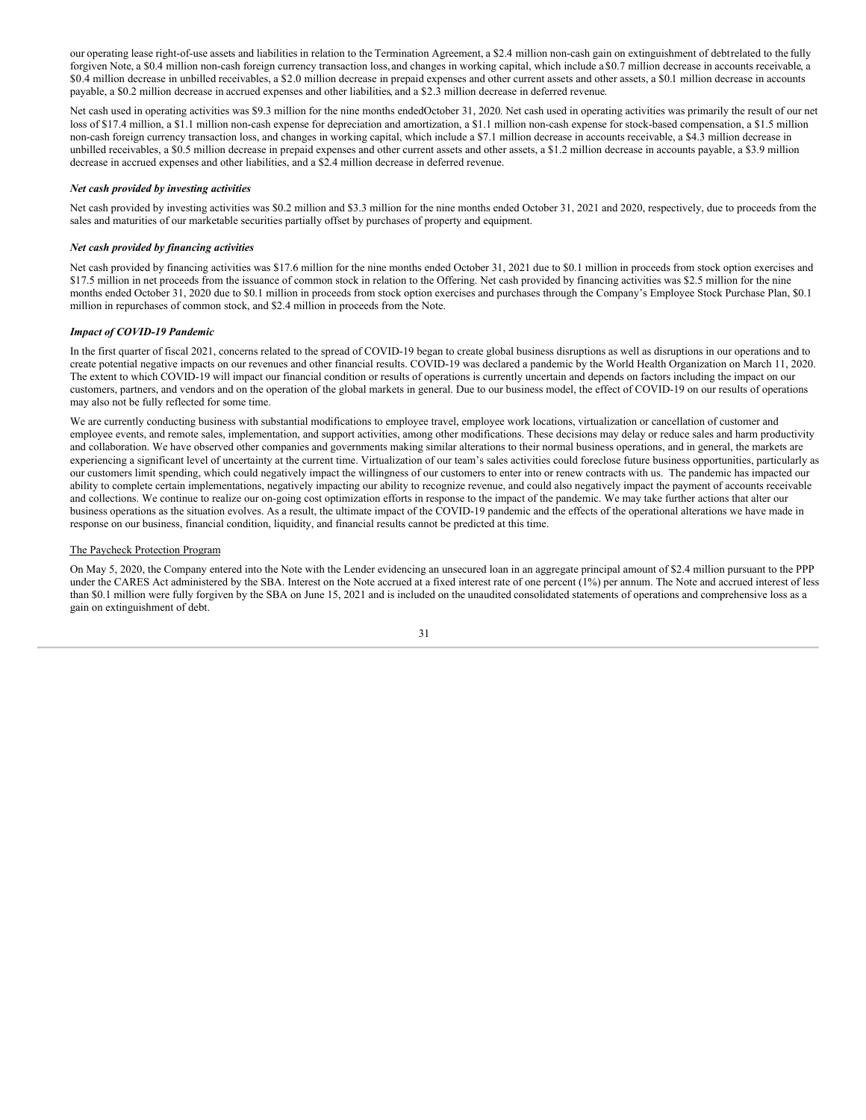our operating lease right-of-use assets and liabilities in relation to the Termination Agreement, a \$2.4 million non-cash gain on extinguishment of debtrelated to the fully forgiven Note, a \$0.4 million non-cash foreign currency transaction loss, and changes in working capital, which include a \$0.7 million decrease in accounts receivable, a \$0.4 million decrease in unbilled receivables, a \$2.0 million decrease in prepaid expenses and other current assets and other assets, a \$0.1 million decrease in accounts payable, a \$0.2 million decrease in accrued expenses and other liabilities, and a \$2.3 million decrease in deferred revenue.

Net cash used in operating activities was \$9.3 million for the nine months endedOctober 31, 2020. Net cash used in operating activities was primarily the result of our net loss of \$17.4 million, a \$1.1 million non-cash expense for depreciation and amortization, a \$1.1 million non-cash expense for stock-based compensation, a \$1.5 million non-cash foreign currency transaction loss, and changes in working capital, which include a \$7.1 million decrease in accounts receivable, a \$4.3 million decrease in unbilled receivables, a \$0.5 million decrease in prepaid expenses and other current assets and other assets, a \$1.2 million decrease in accounts payable, a \$3.9 million decrease in accrued expenses and other liabilities, and a \$2.4 million decrease in deferred revenue.

#### *Net cash provided by investing activities*

Net cash provided by investing activities was \$0.2 million and \$3.3 million for the nine months ended October 31, 2021 and 2020, respectively, due to proceeds from the sales and maturities of our marketable securities partially offset by purchases of property and equipment.

#### *Net cash provided by financing activities*

Net cash provided by financing activities was \$17.6 million for the nine months ended October 31, 2021 due to \$0.1 million in proceeds from stock option exercises and \$17.5 million in net proceeds from the issuance of common stock in relation to the Offering. Net cash provided by financing activities was \$2.5 million for the nine months ended October 31, 2020 due to \$0.1 million in proceeds from stock option exercises and purchases through the Company's Employee Stock Purchase Plan, \$0.1 million in repurchases of common stock, and \$2.4 million in proceeds from the Note.

#### *Impact of COVID-19 Pandemic*

In the first quarter of fiscal 2021, concerns related to the spread of COVID-19 began to create global business disruptions as well as disruptions in our operations and to create potential negative impacts on our revenues and other financial results. COVID-19 was declared a pandemic by the World Health Organization on March 11, 2020. The extent to which COVID-19 will impact our financial condition or results of operations is currently uncertain and depends on factors including the impact on our customers, partners, and vendors and on the operation of the global markets in general. Due to our business model, the effect of COVID-19 on our results of operations may also not be fully reflected for some time.

We are currently conducting business with substantial modifications to employee travel, employee work locations, virtualization or cancellation of customer and employee events, and remote sales, implementation, and support activities, among other modifications. These decisions may delay or reduce sales and harm productivity and collaboration. We have observed other companies and governments making similar alterations to their normal business operations, and in general, the markets are experiencing a significant level of uncertainty at the current time. Virtualization of our team's sales activities could foreclose future business opportunities, particularly as our customers limit spending, which could negatively impact the willingness of our customers to enter into or renew contracts with us. The pandemic has impacted our ability to complete certain implementations, negatively impacting our ability to recognize revenue, and could also negatively impact the payment of accounts receivable and collections. We continue to realize our on-going cost optimization efforts in response to the impact of the pandemic. We may take further actions that alter our business operations as the situation evolves. As a result, the ultimate impact of the COVID-19 pandemic and the effects of the operational alterations we have made in response on our business, financial condition, liquidity, and financial results cannot be predicted at this time.

#### The Paycheck Protection Program

On May 5, 2020, the Company entered into the Note with the Lender evidencing an unsecured loan in an aggregate principal amount of \$2.4 million pursuant to the PPP under the CARES Act administered by the SBA. Interest on the Note accrued at a fixed interest rate of one percent (1%) per annum. The Note and accrued interest of less than \$0.1 million were fully forgiven by the SBA on June 15, 2021 and is included on the unaudited consolidated statements of operations and comprehensive loss as a gain on extinguishment of debt.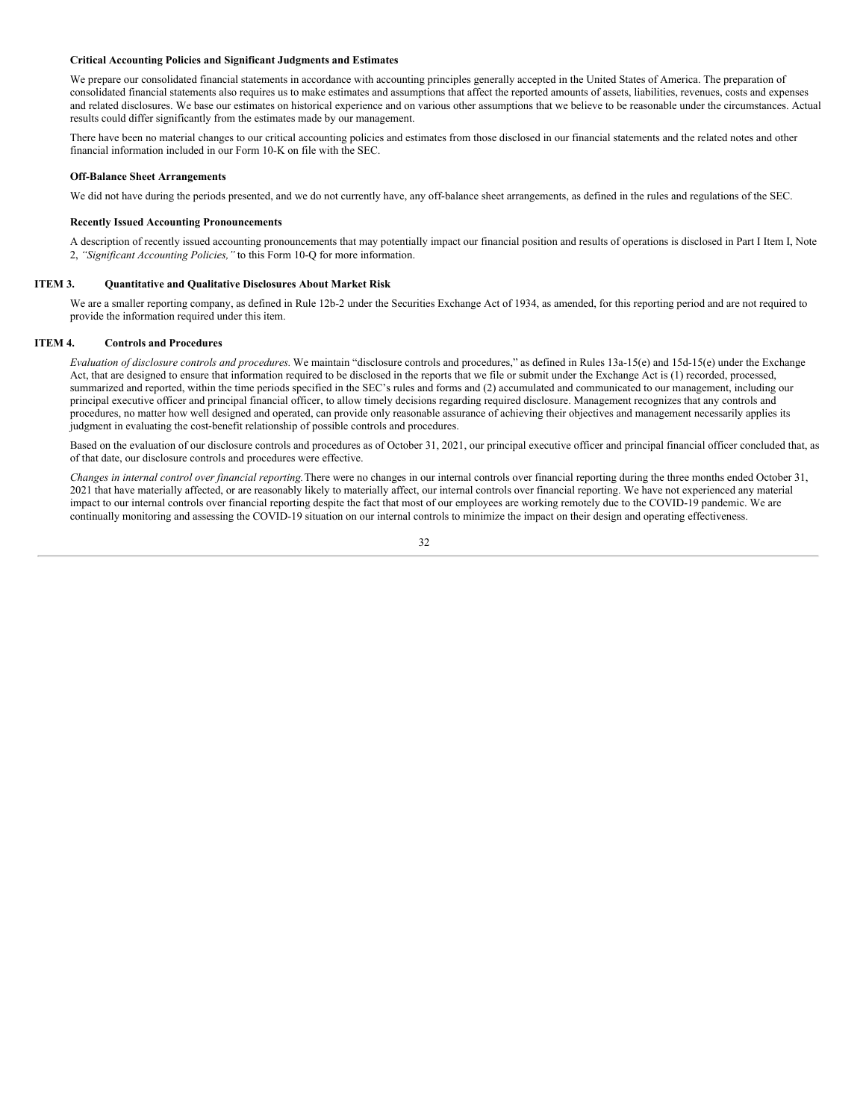#### **Critical Accounting Policies and Significant Judgments and Estimates**

We prepare our consolidated financial statements in accordance with accounting principles generally accepted in the United States of America. The preparation of consolidated financial statements also requires us to make estimates and assumptions that affect the reported amounts of assets, liabilities, revenues, costs and expenses and related disclosures. We base our estimates on historical experience and on various other assumptions that we believe to be reasonable under the circumstances. Actual results could differ significantly from the estimates made by our management.

There have been no material changes to our critical accounting policies and estimates from those disclosed in our financial statements and the related notes and other financial information included in our Form 10-K on file with the SEC.

#### **Off-Balance Sheet Arrangements**

We did not have during the periods presented, and we do not currently have, any off-balance sheet arrangements, as defined in the rules and regulations of the SEC.

#### **Recently Issued Accounting Pronouncements**

A description of recently issued accounting pronouncements that may potentially impact our financial position and results of operations is disclosed in Part I Item I, Note 2, *"Significant Accounting Policies,"* to this Form 10-Q for more information.

#### **ITEM 3. Quantitative and Qualitative Disclosures About Market Risk**

<span id="page-32-0"></span>We are a smaller reporting company, as defined in Rule 12b-2 under the Securities Exchange Act of 1934, as amended, for this reporting period and are not required to provide the information required under this item.

#### **ITEM 4. Controls and Procedures**

<span id="page-32-1"></span>*Evaluation of disclosure controls and procedures.* We maintain "disclosure controls and procedures," as defined in Rules 13a‑15(e) and 15d‑15(e) under the Exchange Act, that are designed to ensure that information required to be disclosed in the reports that we file or submit under the Exchange Act is (1) recorded, processed, summarized and reported, within the time periods specified in the SEC's rules and forms and (2) accumulated and communicated to our management, including our principal executive officer and principal financial officer, to allow timely decisions regarding required disclosure. Management recognizes that any controls and procedures, no matter how well designed and operated, can provide only reasonable assurance of achieving their objectives and management necessarily applies its judgment in evaluating the cost-benefit relationship of possible controls and procedures.

Based on the evaluation of our disclosure controls and procedures as of October 31, 2021, our principal executive officer and principal financial officer concluded that, as of that date, our disclosure controls and procedures were effective.

*Changes in internal control over financial reporting.*There were no changes in our internal controls over financial reporting during the three months ended October 31, 2021 that have materially affected, or are reasonably likely to materially affect, our internal controls over financial reporting. We have not experienced any material impact to our internal controls over financial reporting despite the fact that most of our employees are working remotely due to the COVID-19 pandemic. We are continually monitoring and assessing the COVID-19 situation on our internal controls to minimize the impact on their design and operating effectiveness.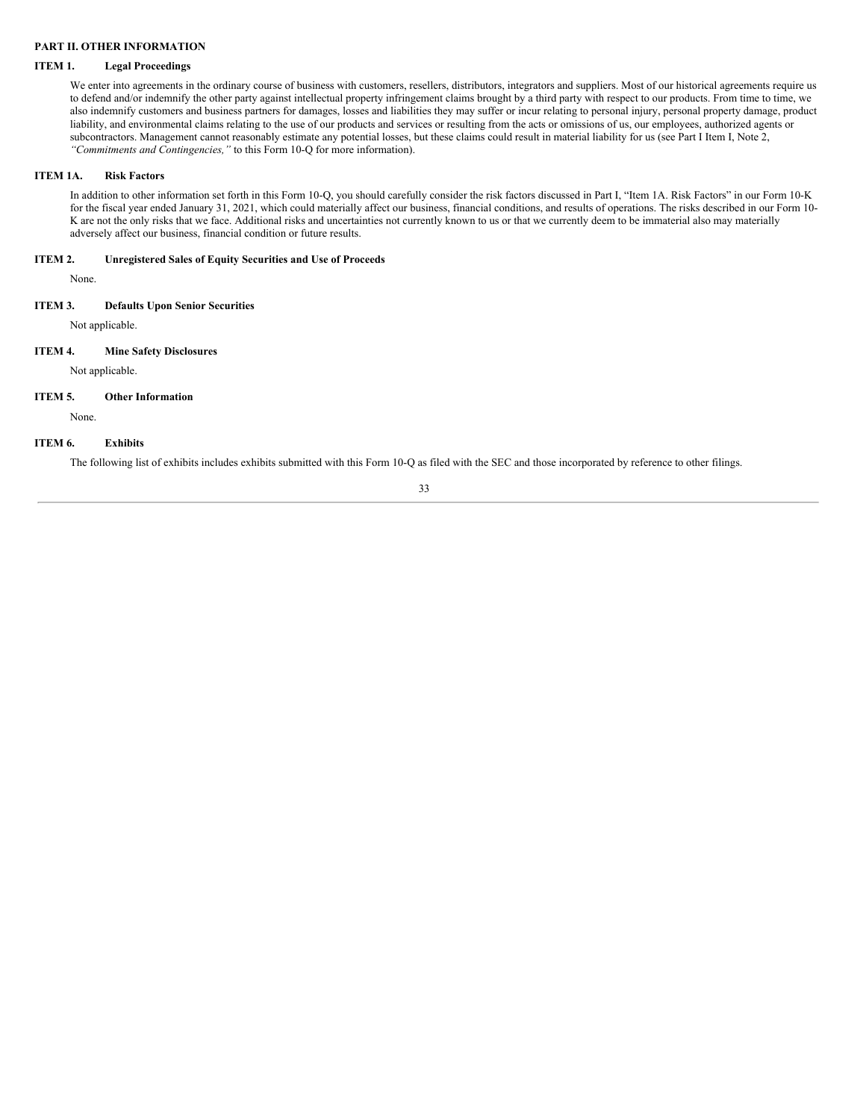### <span id="page-33-0"></span>**PART II. OTHER INFORMATION**

#### **ITEM 1. Legal Proceedings**

<span id="page-33-1"></span>We enter into agreements in the ordinary course of business with customers, resellers, distributors, integrators and suppliers. Most of our historical agreements require us to defend and/or indemnify the other party against intellectual property infringement claims brought by a third party with respect to our products. From time to time, we also indemnify customers and business partners for damages, losses and liabilities they may suffer or incur relating to personal injury, personal property damage, product liability, and environmental claims relating to the use of our products and services or resulting from the acts or omissions of us, our employees, authorized agents or subcontractors. Management cannot reasonably estimate any potential losses, but these claims could result in material liability for us (see Part I Item I, Note 2, *"Commitments and Contingencies,"* to this Form 10-Q for more information).

#### **ITEM 1A. Risk Factors**

<span id="page-33-2"></span>In addition to other information set forth in this Form 10-Q, you should carefully consider the risk factors discussed in Part I, "Item 1A. Risk Factors" in our Form 10-K for the fiscal year ended January 31, 2021, which could materially affect our business, financial conditions, and results of operations. The risks described in our Form 10- K are not the only risks that we face. Additional risks and uncertainties not currently known to us or that we currently deem to be immaterial also may materially adversely affect our business, financial condition or future results.

#### **ITEM 2. Unregistered Sales of Equity Securities and Use of Proceeds**

<span id="page-33-3"></span>None.

#### **ITEM 3. Defaults Upon Senior Securities**

<span id="page-33-4"></span>Not applicable.

#### **ITEM 4. Mine Safety Disclosures**

<span id="page-33-6"></span><span id="page-33-5"></span>Not applicable.

#### **ITEM 5. Other Information**

None.

#### **ITEM 6. Exhibits**

<span id="page-33-7"></span>The following list of exhibits includes exhibits submitted with this Form 10-Q as filed with the SEC and those incorporated by reference to other filings.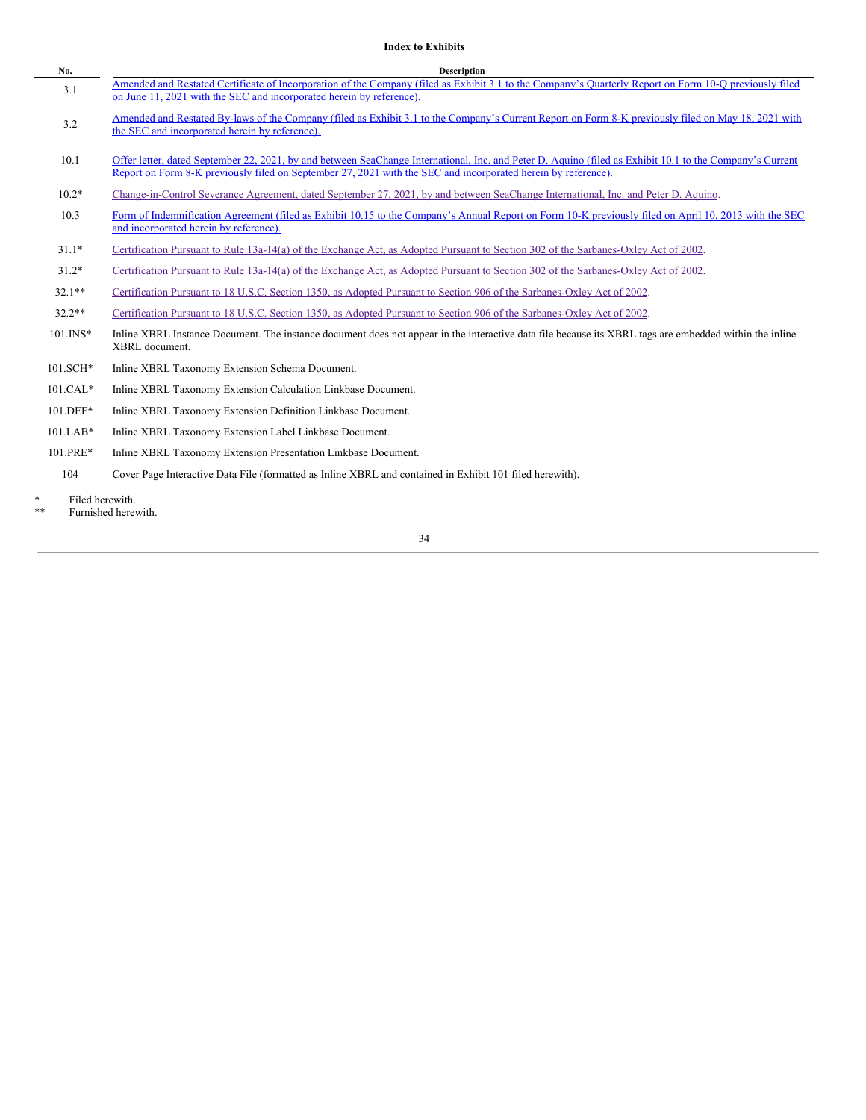### **Index to Exhibits**

| No.                             | <b>Description</b>                                                                                                                                                                                                                                                        |
|---------------------------------|---------------------------------------------------------------------------------------------------------------------------------------------------------------------------------------------------------------------------------------------------------------------------|
| 3.1                             | Amended and Restated Certificate of Incorporation of the Company (filed as Exhibit 3.1 to the Company's Quarterly Report on Form 10-Q previously filed<br>on June 11, 2021 with the SEC and incorporated herein by reference).                                            |
| 3.2                             | Amended and Restated By-laws of the Company (filed as Exhibit 3.1 to the Company's Current Report on Form 8-K previously filed on May 18, 2021 with<br>the SEC and incorporated herein by reference).                                                                     |
| 10.1                            | Offer letter, dated September 22, 2021, by and between SeaChange International, Inc. and Peter D. Aquino (filed as Exhibit 10.1 to the Company's Current<br>Report on Form 8-K previously filed on September 27, 2021 with the SEC and incorporated herein by reference). |
| $10.2*$                         | Change-in-Control Severance Agreement, dated September 27, 2021, by and between SeaChange International, Inc. and Peter D. Aquino.                                                                                                                                        |
| 10.3                            | Form of Indemnification Agreement (filed as Exhibit 10.15 to the Company's Annual Report on Form 10-K previously filed on April 10, 2013 with the SEC<br>and incorporated herein by reference).                                                                           |
| $31.1*$                         | Certification Pursuant to Rule 13a-14(a) of the Exchange Act, as Adopted Pursuant to Section 302 of the Sarbanes-Oxley Act of 2002.                                                                                                                                       |
| $31.2*$                         | Certification Pursuant to Rule 13a-14(a) of the Exchange Act, as Adopted Pursuant to Section 302 of the Sarbanes-Oxley Act of 2002.                                                                                                                                       |
| $32.1**$                        | Certification Pursuant to 18 U.S.C. Section 1350, as Adopted Pursuant to Section 906 of the Sarbanes-Oxley Act of 2002.                                                                                                                                                   |
| $32.2**$                        | Certification Pursuant to 18 U.S.C. Section 1350, as Adopted Pursuant to Section 906 of the Sarbanes-Oxley Act of 2002.                                                                                                                                                   |
| $101$ . INS*                    | Inline XBRL Instance Document. The instance document does not appear in the interactive data file because its XBRL tags are embedded within the inline<br>XBRL document.                                                                                                  |
| 101.SCH*                        | Inline XBRL Taxonomy Extension Schema Document.                                                                                                                                                                                                                           |
| $101.CAL*$                      | Inline XBRL Taxonomy Extension Calculation Linkbase Document.                                                                                                                                                                                                             |
| 101.DEF*                        | Inline XBRL Taxonomy Extension Definition Linkbase Document.                                                                                                                                                                                                              |
| $101.LAB*$                      | Inline XBRL Taxonomy Extension Label Linkbase Document.                                                                                                                                                                                                                   |
| 101.PRE*                        | Inline XBRL Taxonomy Extension Presentation Linkbase Document.                                                                                                                                                                                                            |
| 104                             | Cover Page Interactive Data File (formatted as Inline XBRL and contained in Exhibit 101 filed herewith).                                                                                                                                                                  |
| $\ast$<br>Filed herewith.<br>** | Furnished herewith.                                                                                                                                                                                                                                                       |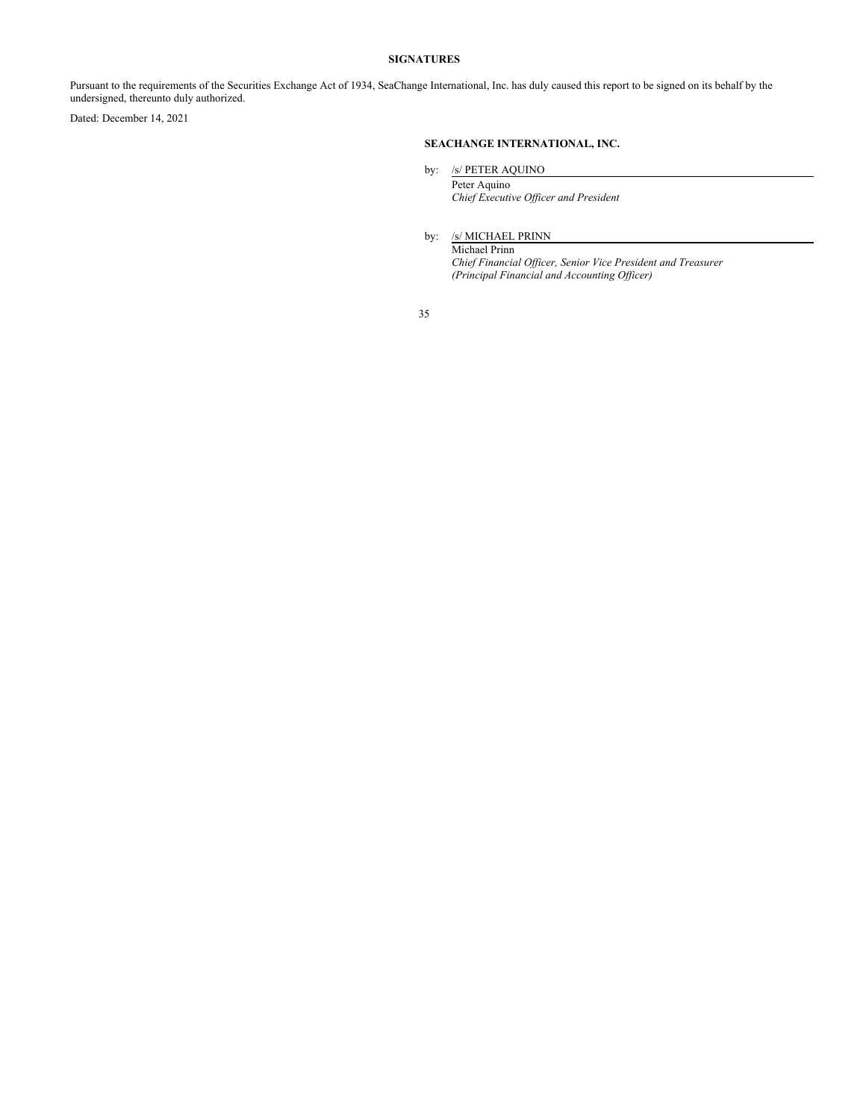#### **SIGNATURES**

<span id="page-35-0"></span>Pursuant to the requirements of the Securities Exchange Act of 1934, SeaChange International, Inc. has duly caused this report to be signed on its behalf by the undersigned, thereunto duly authorized.

Dated: December 14, 2021

### **SEACHANGE INTERNATIONAL, INC.**

by: /s/ PETER AQUINO

Peter Aquino *Chief Executive Of icer and President*

by: /s/ MICHAEL PRINN

Michael Prinn *Chief Financial Of icer, Senior Vice President and Treasurer (Principal Financial and Accounting Of icer)*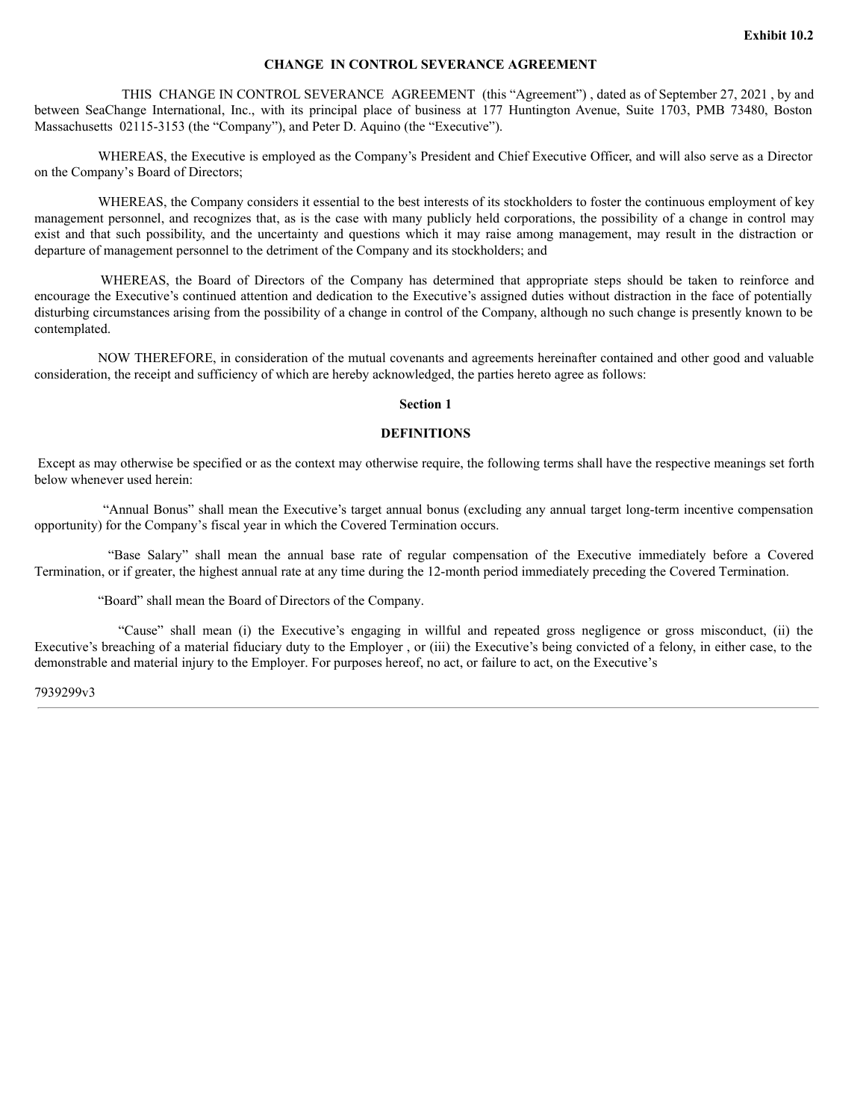### **CHANGE IN CONTROL SEVERANCE AGREEMENT**

THIS CHANGE IN CONTROL SEVERANCE AGREEMENT (this "Agreement") , dated as of September 27, 2021 , by and between SeaChange International, Inc., with its principal place of business at 177 Huntington Avenue, Suite 1703, PMB 73480, Boston Massachusetts 02115-3153 (the "Company"), and Peter D. Aquino (the "Executive").

WHEREAS, the Executive is employed as the Company's President and Chief Executive Officer, and will also serve as a Director on the Company's Board of Directors;

WHEREAS, the Company considers it essential to the best interests of its stockholders to foster the continuous employment of key management personnel, and recognizes that, as is the case with many publicly held corporations, the possibility of a change in control may exist and that such possibility, and the uncertainty and questions which it may raise among management, may result in the distraction or departure of management personnel to the detriment of the Company and its stockholders; and

WHEREAS, the Board of Directors of the Company has determined that appropriate steps should be taken to reinforce and encourage the Executive's continued attention and dedication to the Executive's assigned duties without distraction in the face of potentially disturbing circumstances arising from the possibility of a change in control of the Company, although no such change is presently known to be contemplated.

NOW THEREFORE, in consideration of the mutual covenants and agreements hereinafter contained and other good and valuable consideration, the receipt and sufficiency of which are hereby acknowledged, the parties hereto agree as follows:

### **Section 1**

#### **DEFINITIONS**

Except as may otherwise be specified or as the context may otherwise require, the following terms shall have the respective meanings set forth below whenever used herein:

"Annual Bonus" shall mean the Executive's target annual bonus (excluding any annual target long-term incentive compensation opportunity) for the Company's fiscal year in which the Covered Termination occurs.

"Base Salary" shall mean the annual base rate of regular compensation of the Executive immediately before a Covered Termination, or if greater, the highest annual rate at any time during the 12-month period immediately preceding the Covered Termination.

"Board" shall mean the Board of Directors of the Company.

"Cause" shall mean (i) the Executive's engaging in willful and repeated gross negligence or gross misconduct, (ii) the Executive's breaching of a material fiduciary duty to the Employer , or (iii) the Executive's being convicted of a felony, in either case, to the demonstrable and material injury to the Employer. For purposes hereof, no act, or failure to act, on the Executive's

7939299v3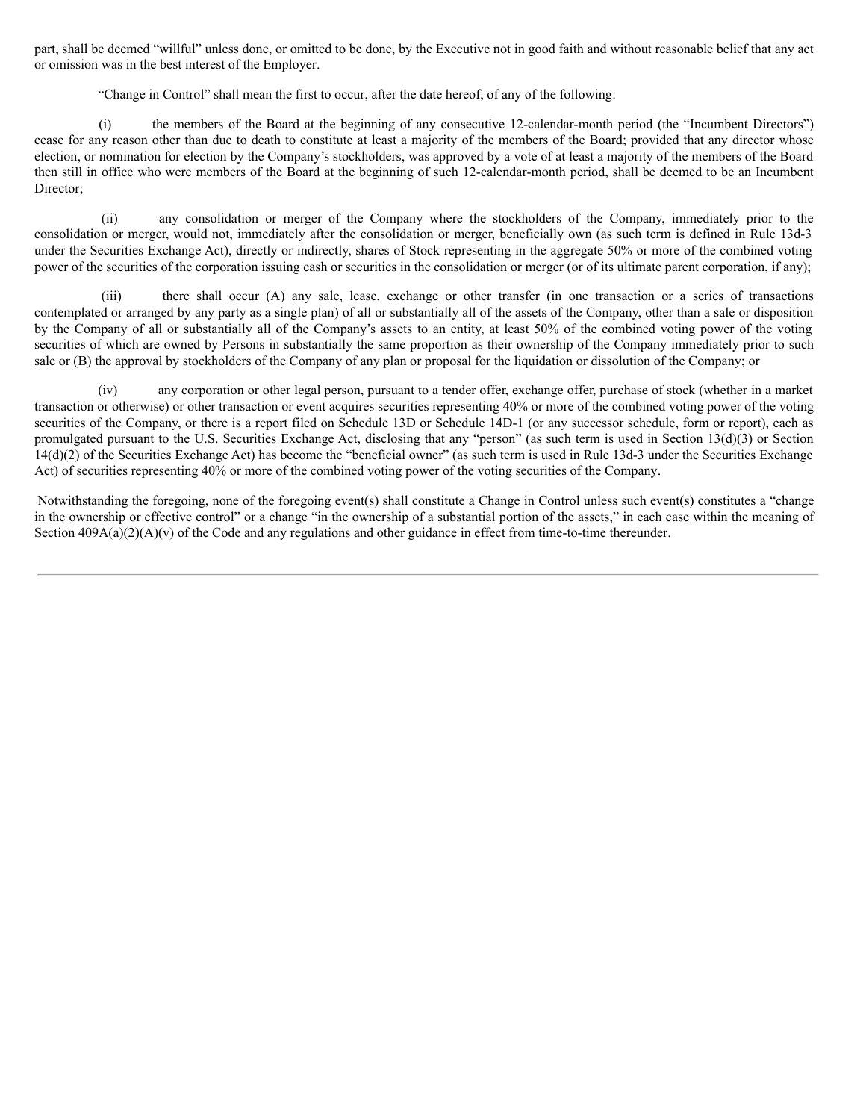part, shall be deemed "willful" unless done, or omitted to be done, by the Executive not in good faith and without reasonable belief that any act or omission was in the best interest of the Employer.

"Change in Control" shall mean the first to occur, after the date hereof, of any of the following:

(i) the members of the Board at the beginning of any consecutive 12-calendar-month period (the "Incumbent Directors") cease for any reason other than due to death to constitute at least a majority of the members of the Board; provided that any director whose election, or nomination for election by the Company's stockholders, was approved by a vote of at least a majority of the members of the Board then still in office who were members of the Board at the beginning of such 12-calendar-month period, shall be deemed to be an Incumbent Director;

(ii) any consolidation or merger of the Company where the stockholders of the Company, immediately prior to the consolidation or merger, would not, immediately after the consolidation or merger, beneficially own (as such term is defined in Rule 13d-3 under the Securities Exchange Act), directly or indirectly, shares of Stock representing in the aggregate 50% or more of the combined voting power of the securities of the corporation issuing cash or securities in the consolidation or merger (or of its ultimate parent corporation, if any);

(iii) there shall occur (A) any sale, lease, exchange or other transfer (in one transaction or a series of transactions contemplated or arranged by any party as a single plan) of all or substantially all of the assets of the Company, other than a sale or disposition by the Company of all or substantially all of the Company's assets to an entity, at least 50% of the combined voting power of the voting securities of which are owned by Persons in substantially the same proportion as their ownership of the Company immediately prior to such sale or (B) the approval by stockholders of the Company of any plan or proposal for the liquidation or dissolution of the Company; or

(iv) any corporation or other legal person, pursuant to a tender offer, exchange offer, purchase of stock (whether in a market transaction or otherwise) or other transaction or event acquires securities representing 40% or more of the combined voting power of the voting securities of the Company, or there is a report filed on Schedule 13D or Schedule 14D-1 (or any successor schedule, form or report), each as promulgated pursuant to the U.S. Securities Exchange Act, disclosing that any "person" (as such term is used in Section 13(d)(3) or Section 14(d)(2) of the Securities Exchange Act) has become the "beneficial owner" (as such term is used in Rule 13d-3 under the Securities Exchange Act) of securities representing 40% or more of the combined voting power of the voting securities of the Company.

Notwithstanding the foregoing, none of the foregoing event(s) shall constitute a Change in Control unless such event(s) constitutes a "change in the ownership or effective control" or a change "in the ownership of a substantial portion of the assets," in each case within the meaning of Section  $409A(a)(2)(A)(v)$  of the Code and any regulations and other guidance in effect from time-to-time thereunder.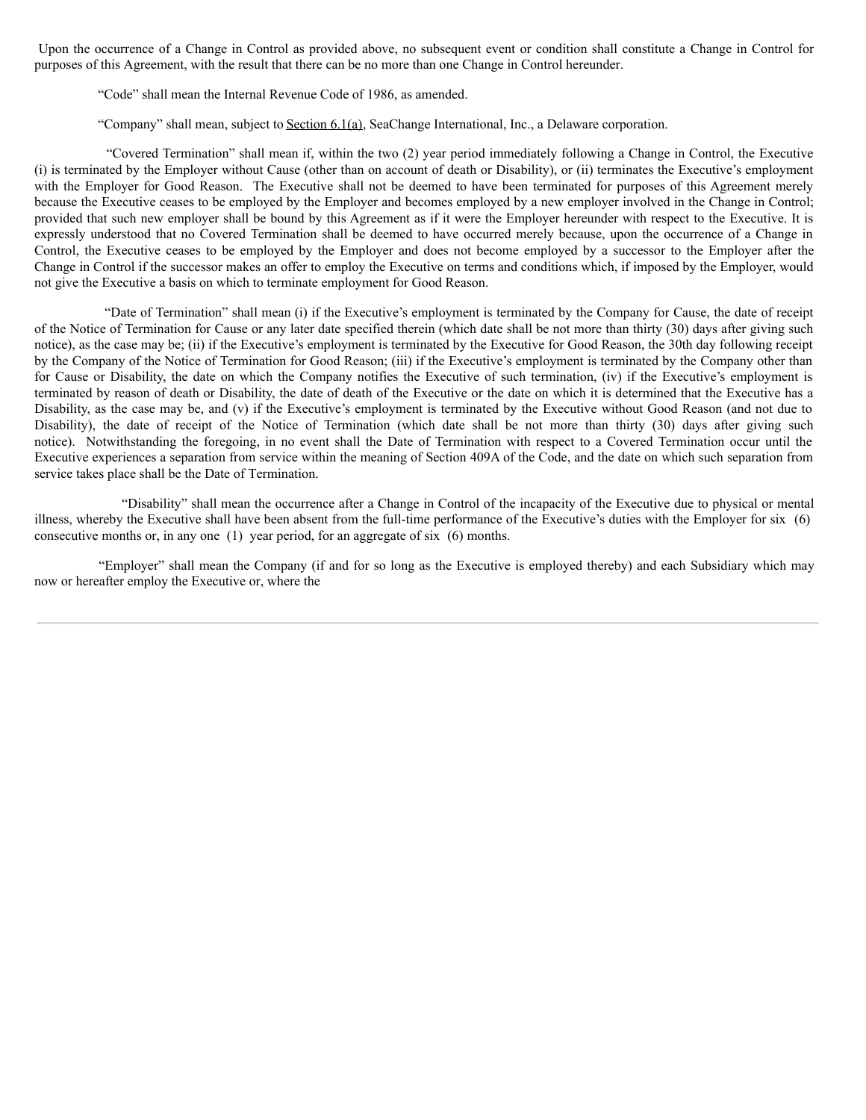Upon the occurrence of a Change in Control as provided above, no subsequent event or condition shall constitute a Change in Control for purposes of this Agreement, with the result that there can be no more than one Change in Control hereunder.

"Code" shall mean the Internal Revenue Code of 1986, as amended.

"Company" shall mean, subject to Section 6.1(a), SeaChange International, Inc., a Delaware corporation.

"Covered Termination" shall mean if, within the two (2) year period immediately following a Change in Control, the Executive (i) is terminated by the Employer without Cause (other than on account of death or Disability), or (ii) terminates the Executive's employment with the Employer for Good Reason. The Executive shall not be deemed to have been terminated for purposes of this Agreement merely because the Executive ceases to be employed by the Employer and becomes employed by a new employer involved in the Change in Control; provided that such new employer shall be bound by this Agreement as if it were the Employer hereunder with respect to the Executive. It is expressly understood that no Covered Termination shall be deemed to have occurred merely because, upon the occurrence of a Change in Control, the Executive ceases to be employed by the Employer and does not become employed by a successor to the Employer after the Change in Control if the successor makes an offer to employ the Executive on terms and conditions which, if imposed by the Employer, would not give the Executive a basis on which to terminate employment for Good Reason.

"Date of Termination" shall mean (i) if the Executive's employment is terminated by the Company for Cause, the date of receipt of the Notice of Termination for Cause or any later date specified therein (which date shall be not more than thirty (30) days after giving such notice), as the case may be; (ii) if the Executive's employment is terminated by the Executive for Good Reason, the 30th day following receipt by the Company of the Notice of Termination for Good Reason; (iii) if the Executive's employment is terminated by the Company other than for Cause or Disability, the date on which the Company notifies the Executive of such termination, (iv) if the Executive's employment is terminated by reason of death or Disability, the date of death of the Executive or the date on which it is determined that the Executive has a Disability, as the case may be, and (v) if the Executive's employment is terminated by the Executive without Good Reason (and not due to Disability), the date of receipt of the Notice of Termination (which date shall be not more than thirty (30) days after giving such notice). Notwithstanding the foregoing, in no event shall the Date of Termination with respect to a Covered Termination occur until the Executive experiences a separation from service within the meaning of Section 409A of the Code, and the date on which such separation from service takes place shall be the Date of Termination.

"Disability" shall mean the occurrence after a Change in Control of the incapacity of the Executive due to physical or mental illness, whereby the Executive shall have been absent from the full-time performance of the Executive's duties with the Employer for six (6) consecutive months or, in any one (1) year period, for an aggregate of six (6) months.

"Employer" shall mean the Company (if and for so long as the Executive is employed thereby) and each Subsidiary which may now or hereafter employ the Executive or, where the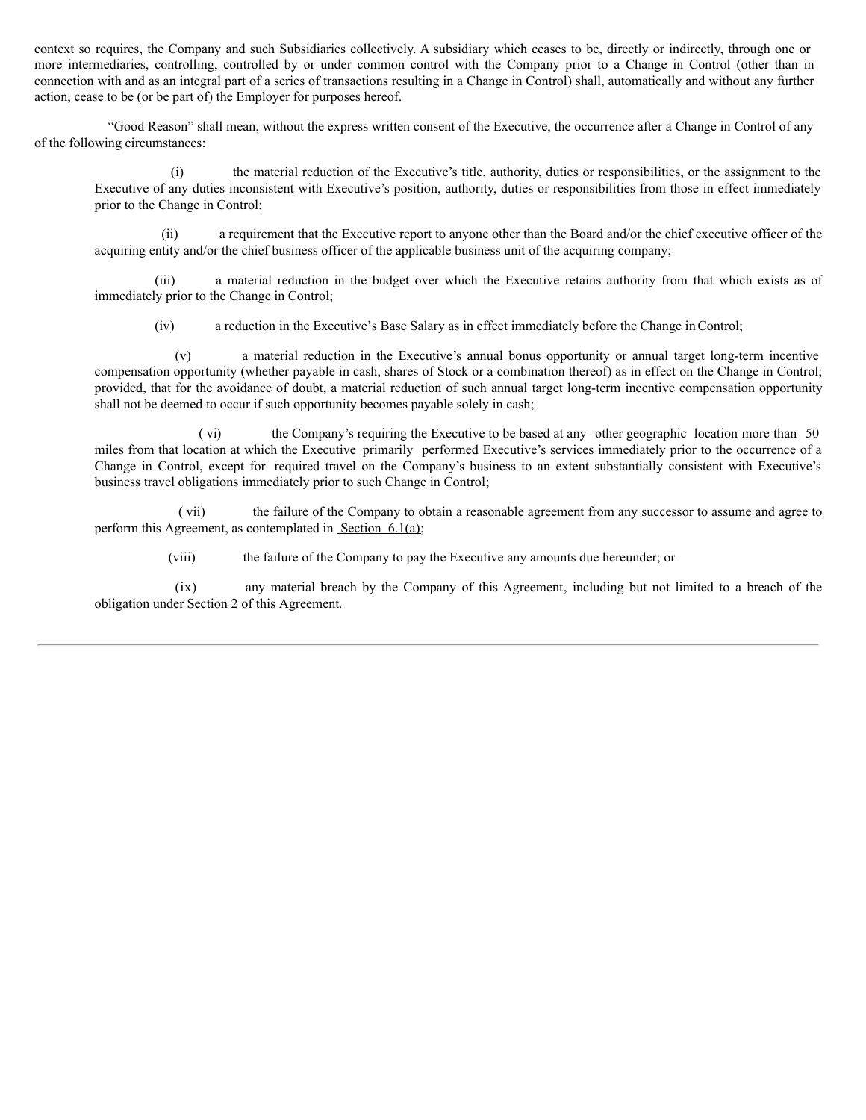context so requires, the Company and such Subsidiaries collectively. A subsidiary which ceases to be, directly or indirectly, through one or more intermediaries, controlling, controlled by or under common control with the Company prior to a Change in Control (other than in connection with and as an integral part of a series of transactions resulting in a Change in Control) shall, automatically and without any further action, cease to be (or be part of) the Employer for purposes hereof.

"Good Reason" shall mean, without the express written consent of the Executive, the occurrence after a Change in Control of any of the following circumstances:

(i) the material reduction of the Executive's title, authority, duties or responsibilities, or the assignment to the Executive of any duties inconsistent with Executive's position, authority, duties or responsibilities from those in effect immediately prior to the Change in Control;

(ii) a requirement that the Executive report to anyone other than the Board and/or the chief executive officer of the acquiring entity and/or the chief business officer of the applicable business unit of the acquiring company;

(iii) a material reduction in the budget over which the Executive retains authority from that which exists as of immediately prior to the Change in Control;

(iv) a reduction in the Executive's Base Salary as in effect immediately before the Change inControl;

(v) a material reduction in the Executive's annual bonus opportunity or annual target long-term incentive compensation opportunity (whether payable in cash, shares of Stock or a combination thereof) as in effect on the Change in Control; provided, that for the avoidance of doubt, a material reduction of such annual target long-term incentive compensation opportunity shall not be deemed to occur if such opportunity becomes payable solely in cash;

( vi) the Company's requiring the Executive to be based at any other geographic location more than 50 miles from that location at which the Executive primarily performed Executive's services immediately prior to the occurrence of a Change in Control, except for required travel on the Company's business to an extent substantially consistent with Executive's business travel obligations immediately prior to such Change in Control;

( vii) the failure of the Company to obtain a reasonable agreement from any successor to assume and agree to perform this Agreement, as contemplated in Section 6.1(a);

(viii) the failure of the Company to pay the Executive any amounts due hereunder; or

(ix) any material breach by the Company of this Agreement, including but not limited to a breach of the obligation under Section 2 of this Agreement.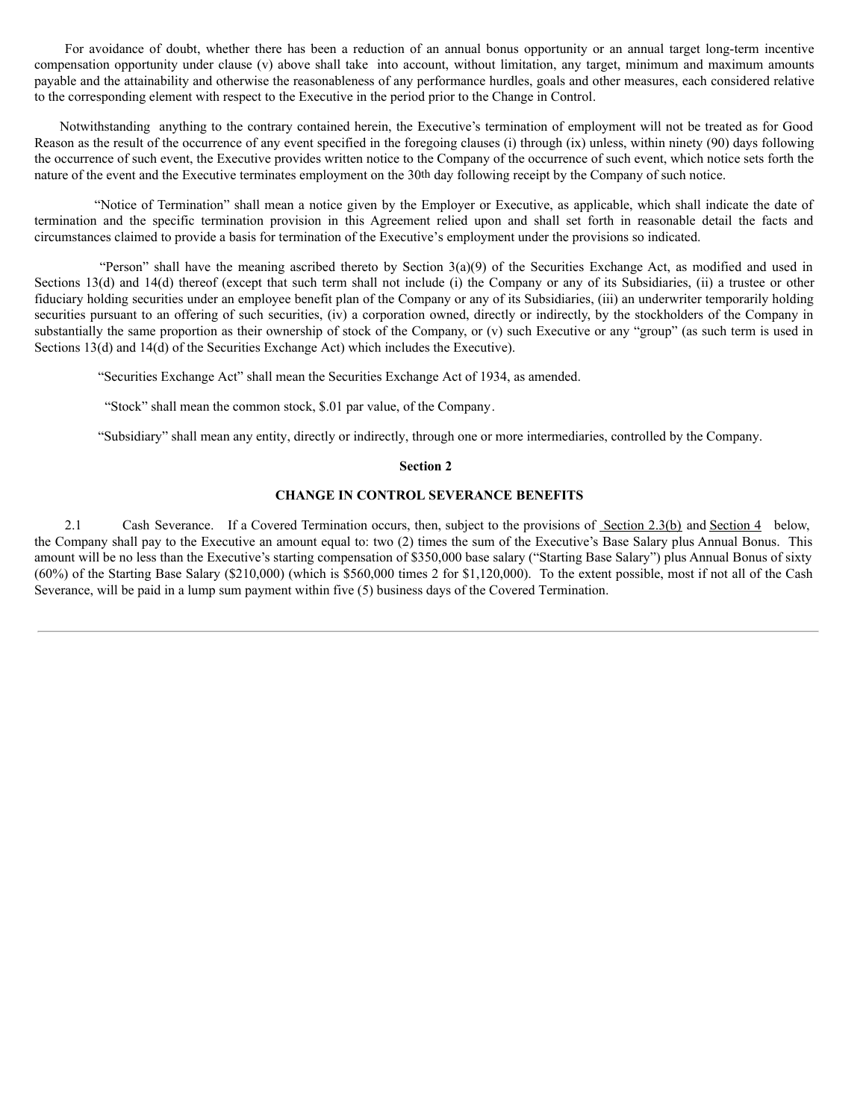For avoidance of doubt, whether there has been a reduction of an annual bonus opportunity or an annual target long-term incentive compensation opportunity under clause (v) above shall take into account, without limitation, any target, minimum and maximum amounts payable and the attainability and otherwise the reasonableness of any performance hurdles, goals and other measures, each considered relative to the corresponding element with respect to the Executive in the period prior to the Change in Control.

Notwithstanding anything to the contrary contained herein, the Executive's termination of employment will not be treated as for Good Reason as the result of the occurrence of any event specified in the foregoing clauses (i) through (ix) unless, within ninety (90) days following the occurrence of such event, the Executive provides written notice to the Company of the occurrence of such event, which notice sets forth the nature of the event and the Executive terminates employment on the 30th day following receipt by the Company of such notice.

"Notice of Termination" shall mean a notice given by the Employer or Executive, as applicable, which shall indicate the date of termination and the specific termination provision in this Agreement relied upon and shall set forth in reasonable detail the facts and circumstances claimed to provide a basis for termination of the Executive's employment under the provisions so indicated.

"Person" shall have the meaning ascribed thereto by Section  $3(a)(9)$  of the Securities Exchange Act, as modified and used in Sections 13(d) and 14(d) thereof (except that such term shall not include (i) the Company or any of its Subsidiaries, (ii) a trustee or other fiduciary holding securities under an employee benefit plan of the Company or any of its Subsidiaries, (iii) an underwriter temporarily holding securities pursuant to an offering of such securities, (iv) a corporation owned, directly or indirectly, by the stockholders of the Company in substantially the same proportion as their ownership of stock of the Company, or (v) such Executive or any "group" (as such term is used in Sections 13(d) and 14(d) of the Securities Exchange Act) which includes the Executive).

"Securities Exchange Act" shall mean the Securities Exchange Act of 1934, as amended.

"Stock" shall mean the common stock, \$.01 par value, of the Company.

"Subsidiary" shall mean any entity, directly or indirectly, through one or more intermediaries, controlled by the Company.

### **Section 2**

### **CHANGE IN CONTROL SEVERANCE BENEFITS**

2.1 Cash Severance. If a Covered Termination occurs, then, subject to the provisions of Section 2.3(b) and Section 4 below, the Company shall pay to the Executive an amount equal to: two (2) times the sum of the Executive's Base Salary plus Annual Bonus. This amount will be no less than the Executive's starting compensation of \$350,000 base salary ("Starting Base Salary") plus Annual Bonus of sixty (60%) of the Starting Base Salary (\$210,000) (which is \$560,000 times 2 for \$1,120,000). To the extent possible, most if not all of the Cash Severance, will be paid in a lump sum payment within five (5) business days of the Covered Termination.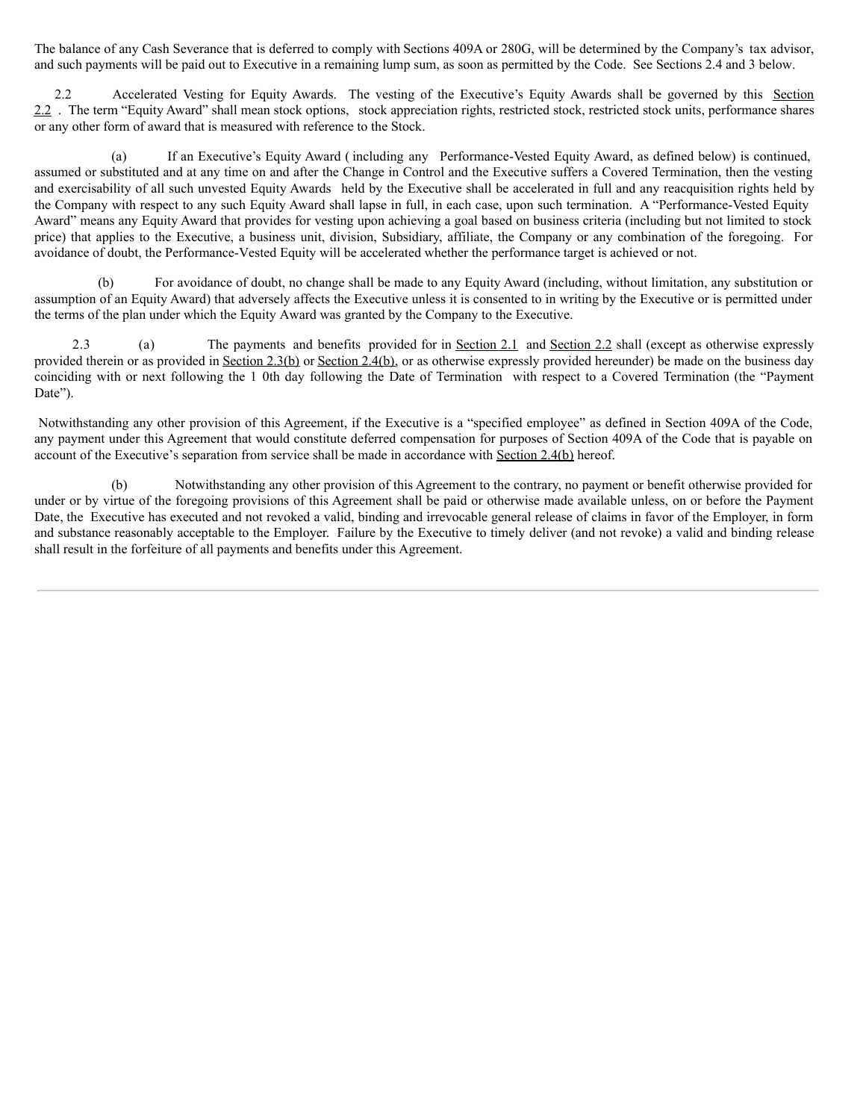The balance of any Cash Severance that is deferred to comply with Sections 409A or 280G, will be determined by the Company's tax advisor, and such payments will be paid out to Executive in a remaining lump sum, as soon as permitted by the Code. See Sections 2.4 and 3 below.

2.2 Accelerated Vesting for Equity Awards. The vesting of the Executive's Equity Awards shall be governed by this Section 2.2. The term "Equity Award" shall mean stock options, stock appreciation rights, restricted stock, restricted stock units, performance shares or any other form of award that is measured with reference to the Stock.

(a) If an Executive's Equity Award ( including any Performance-Vested Equity Award, as defined below) is continued, assumed or substituted and at any time on and after the Change in Control and the Executive suffers a Covered Termination, then the vesting and exercisability of all such unvested Equity Awards held by the Executive shall be accelerated in full and any reacquisition rights held by the Company with respect to any such Equity Award shall lapse in full, in each case, upon such termination. A "Performance-Vested Equity Award" means any Equity Award that provides for vesting upon achieving a goal based on business criteria (including but not limited to stock price) that applies to the Executive, a business unit, division, Subsidiary, affiliate, the Company or any combination of the foregoing. For avoidance of doubt, the Performance-Vested Equity will be accelerated whether the performance target is achieved or not.

(b) For avoidance of doubt, no change shall be made to any Equity Award (including, without limitation, any substitution or assumption of an Equity Award) that adversely affects the Executive unless it is consented to in writing by the Executive or is permitted under the terms of the plan under which the Equity Award was granted by the Company to the Executive.

2.3 (a) The payments and benefits provided for in Section 2.1 and Section 2.2 shall (except as otherwise expressly provided therein or as provided in Section 2.3(b) or Section 2.4(b), or as otherwise expressly provided hereunder) be made on the business day coinciding with or next following the 1 0th day following the Date of Termination with respect to a Covered Termination (the "Payment Date").

Notwithstanding any other provision of this Agreement, if the Executive is a "specified employee" as defined in Section 409A of the Code, any payment under this Agreement that would constitute deferred compensation for purposes of Section 409A of the Code that is payable on account of the Executive's separation from service shall be made in accordance with Section 2.4(b) hereof.

(b) Notwithstanding any other provision of this Agreement to the contrary, no payment or benefit otherwise provided for under or by virtue of the foregoing provisions of this Agreement shall be paid or otherwise made available unless, on or before the Payment Date, the Executive has executed and not revoked a valid, binding and irrevocable general release of claims in favor of the Employer, in form and substance reasonably acceptable to the Employer. Failure by the Executive to timely deliver (and not revoke) a valid and binding release shall result in the forfeiture of all payments and benefits under this Agreement.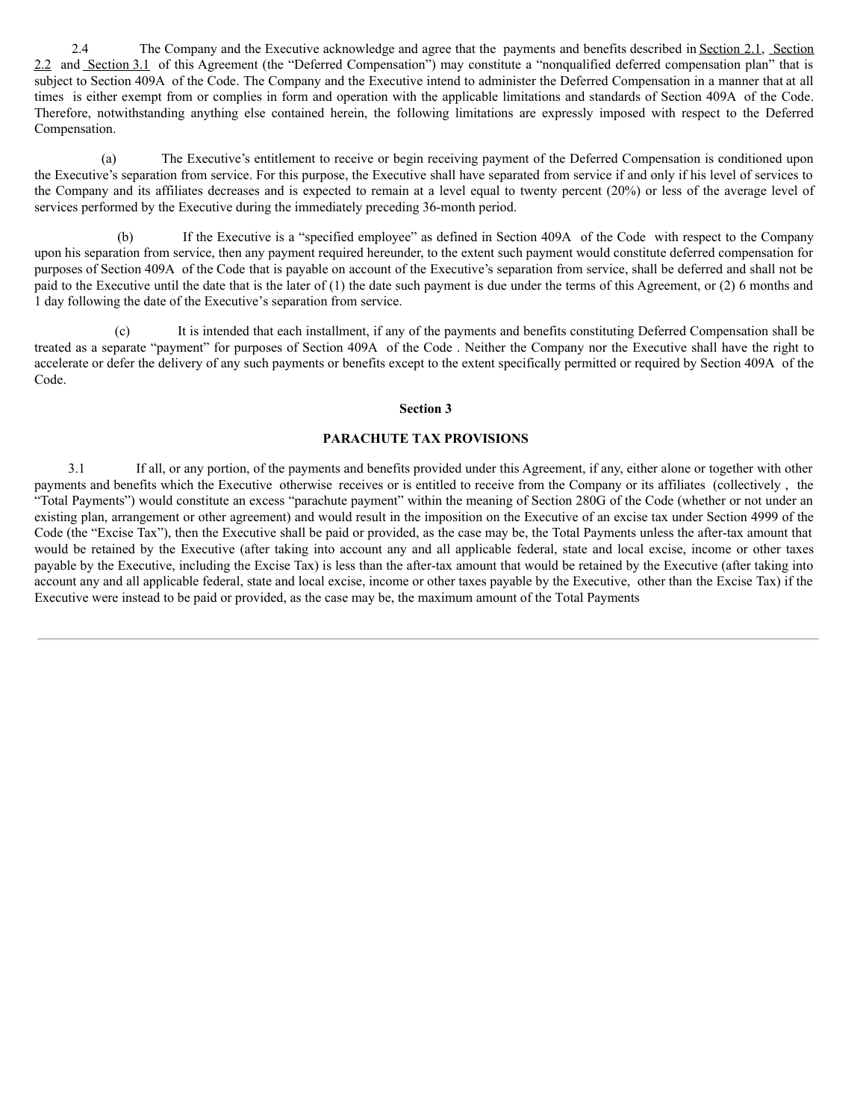<span id="page-42-0"></span>2.4 The Company and the Executive acknowledge and agree that the payments and benefits described in Section 2.1, Section 2.2 and Section 3.1 of this Agreement (the "Deferred Compensation") may constitute a "nonqualified deferred compensation plan" that is subject to Section 409A of the Code. The Company and the Executive intend to administer the Deferred Compensation in a manner that at all times is either exempt from or complies in form and operation with the applicable limitations and standards of Section 409A of the Code. Therefore, notwithstanding anything else contained herein, the following limitations are expressly imposed with respect to the Deferred Compensation.

(a) The Executive's entitlement to receive or begin receiving payment of the Deferred Compensation is conditioned upon the Executive's separation from service. For this purpose, the Executive shall have separated from service if and only if his level of services to the Company and its affiliates decreases and is expected to remain at a level equal to twenty percent (20%) or less of the average level of services performed by the Executive during the immediately preceding 36-month period.

(b) If the Executive is a "specified employee" as defined in Section 409A of the Code with respect to the Company upon his separation from service, then any payment required hereunder, to the extent such payment would constitute deferred compensation for purposes of Section 409A of the Code that is payable on account of the Executive's separation from service, shall be deferred and shall not be paid to the Executive until the date that is the later of (1) the date such payment is due under the terms of this Agreement, or (2) 6 months and 1 day following the date of the Executive's separation from service.

(c) It is intended that each installment, if any of the payments and benefits constituting Deferred Compensation shall be treated as a separate "payment" for purposes of Section 409A of the Code . Neither the Company nor the Executive shall have the right to accelerate or defer the delivery of any such payments or benefits except to the extent specifically permitted or required by Section 409A of the Code.

### **Section 3**

### **PARACHUTE TAX PROVISIONS**

3.1 If all, or any portion, of the payments and benefits provided under this Agreement, if any, either alone or together with other payments and benefits which the Executive otherwise receives or is entitled to receive from the Company or its affiliates (collectively , the "Total Payments") would constitute an excess "parachute payment" within the meaning of Section 280G of the Code (whether or not under an existing plan, arrangement or other agreement) and would result in the imposition on the Executive of an excise tax under Section 4999 of the Code (the "Excise Tax"), then the Executive shall be paid or provided, as the case may be, the Total Payments unless the after-tax amount that would be retained by the Executive (after taking into account any and all applicable federal, state and local excise, income or other taxes payable by the Executive, including the Excise Tax) is less than the after-tax amount that would be retained by the Executive (after taking into account any and all applicable federal, state and local excise, income or other taxes payable by the Executive, other than the Excise Tax) if the Executive were instead to be paid or provided, as the case may be, the maximum amount of the Total Payments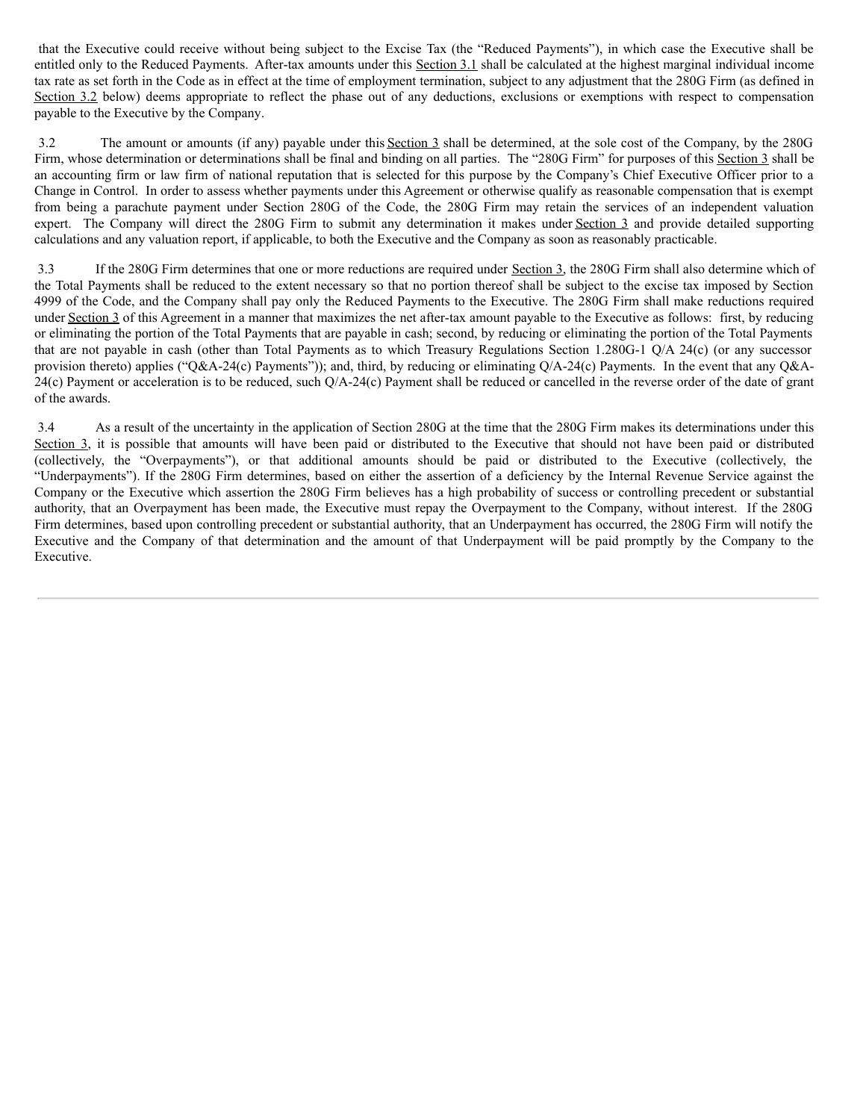that the Executive could receive without being subject to the Excise Tax (the "Reduced Payments"), in which case the Executive shall be entitled only to the Reduced Payments. After-tax amounts under this Section 3.1 shall be calculated at the highest marginal individual income tax rate as set forth in the Code as in effect at the time of employment termination, subject to any adjustment that the 280G Firm (as defined in Section 3.2 below) deems appropriate to reflect the phase out of any deductions, exclusions or exemptions with respect to compensation payable to the Executive by the Company.

3.2 The amount or amounts (if any) payable under this Section 3 shall be determined, at the sole cost of the Company, by the 280G Firm, whose determination or determinations shall be final and binding on all parties. The "280G Firm" for purposes of this Section 3 shall be an accounting firm or law firm of national reputation that is selected for this purpose by the Company's Chief Executive Officer prior to a Change in Control. In order to assess whether payments under this Agreement or otherwise qualify as reasonable compensation that is exempt from being a parachute payment under Section 280G of the Code, the 280G Firm may retain the services of an independent valuation expert. The Company will direct the 280G Firm to submit any determination it makes under Section 3 and provide detailed supporting calculations and any valuation report, if applicable, to both the Executive and the Company as soon as reasonably practicable.

3.3 If the 280G Firm determines that one or more reductions are required under Section 3, the 280G Firm shall also determine which of the Total Payments shall be reduced to the extent necessary so that no portion thereof shall be subject to the excise tax imposed by Section 4999 of the Code, and the Company shall pay only the Reduced Payments to the Executive. The 280G Firm shall make reductions required under Section 3 of this Agreement in a manner that maximizes the net after-tax amount payable to the Executive as follows: first, by reducing or eliminating the portion of the Total Payments that are payable in cash; second, by reducing or eliminating the portion of the Total Payments that are not payable in cash (other than Total Payments as to which Treasury Regulations Section 1.280G-1 Q/A 24(c) (or any successor provision thereto) applies ("Q&A-24(c) Payments")); and, third, by reducing or eliminating  $Q/A-24(c)$  Payments. In the event that any Q&A-24(c) Payment or acceleration is to be reduced, such Q/A-24(c) Payment shall be reduced or cancelled in the reverse order of the date of grant of the awards.

3.4 As a result of the uncertainty in the application of Section 280G at the time that the 280G Firm makes its determinations under this Section 3, it is possible that amounts will have been paid or distributed to the Executive that should not have been paid or distributed (collectively, the "Overpayments"), or that additional amounts should be paid or distributed to the Executive (collectively, the "Underpayments"). If the 280G Firm determines, based on either the assertion of a deficiency by the Internal Revenue Service against the Company or the Executive which assertion the 280G Firm believes has a high probability of success or controlling precedent or substantial authority, that an Overpayment has been made, the Executive must repay the Overpayment to the Company, without interest. If the 280G Firm determines, based upon controlling precedent or substantial authority, that an Underpayment has occurred, the 280G Firm will notify the Executive and the Company of that determination and the amount of that Underpayment will be paid promptly by the Company to the Executive.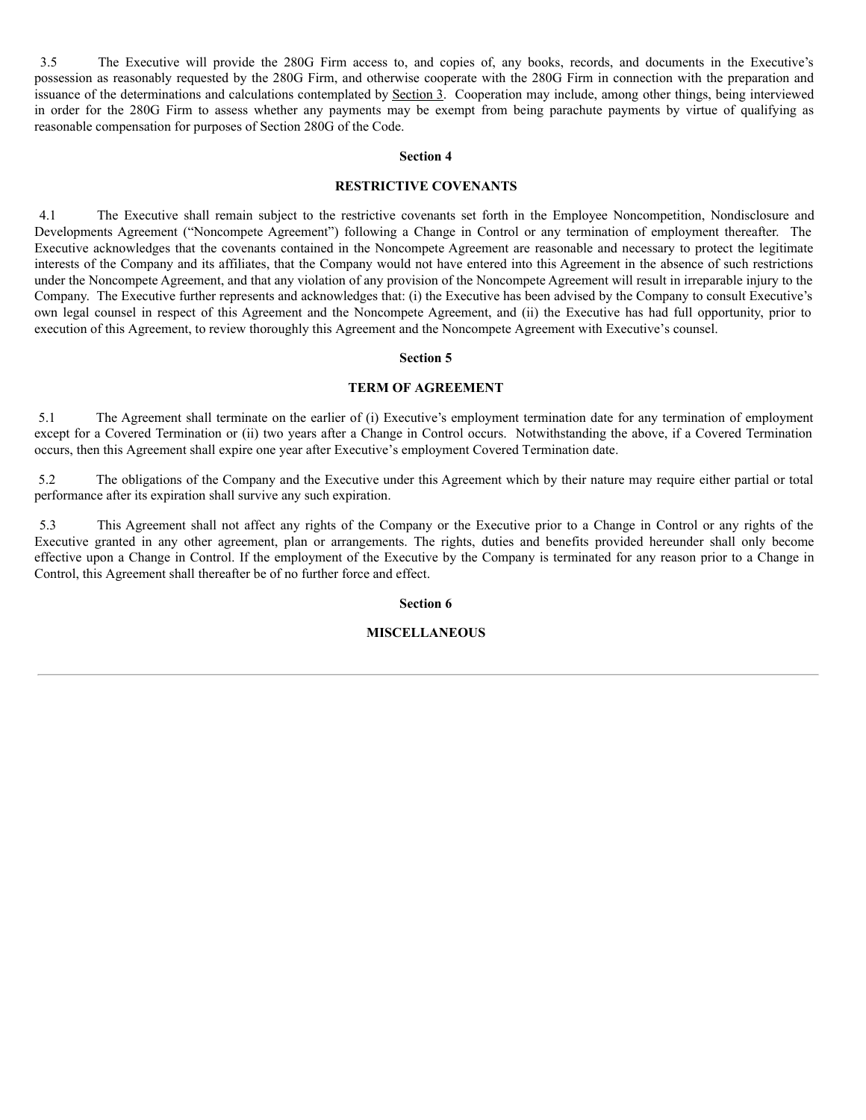3.5 The Executive will provide the 280G Firm access to, and copies of, any books, records, and documents in the Executive's possession as reasonably requested by the 280G Firm, and otherwise cooperate with the 280G Firm in connection with the preparation and issuance of the determinations and calculations contemplated by Section 3. Cooperation may include, among other things, being interviewed in order for the 280G Firm to assess whether any payments may be exempt from being parachute payments by virtue of qualifying as reasonable compensation for purposes of Section 280G of the Code.

### **Section 4**

### **RESTRICTIVE COVENANTS**

4.1 The Executive shall remain subject to the restrictive covenants set forth in the Employee Noncompetition, Nondisclosure and Developments Agreement ("Noncompete Agreement") following a Change in Control or any termination of employment thereafter. The Executive acknowledges that the covenants contained in the Noncompete Agreement are reasonable and necessary to protect the legitimate interests of the Company and its affiliates, that the Company would not have entered into this Agreement in the absence of such restrictions under the Noncompete Agreement, and that any violation of any provision of the Noncompete Agreement will result in irreparable injury to the Company. The Executive further represents and acknowledges that: (i) the Executive has been advised by the Company to consult Executive's own legal counsel in respect of this Agreement and the Noncompete Agreement, and (ii) the Executive has had full opportunity, prior to execution of this Agreement, to review thoroughly this Agreement and the Noncompete Agreement with Executive's counsel.

### **Section 5**

### **TERM OF AGREEMENT**

5.1 The Agreement shall terminate on the earlier of (i) Executive's employment termination date for any termination of employment except for a Covered Termination or (ii) two years after a Change in Control occurs. Notwithstanding the above, if a Covered Termination occurs, then this Agreement shall expire one year after Executive's employment Covered Termination date.

5.2 The obligations of the Company and the Executive under this Agreement which by their nature may require either partial or total performance after its expiration shall survive any such expiration.

5.3 This Agreement shall not affect any rights of the Company or the Executive prior to a Change in Control or any rights of the Executive granted in any other agreement, plan or arrangements. The rights, duties and benefits provided hereunder shall only become effective upon a Change in Control. If the employment of the Executive by the Company is terminated for any reason prior to a Change in Control, this Agreement shall thereafter be of no further force and effect.

### **Section 6**

### **MISCELLANEOUS**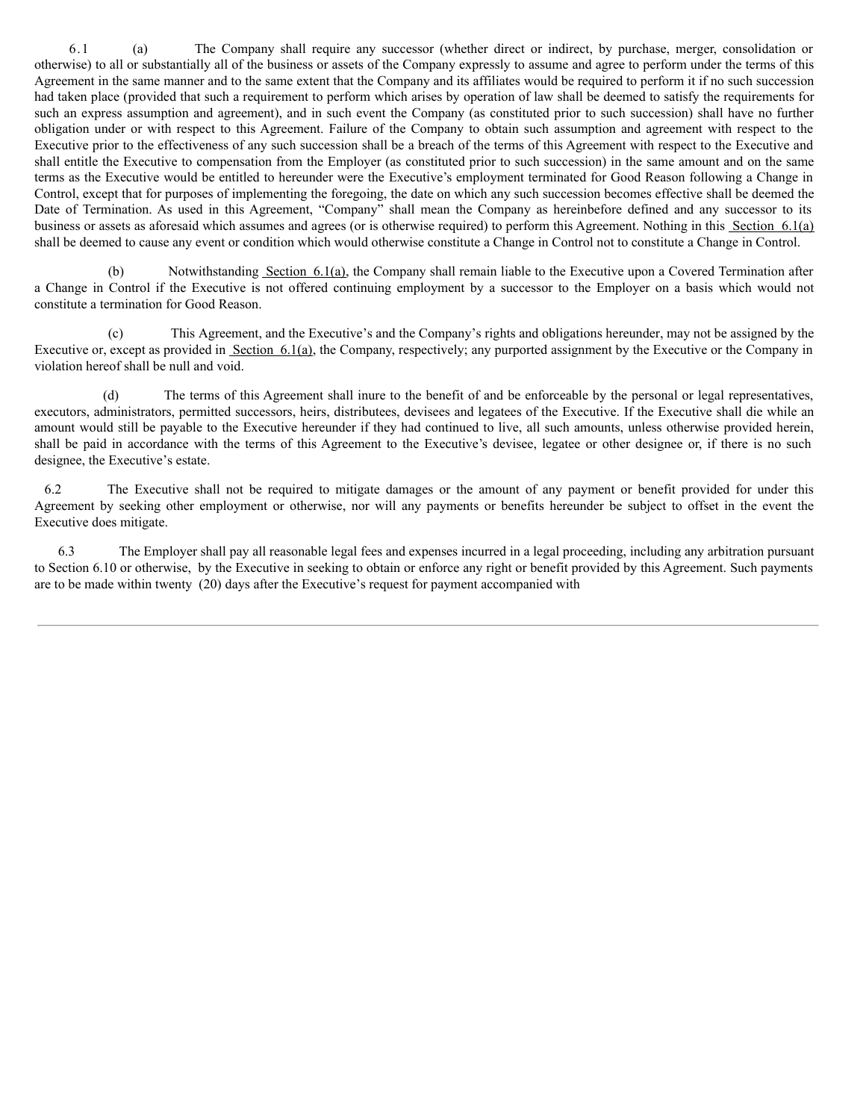6.1 (a) The Company shall require any successor (whether direct or indirect, by purchase, merger, consolidation or otherwise) to all or substantially all of the business or assets of the Company expressly to assume and agree to perform under the terms of this Agreement in the same manner and to the same extent that the Company and its affiliates would be required to perform it if no such succession had taken place (provided that such a requirement to perform which arises by operation of law shall be deemed to satisfy the requirements for such an express assumption and agreement), and in such event the Company (as constituted prior to such succession) shall have no further obligation under or with respect to this Agreement. Failure of the Company to obtain such assumption and agreement with respect to the Executive prior to the effectiveness of any such succession shall be a breach of the terms of this Agreement with respect to the Executive and shall entitle the Executive to compensation from the Employer (as constituted prior to such succession) in the same amount and on the same terms as the Executive would be entitled to hereunder were the Executive's employment terminated for Good Reason following a Change in Control, except that for purposes of implementing the foregoing, the date on which any such succession becomes effective shall be deemed the Date of Termination. As used in this Agreement, "Company" shall mean the Company as hereinbefore defined and any successor to its business or assets as aforesaid which assumes and agrees (or is otherwise required) to perform this Agreement. Nothing in this Section 6.1(a) shall be deemed to cause any event or condition which would otherwise constitute a Change in Control not to constitute a Change in Control.

(b) Notwithstanding Section 6.1(a), the Company shall remain liable to the Executive upon a Covered Termination after a Change in Control if the Executive is not offered continuing employment by a successor to the Employer on a basis which would not constitute a termination for Good Reason.

(c) This Agreement, and the Executive's and the Company's rights and obligations hereunder, may not be assigned by the Executive or, except as provided in Section 6.1(a), the Company, respectively; any purported assignment by the Executive or the Company in violation hereof shall be null and void.

(d) The terms of this Agreement shall inure to the benefit of and be enforceable by the personal or legal representatives, executors, administrators, permitted successors, heirs, distributees, devisees and legatees of the Executive. If the Executive shall die while an amount would still be payable to the Executive hereunder if they had continued to live, all such amounts, unless otherwise provided herein, shall be paid in accordance with the terms of this Agreement to the Executive's devisee, legatee or other designee or, if there is no such designee, the Executive's estate.

6.2 The Executive shall not be required to mitigate damages or the amount of any payment or benefit provided for under this Agreement by seeking other employment or otherwise, nor will any payments or benefits hereunder be subject to offset in the event the Executive does mitigate.

6.3 The Employer shall pay all reasonable legal fees and expenses incurred in a legal proceeding, including any arbitration pursuant to Section 6.10 or otherwise, by the Executive in seeking to obtain or enforce any right or benefit provided by this Agreement. Such payments are to be made within twenty (20) days after the Executive's request for payment accompanied with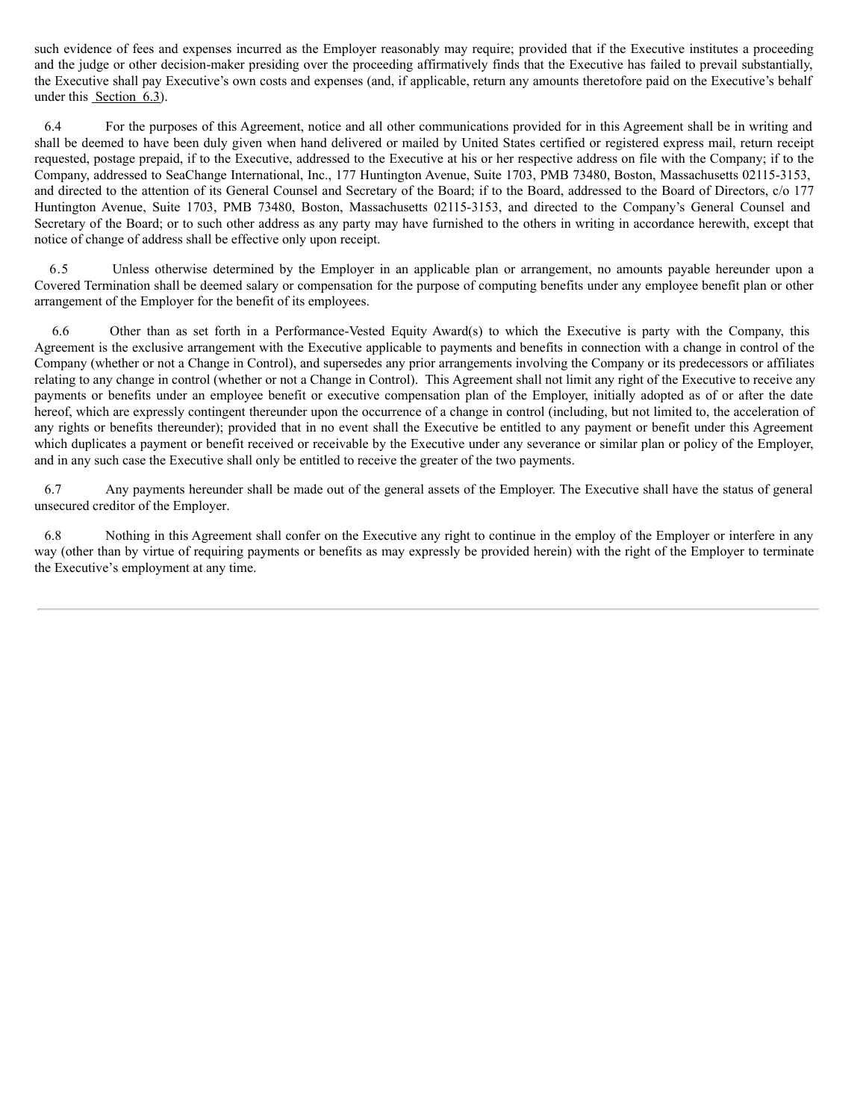such evidence of fees and expenses incurred as the Employer reasonably may require; provided that if the Executive institutes a proceeding and the judge or other decision-maker presiding over the proceeding affirmatively finds that the Executive has failed to prevail substantially, the Executive shall pay Executive's own costs and expenses (and, if applicable, return any amounts theretofore paid on the Executive's behalf under this Section 6.3).

6.4 For the purposes of this Agreement, notice and all other communications provided for in this Agreement shall be in writing and shall be deemed to have been duly given when hand delivered or mailed by United States certified or registered express mail, return receipt requested, postage prepaid, if to the Executive, addressed to the Executive at his or her respective address on file with the Company; if to the Company, addressed to SeaChange International, Inc., 177 Huntington Avenue, Suite 1703, PMB 73480, Boston, Massachusetts 02115-3153, and directed to the attention of its General Counsel and Secretary of the Board; if to the Board, addressed to the Board of Directors, c/o 177 Huntington Avenue, Suite 1703, PMB 73480, Boston, Massachusetts 02115-3153, and directed to the Company's General Counsel and Secretary of the Board; or to such other address as any party may have furnished to the others in writing in accordance herewith, except that notice of change of address shall be effective only upon receipt.

6.5 Unless otherwise determined by the Employer in an applicable plan or arrangement, no amounts payable hereunder upon a Covered Termination shall be deemed salary or compensation for the purpose of computing benefits under any employee benefit plan or other arrangement of the Employer for the benefit of its employees.

6.6 Other than as set forth in a Performance-Vested Equity Award(s) to which the Executive is party with the Company, this Agreement is the exclusive arrangement with the Executive applicable to payments and benefits in connection with a change in control of the Company (whether or not a Change in Control), and supersedes any prior arrangements involving the Company or its predecessors or affiliates relating to any change in control (whether or not a Change in Control). This Agreement shall not limit any right of the Executive to receive any payments or benefits under an employee benefit or executive compensation plan of the Employer, initially adopted as of or after the date hereof, which are expressly contingent thereunder upon the occurrence of a change in control (including, but not limited to, the acceleration of any rights or benefits thereunder); provided that in no event shall the Executive be entitled to any payment or benefit under this Agreement which duplicates a payment or benefit received or receivable by the Executive under any severance or similar plan or policy of the Employer, and in any such case the Executive shall only be entitled to receive the greater of the two payments.

6.7 Any payments hereunder shall be made out of the general assets of the Employer. The Executive shall have the status of general unsecured creditor of the Employer.

6.8 Nothing in this Agreement shall confer on the Executive any right to continue in the employ of the Employer or interfere in any way (other than by virtue of requiring payments or benefits as may expressly be provided herein) with the right of the Employer to terminate the Executive's employment at any time.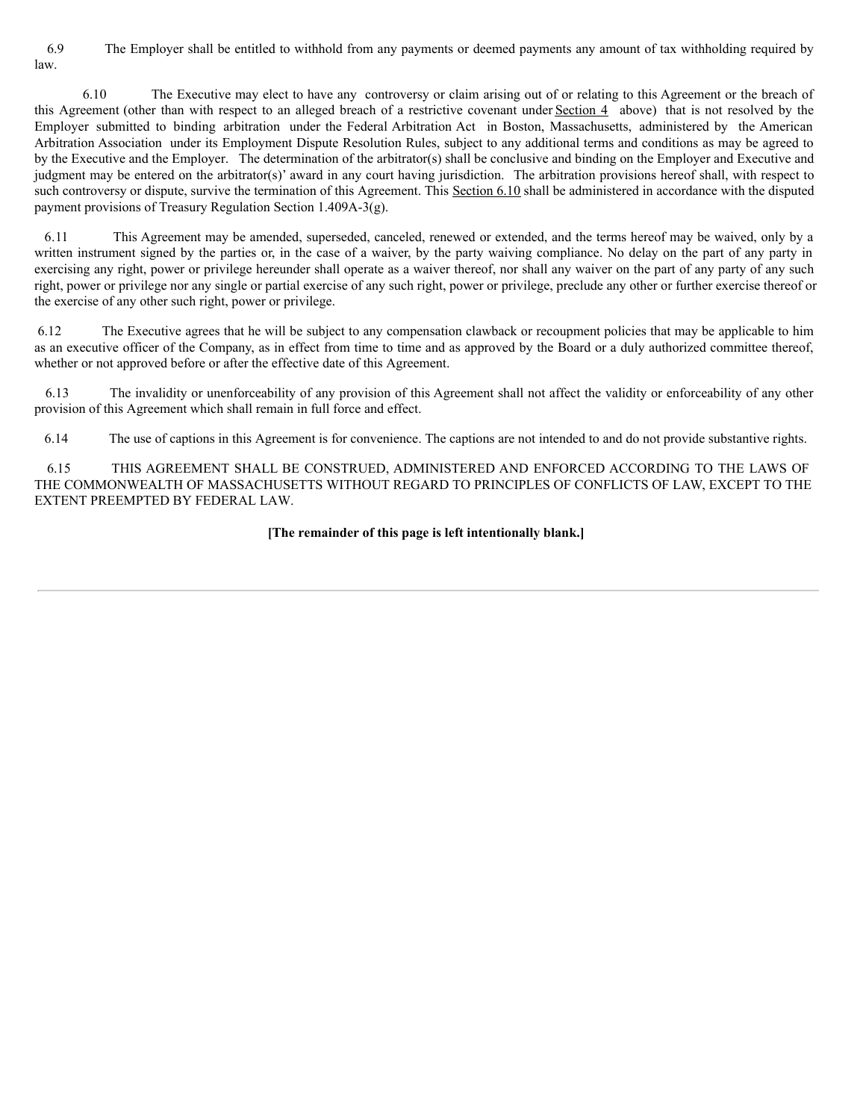6.9 The Employer shall be entitled to withhold from any payments or deemed payments any amount of tax withholding required by law.

6.10 The Executive may elect to have any controversy or claim arising out of or relating to this Agreement or the breach of this Agreement (other than with respect to an alleged breach of a restrictive covenant under Section 4 above) that is not resolved by the Employer submitted to binding arbitration under the Federal Arbitration Act in Boston, Massachusetts, administered by the American Arbitration Association under its Employment Dispute Resolution Rules, subject to any additional terms and conditions as may be agreed to by the Executive and the Employer. The determination of the arbitrator(s) shall be conclusive and binding on the Employer and Executive and judgment may be entered on the arbitrator(s)' award in any court having jurisdiction. The arbitration provisions hereof shall, with respect to such controversy or dispute, survive the termination of this Agreement. This Section 6.10 shall be administered in accordance with the disputed payment provisions of Treasury Regulation Section 1.409A-3(g).

6.11 This Agreement may be amended, superseded, canceled, renewed or extended, and the terms hereof may be waived, only by a written instrument signed by the parties or, in the case of a waiver, by the party waiving compliance. No delay on the part of any party in exercising any right, power or privilege hereunder shall operate as a waiver thereof, nor shall any waiver on the part of any party of any such right, power or privilege nor any single or partial exercise of any such right, power or privilege, preclude any other or further exercise thereof or the exercise of any other such right, power or privilege.

6.12 The Executive agrees that he will be subject to any compensation clawback or recoupment policies that may be applicable to him as an executive officer of the Company, as in effect from time to time and as approved by the Board or a duly authorized committee thereof, whether or not approved before or after the effective date of this Agreement.

6.13 The invalidity or unenforceability of any provision of this Agreement shall not affect the validity or enforceability of any other provision of this Agreement which shall remain in full force and effect.

6.14 The use of captions in this Agreement is for convenience. The captions are not intended to and do not provide substantive rights.

6.15 THIS AGREEMENT SHALL BE CONSTRUED, ADMINISTERED AND ENFORCED ACCORDING TO THE LAWS OF THE COMMONWEALTH OF MASSACHUSETTS WITHOUT REGARD TO PRINCIPLES OF CONFLICTS OF LAW, EXCEPT TO THE EXTENT PREEMPTED BY FEDERAL LAW.

**[The remainder of this page is left intentionally blank.]**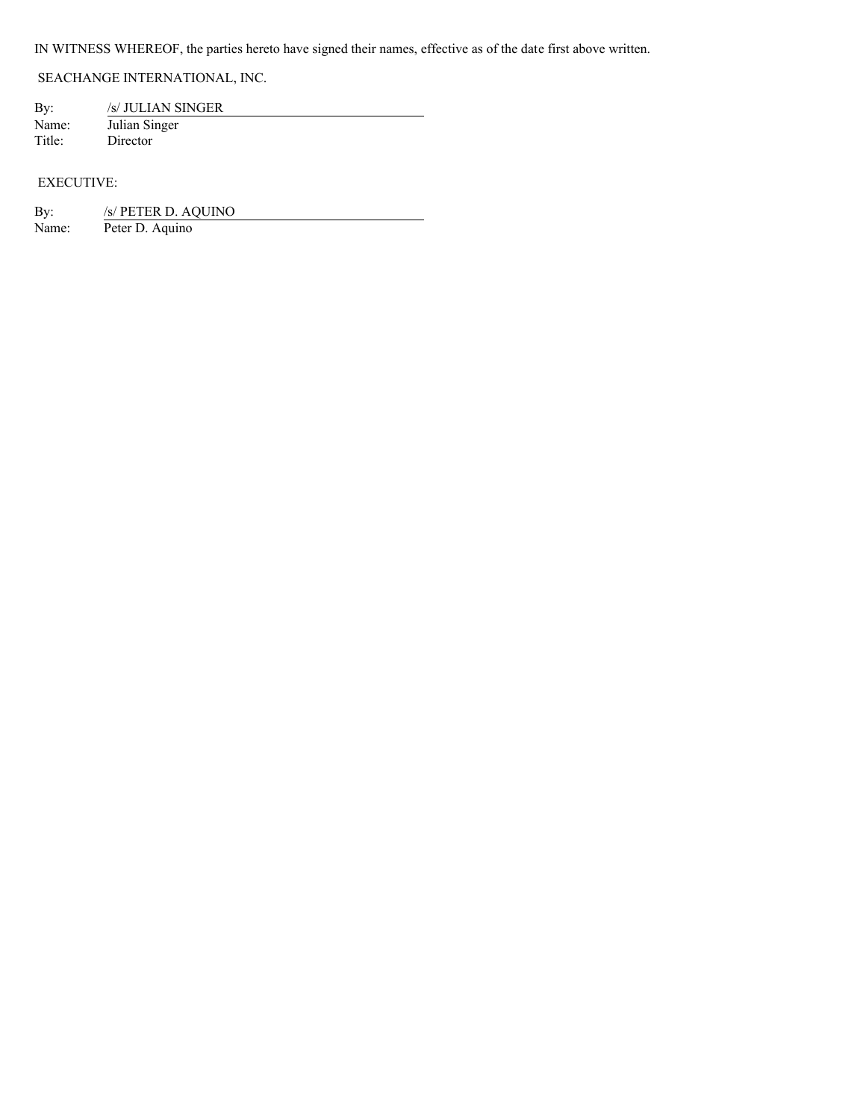IN WITNESS WHEREOF, the parties hereto have signed their names, effective as of the date first above written.

## SEACHANGE INTERNATIONAL, INC.

| By:    | /s/ JULIAN SINGER |
|--------|-------------------|
| Name:  | Julian Singer     |
| Title: | Director          |

# EXECUTIVE:

| By:   | /s/ PETER D. AQUINO |
|-------|---------------------|
| Name: | Peter D. Aquino     |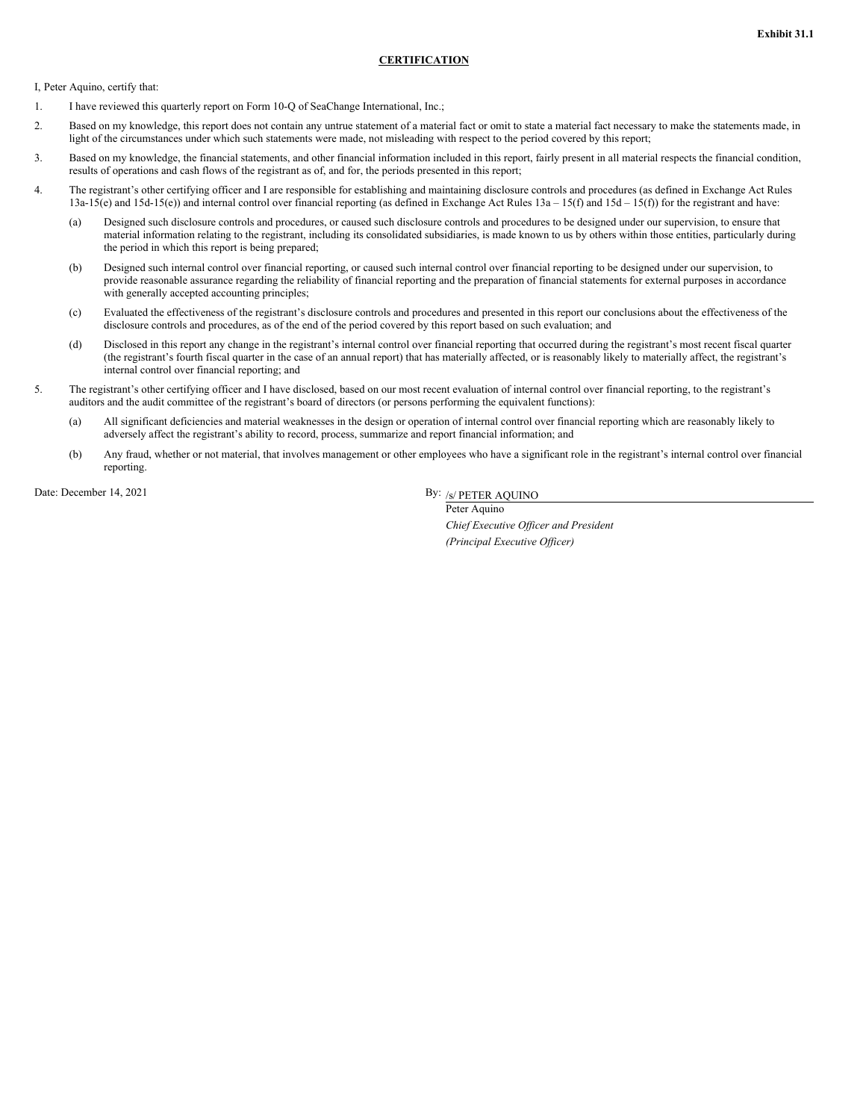#### **CERTIFICATION**

<span id="page-49-0"></span>I, Peter Aquino, certify that:

- 1. I have reviewed this quarterly report on Form 10-Q of SeaChange International, Inc.;
- 2. Based on my knowledge, this report does not contain any untrue statement of a material fact or omit to state a material fact necessary to make the statements made, in light of the circumstances under which such statements were made, not misleading with respect to the period covered by this report;
- 3. Based on my knowledge, the financial statements, and other financial information included in this report, fairly present in all material respects the financial condition, results of operations and cash flows of the registrant as of, and for, the periods presented in this report;
- 4. The registrant's other certifying officer and I are responsible for establishing and maintaining disclosure controls and procedures (as defined in Exchange Act Rules 13a-15(e) and 15d-15(e)) and internal control over financial reporting (as defined in Exchange Act Rules 13a – 15(f) and 15d – 15(f)) for the registrant and have:
	- (a) Designed such disclosure controls and procedures, or caused such disclosure controls and procedures to be designed under our supervision, to ensure that material information relating to the registrant, including its consolidated subsidiaries, is made known to us by others within those entities, particularly during the period in which this report is being prepared;
	- (b) Designed such internal control over financial reporting, or caused such internal control over financial reporting to be designed under our supervision, to provide reasonable assurance regarding the reliability of financial reporting and the preparation of financial statements for external purposes in accordance with generally accepted accounting principles;
	- (c) Evaluated the effectiveness of the registrant's disclosure controls and procedures and presented in this report our conclusions about the effectiveness of the disclosure controls and procedures, as of the end of the period covered by this report based on such evaluation; and
	- (d) Disclosed in this report any change in the registrant's internal control over financial reporting that occurred during the registrant's most recent fiscal quarter (the registrant's fourth fiscal quarter in the case of an annual report) that has materially affected, or is reasonably likely to materially affect, the registrant's internal control over financial reporting; and
- 5. The registrant's other certifying officer and I have disclosed, based on our most recent evaluation of internal control over financial reporting, to the registrant's auditors and the audit committee of the registrant's board of directors (or persons performing the equivalent functions):
	- (a) All significant deficiencies and material weaknesses in the design or operation of internal control over financial reporting which are reasonably likely to adversely affect the registrant's ability to record, process, summarize and report financial information; and
	- (b) Any fraud, whether or not material, that involves management or other employees who have a significant role in the registrant's internal control over financial reporting.

Date: December 14, 2021

By: /s/ PETER AQUINO

Peter Aquino *Chief Executive Of icer and President (Principal Executive Of icer)*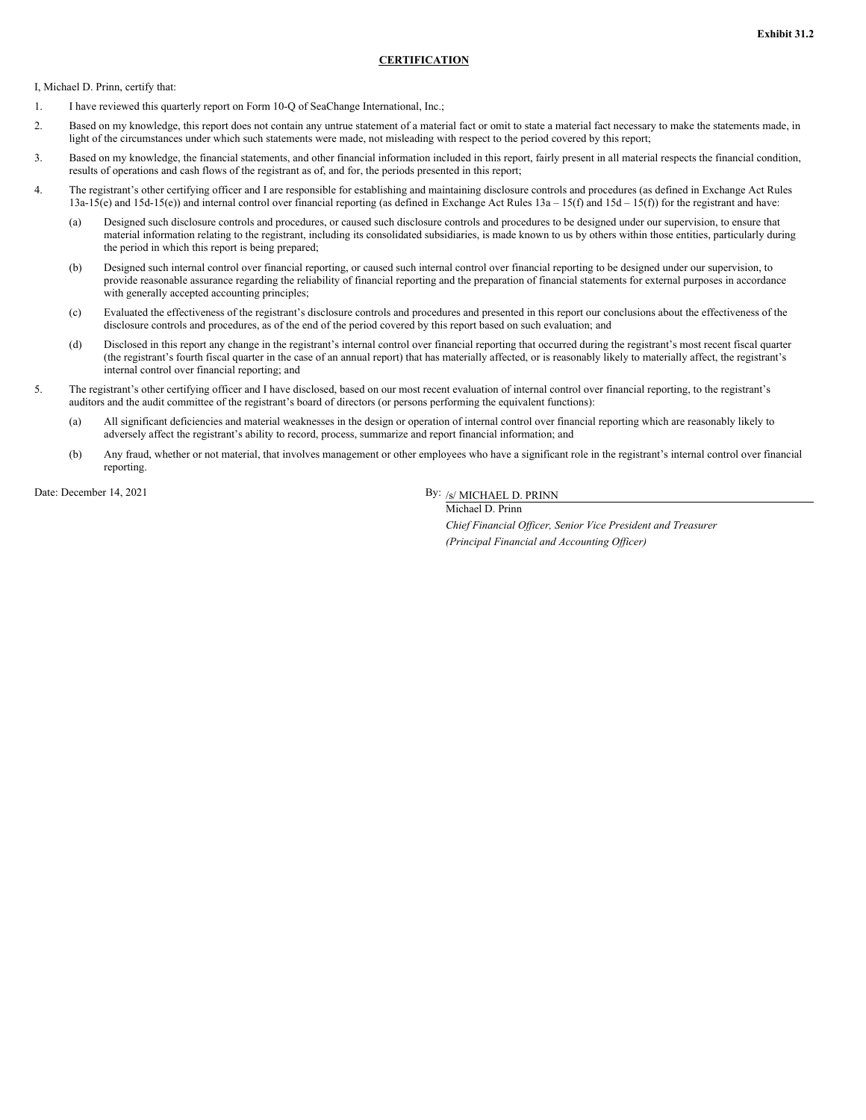#### **CERTIFICATION**

<span id="page-50-0"></span>I, Michael D. Prinn, certify that:

- 1. I have reviewed this quarterly report on Form 10-Q of SeaChange International, Inc.;
- 2. Based on my knowledge, this report does not contain any untrue statement of a material fact or omit to state a material fact necessary to make the statements made, in light of the circumstances under which such statements were made, not misleading with respect to the period covered by this report;
- 3. Based on my knowledge, the financial statements, and other financial information included in this report, fairly present in all material respects the financial condition, results of operations and cash flows of the registrant as of, and for, the periods presented in this report;
- 4. The registrant's other certifying officer and I are responsible for establishing and maintaining disclosure controls and procedures (as defined in Exchange Act Rules 13a-15(e) and 15d-15(e)) and internal control over financial reporting (as defined in Exchange Act Rules 13a – 15(f) and 15d – 15(f)) for the registrant and have:
	- (a) Designed such disclosure controls and procedures, or caused such disclosure controls and procedures to be designed under our supervision, to ensure that material information relating to the registrant, including its consolidated subsidiaries, is made known to us by others within those entities, particularly during the period in which this report is being prepared;
	- (b) Designed such internal control over financial reporting, or caused such internal control over financial reporting to be designed under our supervision, to provide reasonable assurance regarding the reliability of financial reporting and the preparation of financial statements for external purposes in accordance with generally accepted accounting principles;
	- (c) Evaluated the effectiveness of the registrant's disclosure controls and procedures and presented in this report our conclusions about the effectiveness of the disclosure controls and procedures, as of the end of the period covered by this report based on such evaluation; and
	- (d) Disclosed in this report any change in the registrant's internal control over financial reporting that occurred during the registrant's most recent fiscal quarter (the registrant's fourth fiscal quarter in the case of an annual report) that has materially affected, or is reasonably likely to materially affect, the registrant's internal control over financial reporting; and
- 5. The registrant's other certifying officer and I have disclosed, based on our most recent evaluation of internal control over financial reporting, to the registrant's auditors and the audit committee of the registrant's board of directors (or persons performing the equivalent functions):
	- (a) All significant deficiencies and material weaknesses in the design or operation of internal control over financial reporting which are reasonably likely to adversely affect the registrant's ability to record, process, summarize and report financial information; and
	- (b) Any fraud, whether or not material, that involves management or other employees who have a significant role in the registrant's internal control over financial reporting.

Date: December 14, 2021

By: /s/ MICHAEL D. PRINN Michael D. Prinn

> *Chief Financial Of icer, Senior Vice President and Treasurer (Principal Financial and Accounting Of icer)*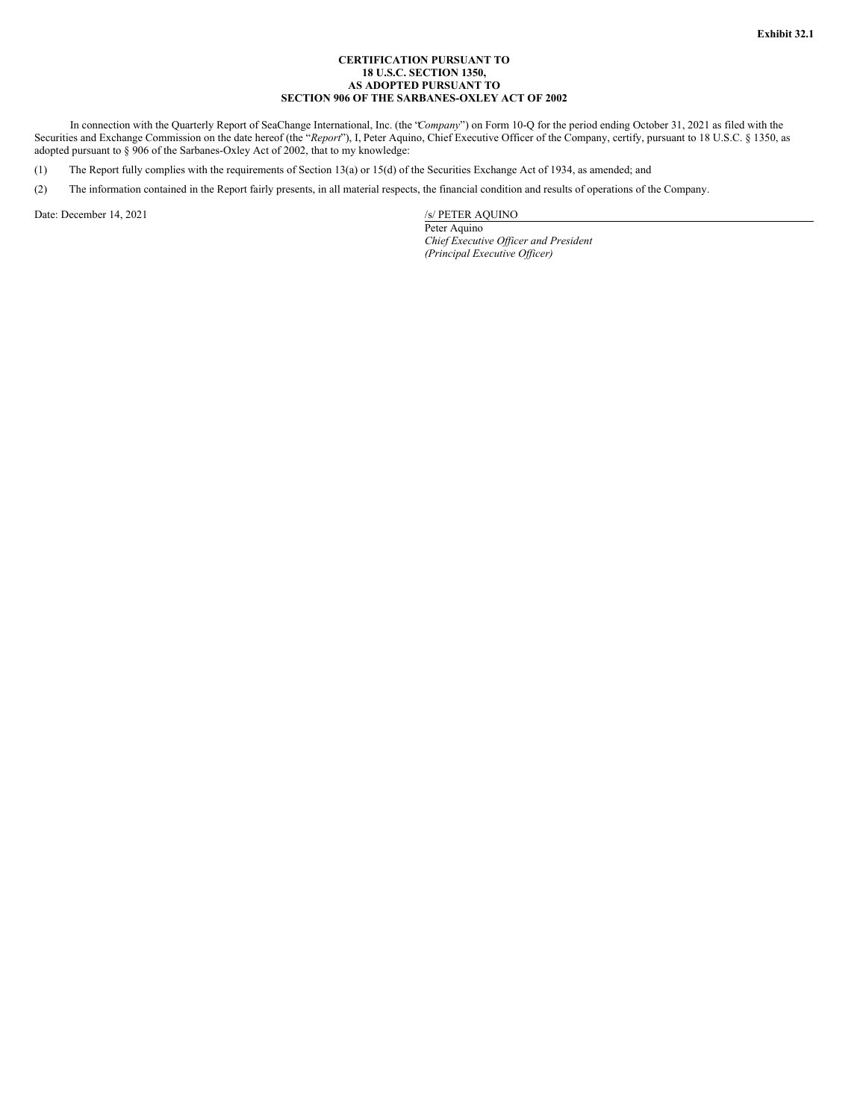#### **CERTIFICATION PURSUANT TO 18 U.S.C. SECTION 1350, AS ADOPTED PURSUANT TO SECTION 906 OF THE SARBANES-OXLEY ACT OF 2002**

<span id="page-51-0"></span>In connection with the Quarterly Report of SeaChange International, Inc. (the "*Company*") on Form 10-Q for the period ending October 31, 2021 as filed with the Securities and Exchange Commission on the date hereof (the "*Report*"), I, Peter Aquino, Chief Executive Officer of the Company, certify, pursuant to 18 U.S.C. § 1350, as adopted pursuant to § 906 of the Sarbanes-Oxley Act of 2002, that to my knowledge:

(1) The Report fully complies with the requirements of Section 13(a) or 15(d) of the Securities Exchange Act of 1934, as amended; and

(2) The information contained in the Report fairly presents, in all material respects, the financial condition and results of operations of the Company.

Date: December 14, 2021 /s/ PETER AQUINO

Peter Aquino *Chief Executive Of icer and President (Principal Executive Of icer)*